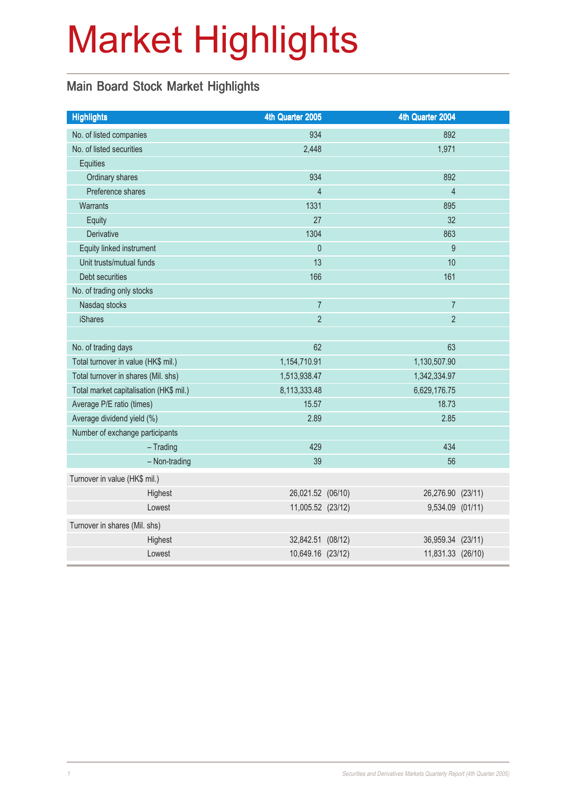# Market Highlights

## Main Board Stock Market Highlights

| <b>Highlights</b>                       |               | 4th Quarter 2005  | 4th Quarter 2004  |  |
|-----------------------------------------|---------------|-------------------|-------------------|--|
| No. of listed companies                 |               | 934               | 892               |  |
| No. of listed securities                |               | 2,448             | 1,971             |  |
| <b>Equities</b>                         |               |                   |                   |  |
| Ordinary shares                         |               | 934               | 892               |  |
| Preference shares                       |               | $\overline{4}$    | $\overline{4}$    |  |
| <b>Warrants</b>                         |               | 1331              | 895               |  |
| Equity                                  |               | 27                | 32                |  |
| Derivative                              |               | 1304              | 863               |  |
| Equity linked instrument                |               | $\theta$          | 9                 |  |
| Unit trusts/mutual funds                |               | 13                | 10                |  |
| Debt securities                         |               | 166               | 161               |  |
| No. of trading only stocks              |               |                   |                   |  |
| Nasdaq stocks                           |               | $\overline{7}$    | $\overline{7}$    |  |
| <b>iShares</b>                          |               | $\overline{2}$    | $\overline{2}$    |  |
|                                         |               |                   |                   |  |
| No. of trading days                     |               | 62                | 63                |  |
| Total turnover in value (HK\$ mil.)     |               | 1,154,710.91      | 1,130,507.90      |  |
| Total turnover in shares (Mil. shs)     |               | 1,513,938.47      | 1,342,334.97      |  |
| Total market capitalisation (HK\$ mil.) |               | 8,113,333.48      | 6,629,176.75      |  |
| Average P/E ratio (times)               |               | 15.57             | 18.73             |  |
| Average dividend yield (%)              |               | 2.89              | 2.85              |  |
| Number of exchange participants         |               |                   |                   |  |
| $-$ Trading                             |               | 429               | 434               |  |
|                                         | - Non-trading | 39                | 56                |  |
| Turnover in value (HK\$ mil.)           |               |                   |                   |  |
| Highest                                 |               | 26,021.52 (06/10) | 26,276.90 (23/11) |  |
| Lowest                                  |               | 11,005.52 (23/12) | 9,534.09 (01/11)  |  |
| Turnover in shares (Mil. shs)           |               |                   |                   |  |
| Highest                                 |               | 32,842.51 (08/12) | 36,959.34 (23/11) |  |
| Lowest                                  |               | 10,649.16 (23/12) | 11,831.33 (26/10) |  |
|                                         |               |                   |                   |  |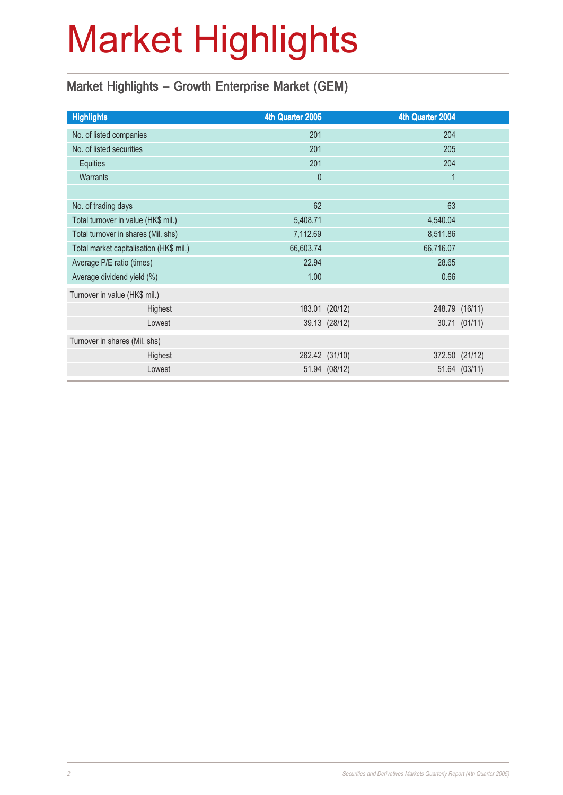# Market Highlights

## Market Highlights - Growth Enterprise Market (GEM)

| <b>Highlights</b>                       | 4th Quarter 2005 |                | 4th Quarter 2004 |                |
|-----------------------------------------|------------------|----------------|------------------|----------------|
| No. of listed companies                 | 201              |                | 204              |                |
| No. of listed securities                | 201              |                | 205              |                |
| Equities                                | 201              |                | 204              |                |
| <b>Warrants</b>                         | $\mathbf{0}$     |                | 1                |                |
|                                         |                  |                |                  |                |
| No. of trading days                     | 62               |                | 63               |                |
| Total turnover in value (HK\$ mil.)     | 5,408.71         |                | 4,540.04         |                |
| Total turnover in shares (Mil. shs)     | 7,112.69         |                | 8,511.86         |                |
| Total market capitalisation (HK\$ mil.) | 66,603.74        |                | 66,716.07        |                |
| Average P/E ratio (times)               | 22.94            |                | 28.65            |                |
| Average dividend yield (%)              | 1.00             |                | 0.66             |                |
| Turnover in value (HK\$ mil.)           |                  |                |                  |                |
| Highest                                 |                  | 183.01 (20/12) |                  | 248.79 (16/11) |
| Lowest                                  |                  | 39.13 (28/12)  |                  | 30.71 (01/11)  |
| Turnover in shares (Mil. shs)           |                  |                |                  |                |
| Highest                                 |                  | 262.42 (31/10) |                  | 372.50 (21/12) |
| Lowest                                  |                  | 51.94 (08/12)  |                  | 51.64 (03/11)  |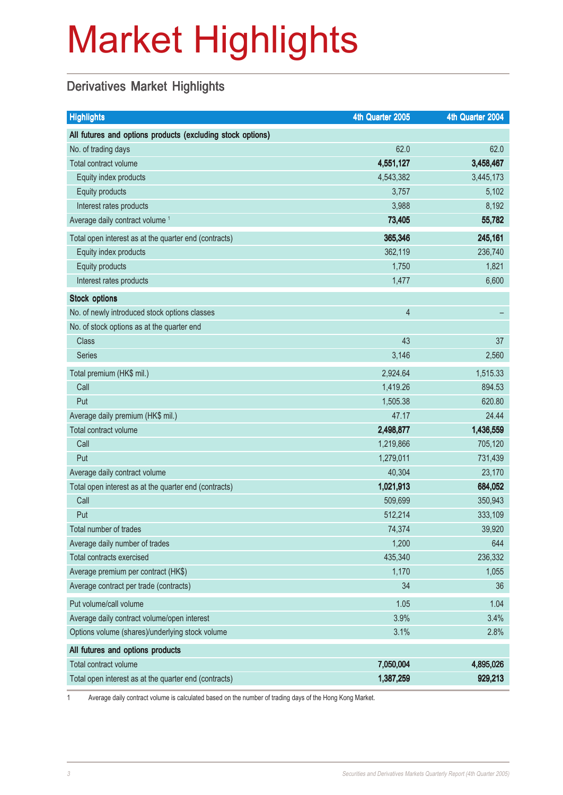# Market Highlights

## Derivatives Market Highlights

| <b>Highlights</b>                                          | 4th Quarter 2005 | 4th Quarter 2004 |
|------------------------------------------------------------|------------------|------------------|
| All futures and options products (excluding stock options) |                  |                  |
| No. of trading days                                        | 62.0             | 62.0             |
| Total contract volume                                      | 4,551,127        | 3,458,467        |
| Equity index products                                      | 4,543,382        | 3,445,173        |
| Equity products                                            | 3,757            | 5,102            |
| Interest rates products                                    | 3,988            | 8,192            |
| Average daily contract volume <sup>1</sup>                 | 73,405           | 55,782           |
| Total open interest as at the quarter end (contracts)      | 365,346          | 245,161          |
| Equity index products                                      | 362,119          | 236,740          |
| Equity products                                            | 1,750            | 1,821            |
| Interest rates products                                    | 1,477            | 6,600            |
| <b>Stock options</b>                                       |                  |                  |
| No. of newly introduced stock options classes              | $\overline{4}$   |                  |
| No. of stock options as at the quarter end                 |                  |                  |
| <b>Class</b>                                               | 43               | 37               |
| <b>Series</b>                                              | 3,146            | 2,560            |
| Total premium (HK\$ mil.)                                  | 2,924.64         | 1,515.33         |
| Call                                                       | 1,419.26         | 894.53           |
| Put                                                        | 1,505.38         | 620.80           |
| Average daily premium (HK\$ mil.)                          | 47.17            | 24.44            |
| Total contract volume                                      | 2,498,877        | 1,436,559        |
| Call                                                       | 1,219,866        | 705,120          |
| Put                                                        | 1,279,011        | 731,439          |
| Average daily contract volume                              | 40,304           | 23,170           |
| Total open interest as at the quarter end (contracts)      | 1,021,913        | 684,052          |
| Call                                                       | 509,699          | 350,943          |
| Put                                                        | 512,214          | 333,109          |
| Total number of trades                                     | 74,374           | 39,920           |
| Average daily number of trades                             | 1,200            | 644              |
| <b>Total contracts exercised</b>                           | 435,340          | 236,332          |
| Average premium per contract (HK\$)                        | 1,170            | 1,055            |
| Average contract per trade (contracts)                     | 34               | 36               |
| Put volume/call volume                                     | 1.05             | 1.04             |
| Average daily contract volume/open interest                | 3.9%             | 3.4%             |
| Options volume (shares)/underlying stock volume            | 3.1%             | 2.8%             |
| All futures and options products                           |                  |                  |
| Total contract volume                                      | 7,050,004        | 4,895,026        |
| Total open interest as at the quarter end (contracts)      | 1,387,259        | 929,213          |

1 Average daily contract volume is calculated based on the number of trading days of the Hong Kong Market.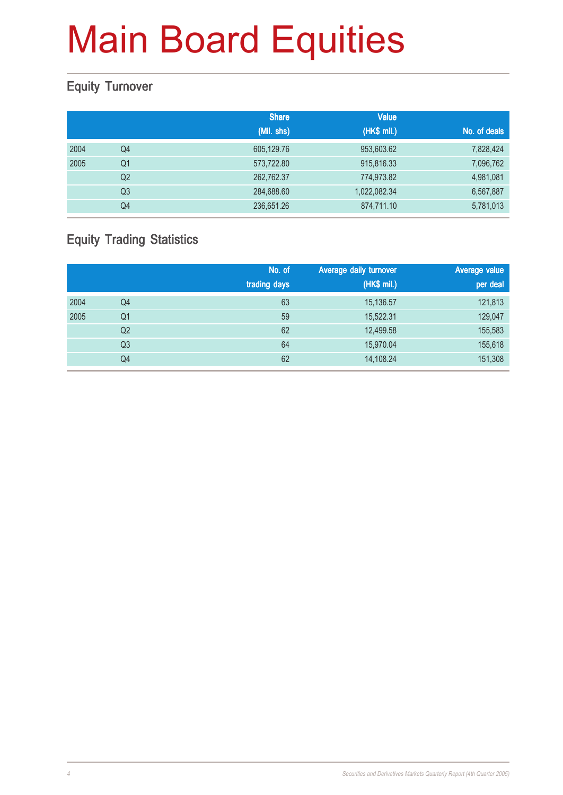### Equity Turnover

|      |                | <b>Share</b> | <b>Value</b> |              |
|------|----------------|--------------|--------------|--------------|
|      |                | (Mil. shs)   | (HK\$ mil.)  | No. of deals |
| 2004 | Q4             | 605,129.76   | 953,603.62   | 7,828,424    |
| 2005 | Q <sub>1</sub> | 573,722.80   | 915,816.33   | 7,096,762    |
|      | Q <sub>2</sub> | 262,762.37   | 774,973.82   | 4,981,081    |
|      | Q <sub>3</sub> | 284,688.60   | 1,022,082.34 | 6,567,887    |
|      | Q4             | 236,651.26   | 874,711.10   | 5,781,013    |

### Equity Trading Statistics

|      |                | No. of<br>trading days | Average daily turnover<br>(HK\$ mil.) | Average value<br>per deal |
|------|----------------|------------------------|---------------------------------------|---------------------------|
| 2004 | Q4             | 63                     | 15,136.57                             | 121,813                   |
| 2005 | Q1             | 59                     | 15,522.31                             | 129,047                   |
|      | Q <sub>2</sub> | 62                     | 12,499.58                             | 155,583                   |
|      | Q <sub>3</sub> | 64                     | 15,970.04                             | 155,618                   |
|      | Q4             | 62                     | 14,108.24                             | 151,308                   |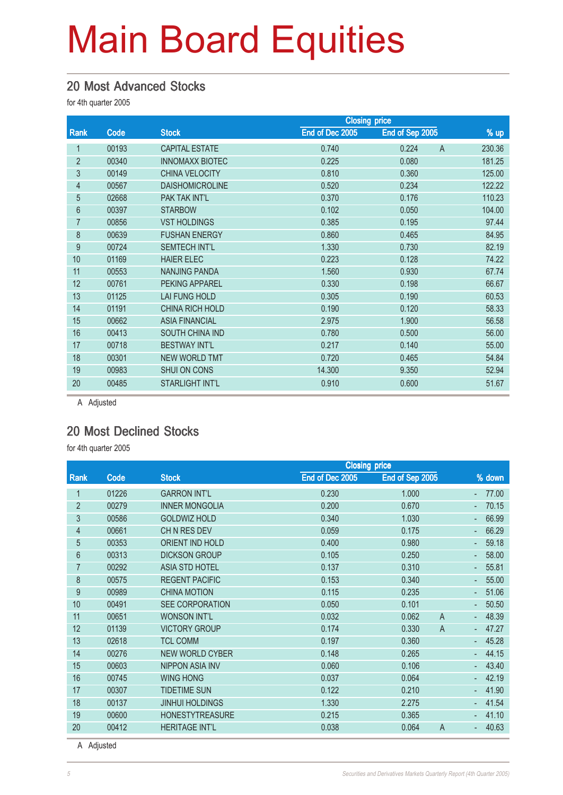#### 20 Most Advanced Stocks

for 4th quarter 2005

|                |       |                        | <b>Closing price</b> |                         |        |
|----------------|-------|------------------------|----------------------|-------------------------|--------|
| Rank           | Code  | <b>Stock</b>           | End of Dec 2005      | End of Sep 2005         | $%$ up |
|                | 00193 | <b>CAPITAL ESTATE</b>  | 0.740                | 0.224<br>$\overline{A}$ | 230.36 |
| $\overline{2}$ | 00340 | <b>INNOMAXX BIOTEC</b> | 0.225                | 0.080                   | 181.25 |
| 3              | 00149 | <b>CHINA VELOCITY</b>  | 0.810                | 0.360                   | 125.00 |
| 4              | 00567 | <b>DAISHOMICROLINE</b> | 0.520                | 0.234                   | 122.22 |
| 5              | 02668 | PAK TAK INT'L          | 0.370                | 0.176                   | 110.23 |
| 6              | 00397 | <b>STARBOW</b>         | 0.102                | 0.050                   | 104.00 |
| $\overline{7}$ | 00856 | <b>VST HOLDINGS</b>    | 0.385                | 0.195                   | 97.44  |
| 8              | 00639 | <b>FUSHAN ENERGY</b>   | 0.860                | 0.465                   | 84.95  |
| 9              | 00724 | <b>SEMTECH INT'L</b>   | 1.330                | 0.730                   | 82.19  |
| 10             | 01169 | <b>HAIER ELEC</b>      | 0.223                | 0.128                   | 74.22  |
| 11             | 00553 | <b>NANJING PANDA</b>   | 1.560                | 0.930                   | 67.74  |
| 12             | 00761 | <b>PEKING APPAREL</b>  | 0.330                | 0.198                   | 66.67  |
| 13             | 01125 | LAI FUNG HOLD          | 0.305                | 0.190                   | 60.53  |
| 14             | 01191 | <b>CHINA RICH HOLD</b> | 0.190                | 0.120                   | 58.33  |
| 15             | 00662 | <b>ASIA FINANCIAL</b>  | 2.975                | 1.900                   | 56.58  |
| 16             | 00413 | SOUTH CHINA IND        | 0.780                | 0.500                   | 56.00  |
| 17             | 00718 | <b>BESTWAY INT'L</b>   | 0.217                | 0.140                   | 55.00  |
| 18             | 00301 | <b>NEW WORLD TMT</b>   | 0.720                | 0.465                   | 54.84  |
| 19             | 00983 | <b>SHUI ON CONS</b>    | 14.300               | 9.350                   | 52.94  |
| 20             | 00485 | <b>STARLIGHT INT'L</b> | 0.910                | 0.600                   | 51.67  |
|                |       |                        |                      |                         |        |

A Adjusted

### 20 Most Declined Stocks

for 4th quarter 2005

|                |       | <b>Closing price</b>   |                 |                         |            |
|----------------|-------|------------------------|-----------------|-------------------------|------------|
| Rank           | Code  | <b>Stock</b>           | End of Dec 2005 | End of Sep 2005         | % down     |
| 1              | 01226 | <b>GARRON INT'L</b>    | 0.230           | 1.000                   | 77.00      |
| $\overline{2}$ | 00279 | <b>INNER MONGOLIA</b>  | 0.200           | 0.670                   | 70.15      |
| 3              | 00586 | <b>GOLDWIZ HOLD</b>    | 0.340           | 1.030                   | 66.99      |
| 4              | 00661 | CH N RES DEV           | 0.059           | 0.175                   | 66.29<br>٠ |
| 5              | 00353 | <b>ORIENT IND HOLD</b> | 0.400           | 0.980                   | 59.18      |
| 6              | 00313 | <b>DICKSON GROUP</b>   | 0.105           | 0.250                   | 58.00      |
| $\overline{7}$ | 00292 | <b>ASIA STD HOTEL</b>  | 0.137           | 0.310                   | 55.81      |
| 8              | 00575 | <b>REGENT PACIFIC</b>  | 0.153           | 0.340                   | 55.00      |
| 9              | 00989 | <b>CHINA MOTION</b>    | 0.115           | 0.235                   | 51.06      |
| 10             | 00491 | <b>SEE CORPORATION</b> | 0.050           | 0.101                   | 50.50      |
| 11             | 00651 | <b>WONSON INT'L</b>    | 0.032           | 0.062<br>A              | 48.39      |
| 12             | 01139 | <b>VICTORY GROUP</b>   | 0.174           | $\overline{A}$<br>0.330 | 47.27      |
| 13             | 02618 | <b>TCL COMM</b>        | 0.197           | 0.360                   | 45.28      |
| 14             | 00276 | <b>NEW WORLD CYBER</b> | 0.148           | 0.265                   | 44.15      |
| 15             | 00603 | <b>NIPPON ASIA INV</b> | 0.060           | 0.106                   | 43.40      |
| 16             | 00745 | <b>WING HONG</b>       | 0.037           | 0.064                   | 42.19      |
| 17             | 00307 | <b>TIDETIME SUN</b>    | 0.122           | 0.210                   | 41.90      |
| 18             | 00137 | <b>JINHUI HOLDINGS</b> | 1.330           | 2.275                   | 41.54      |
| 19             | 00600 | <b>HONESTYTREASURE</b> | 0.215           | 0.365                   | 41.10      |
| 20             | 00412 | <b>HERITAGE INT'L</b>  | 0.038           | 0.064<br>$\overline{A}$ | 40.63      |

A Adjusted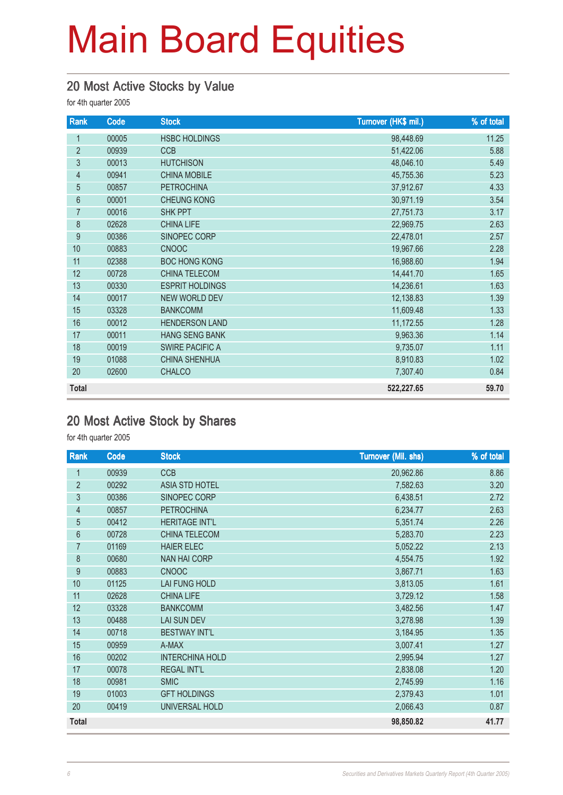#### 20 Most Active Stocks by Value

for 4th quarter 2005

| Rank             | Code  | <b>Stock</b>           | Turnover (HK\$ mil.) | % of total |
|------------------|-------|------------------------|----------------------|------------|
| 1                | 00005 | <b>HSBC HOLDINGS</b>   | 98,448.69            | 11.25      |
| $\overline{2}$   | 00939 | <b>CCB</b>             | 51,422.06            | 5.88       |
| $\mathfrak{Z}$   | 00013 | <b>HUTCHISON</b>       | 48,046.10            | 5.49       |
| $\overline{4}$   | 00941 | <b>CHINA MOBILE</b>    | 45,755.36            | 5.23       |
| 5                | 00857 | <b>PETROCHINA</b>      | 37,912.67            | 4.33       |
| 6                | 00001 | <b>CHEUNG KONG</b>     | 30,971.19            | 3.54       |
| $\overline{7}$   | 00016 | <b>SHK PPT</b>         | 27,751.73            | 3.17       |
| 8                | 02628 | <b>CHINA LIFE</b>      | 22,969.75            | 2.63       |
| $\boldsymbol{9}$ | 00386 | SINOPEC CORP           | 22,478.01            | 2.57       |
| 10               | 00883 | <b>CNOOC</b>           | 19,967.66            | 2.28       |
| 11               | 02388 | <b>BOC HONG KONG</b>   | 16,988.60            | 1.94       |
| 12               | 00728 | CHINA TELECOM          | 14,441.70            | 1.65       |
| 13               | 00330 | <b>ESPRIT HOLDINGS</b> | 14,236.61            | 1.63       |
| 14               | 00017 | <b>NEW WORLD DEV</b>   | 12,138.83            | 1.39       |
| 15               | 03328 | <b>BANKCOMM</b>        | 11,609.48            | 1.33       |
| 16               | 00012 | <b>HENDERSON LAND</b>  | 11,172.55            | 1.28       |
| 17               | 00011 | <b>HANG SENG BANK</b>  | 9,963.36             | 1.14       |
| 18               | 00019 | <b>SWIRE PACIFIC A</b> | 9,735.07             | 1.11       |
| 19               | 01088 | <b>CHINA SHENHUA</b>   | 8,910.83             | 1.02       |
| 20               | 02600 | <b>CHALCO</b>          | 7,307.40             | 0.84       |
| <b>Total</b>     |       |                        | 522,227.65           | 59.70      |

#### 20 Most Active Stock by Shares

| Rank           | Code  | <b>Stock</b>           | <b>Turnover (Mil. shs)</b> | % of total |
|----------------|-------|------------------------|----------------------------|------------|
| 1              | 00939 | <b>CCB</b>             | 20,962.86                  | 8.86       |
| $\overline{2}$ | 00292 | <b>ASIA STD HOTEL</b>  | 7,582.63                   | 3.20       |
| $\mathfrak{Z}$ | 00386 | SINOPEC CORP           | 6,438.51                   | 2.72       |
| $\overline{4}$ | 00857 | <b>PETROCHINA</b>      | 6,234.77                   | 2.63       |
| 5              | 00412 | <b>HERITAGE INT'L</b>  | 5,351.74                   | 2.26       |
| $6\phantom{a}$ | 00728 | <b>CHINA TELECOM</b>   | 5,283.70                   | 2.23       |
| 7              | 01169 | <b>HAIER ELEC</b>      | 5,052.22                   | 2.13       |
| 8              | 00680 | <b>NAN HAI CORP</b>    | 4,554.75                   | 1.92       |
| $\overline{9}$ | 00883 | <b>CNOOC</b>           | 3,867.71                   | 1.63       |
| 10             | 01125 | <b>LAI FUNG HOLD</b>   | 3,813.05                   | 1.61       |
| 11             | 02628 | <b>CHINA LIFE</b>      | 3,729.12                   | 1.58       |
| 12             | 03328 | <b>BANKCOMM</b>        | 3,482.56                   | 1.47       |
| 13             | 00488 | <b>LAI SUN DEV</b>     | 3,278.98                   | 1.39       |
| 14             | 00718 | <b>BESTWAY INT'L</b>   | 3,184.95                   | 1.35       |
| 15             | 00959 | A-MAX                  | 3,007.41                   | 1.27       |
| 16             | 00202 | <b>INTERCHINA HOLD</b> | 2,995.94                   | 1.27       |
| 17             | 00078 | <b>REGAL INT'L</b>     | 2,838.08                   | 1.20       |
| 18             | 00981 | <b>SMIC</b>            | 2,745.99                   | 1.16       |
| 19             | 01003 | <b>GFT HOLDINGS</b>    | 2,379.43                   | 1.01       |
| 20             | 00419 | UNIVERSAL HOLD         | 2,066.43                   | 0.87       |
| <b>Total</b>   |       |                        | 98,850.82                  | 41.77      |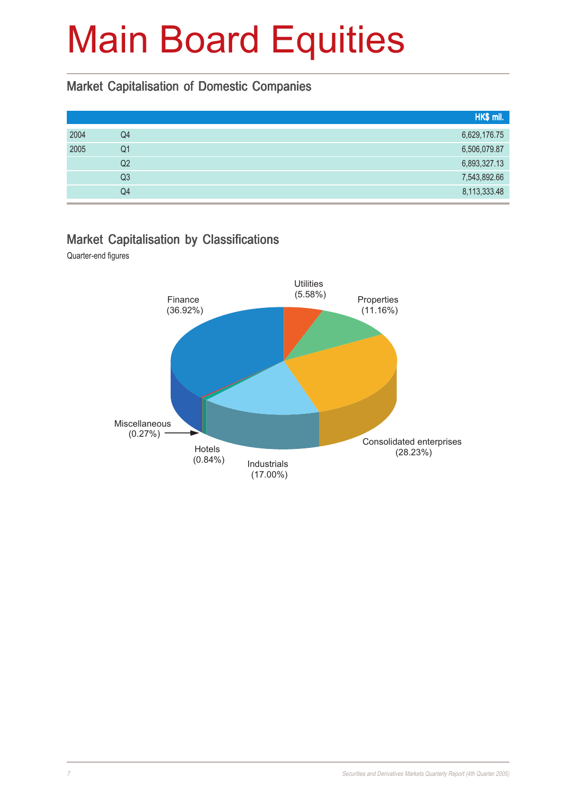#### Market Capitalisation of Domestic Companies

|      |                | HK\$ mil.    |
|------|----------------|--------------|
| 2004 | Q4             | 6,629,176.75 |
| 2005 | Q <sub>1</sub> | 6,506,079.87 |
|      | Q2             | 6,893,327.13 |
|      | Q3             | 7,543,892.66 |
|      | Q4             | 8,113,333.48 |

#### Market Capitalisation by Classifications

Quarter-end figures

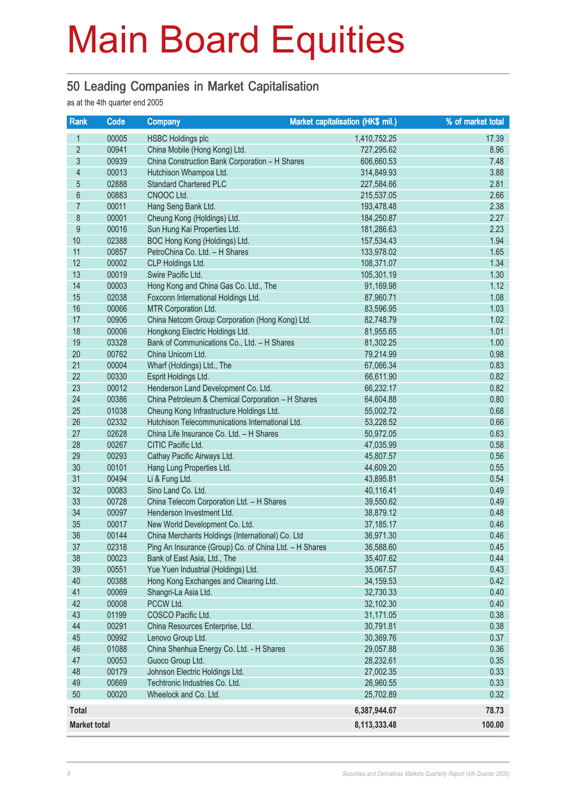#### 50 Leading Companies in Market Capitalisation

as at the 4th quarter end 2005

| Rank                     | Code  | <b>Company</b>                                         | Market capitalisation (HK\$ mil.) | % of market total |
|--------------------------|-------|--------------------------------------------------------|-----------------------------------|-------------------|
| 1                        | 00005 | <b>HSBC Holdings plc</b>                               | 1,410,752.25                      | 17.39             |
| $\overline{2}$           | 00941 | China Mobile (Hong Kong) Ltd.                          | 727,295.62                        | 8.96              |
| 3                        | 00939 | China Construction Bank Corporation - H Shares         | 606,660.53                        | 7.48              |
| $\overline{\mathcal{L}}$ | 00013 | Hutchison Whampoa Ltd.                                 | 314,849.93                        | 3.88              |
| 5                        | 02888 | <b>Standard Chartered PLC</b>                          | 227,584.66                        | 2.81              |
| $6\phantom{a}$           | 00883 | CNOOC Ltd.                                             | 215,537.05                        | 2.66              |
| $\overline{7}$           | 00011 | Hang Seng Bank Ltd.                                    | 193,478.48                        | 2.38              |
| 8                        | 00001 | Cheung Kong (Holdings) Ltd.                            | 184,250.87                        | 2.27              |
| 9                        | 00016 | Sun Hung Kai Properties Ltd.                           | 181,286.63                        | 2.23              |
| 10                       | 02388 | BOC Hong Kong (Holdings) Ltd.                          | 157,534.43                        | 1.94              |
| 11                       | 00857 | PetroChina Co. Ltd. - H Shares                         | 133,978.02                        | 1.65              |
| 12                       | 00002 | CLP Holdings Ltd.                                      | 108,371.07                        | 1.34              |
| 13                       | 00019 | Swire Pacific Ltd.                                     | 105,301.19                        | 1.30              |
| 14                       | 00003 | Hong Kong and China Gas Co. Ltd., The                  | 91,169.98                         | 1.12              |
| 15                       | 02038 | Foxconn International Holdings Ltd.                    | 87,960.71                         | 1.08              |
| 16                       | 00066 | MTR Corporation Ltd.                                   | 83,596.95                         | 1.03              |
| 17                       | 00906 | China Netcom Group Corporation (Hong Kong) Ltd.        | 82,748.79                         | 1.02              |
| 18                       | 00006 | Hongkong Electric Holdings Ltd.                        | 81,955.65                         | 1.01              |
| 19                       | 03328 | Bank of Communications Co., Ltd. - H Shares            | 81,302.25                         | 1.00              |
| 20                       | 00762 | China Unicom Ltd.                                      | 79,214.99                         | 0.98              |
| 21                       | 00004 | Wharf (Holdings) Ltd., The                             | 67,066.34                         | 0.83              |
| 22                       | 00330 | Esprit Holdings Ltd.                                   | 66,611.90                         | 0.82              |
| 23                       | 00012 | Henderson Land Development Co. Ltd.                    | 66,232.17                         | 0.82              |
| 24                       | 00386 | China Petroleum & Chemical Corporation - H Shares      | 64,604.88                         | 0.80              |
| 25                       | 01038 | Cheung Kong Infrastructure Holdings Ltd.               | 55,002.72                         | 0.68              |
| 26                       | 02332 | Hutchison Telecommunications International Ltd.        | 53,228.52                         | 0.66              |
| 27                       | 02628 | China Life Insurance Co. Ltd. - H Shares               | 50,972.05                         | 0.63              |
| 28                       | 00267 | CITIC Pacific Ltd.                                     | 47,035.99                         | 0.58              |
| 29                       | 00293 | Cathay Pacific Airways Ltd.                            | 45,807.57                         | 0.56              |
| 30                       | 00101 | Hang Lung Properties Ltd.                              | 44,609.20                         | 0.55              |
| 31                       | 00494 | Li & Fung Ltd.                                         | 43,895.81                         | 0.54              |
| 32                       | 00083 | Sino Land Co. Ltd.                                     | 40,116.41                         | 0.49              |
| 33                       | 00728 | China Telecom Corporation Ltd. - H Shares              | 39,550.62                         | 0.49              |
| 34                       | 00097 | Henderson Investment Ltd.                              | 38,879.12                         | 0.48              |
| 35                       | 00017 | New World Development Co. Ltd.                         | 37,185.17                         | 0.46              |
| 36                       | 00144 | China Merchants Holdings (International) Co. Ltd       | 36,971.30                         | 0.46              |
| 37                       | 02318 | Ping An Insurance (Group) Co. of China Ltd. - H Shares | 36,588.60                         | 0.45              |
| 38                       | 00023 | Bank of East Asia, Ltd., The                           | 35,407.62                         | 0.44              |
| 39                       | 00551 | Yue Yuen Industrial (Holdings) Ltd.                    | 35,067.57                         | 0.43              |
| 40                       | 00388 | Hong Kong Exchanges and Clearing Ltd.                  | 34,159.53                         | 0.42              |
| 41                       | 00069 | Shangri-La Asia Ltd.                                   | 32,730.33                         | 0.40              |
| 42                       | 00008 | PCCW Ltd.                                              | 32,102.30                         | 0.40              |
| 43                       | 01199 | COSCO Pacific Ltd.                                     | 31,171.05                         | 0.38              |
| 44                       | 00291 | China Resources Enterprise, Ltd.                       | 30,791.81                         | 0.38              |
| 45                       | 00992 | Lenovo Group Ltd.                                      | 30,369.76                         | 0.37              |
| 46                       | 01088 | China Shenhua Energy Co. Ltd. - H Shares               | 29,057.88                         | 0.36              |
| 47                       | 00053 | Guoco Group Ltd.                                       | 28,232.61                         | 0.35              |
| 48                       | 00179 | Johnson Electric Holdings Ltd.                         | 27,002.35                         | 0.33              |
| 49                       | 00669 | Techtronic Industries Co. Ltd.                         | 26,960.55                         | 0.33              |
| 50                       | 00020 | Wheelock and Co. Ltd.                                  | 25,702.89                         | 0.32              |
| <b>Total</b>             |       |                                                        | 6,387,944.67                      | 78.73             |
| <b>Market total</b>      |       |                                                        | 8,113,333.48                      | 100.00            |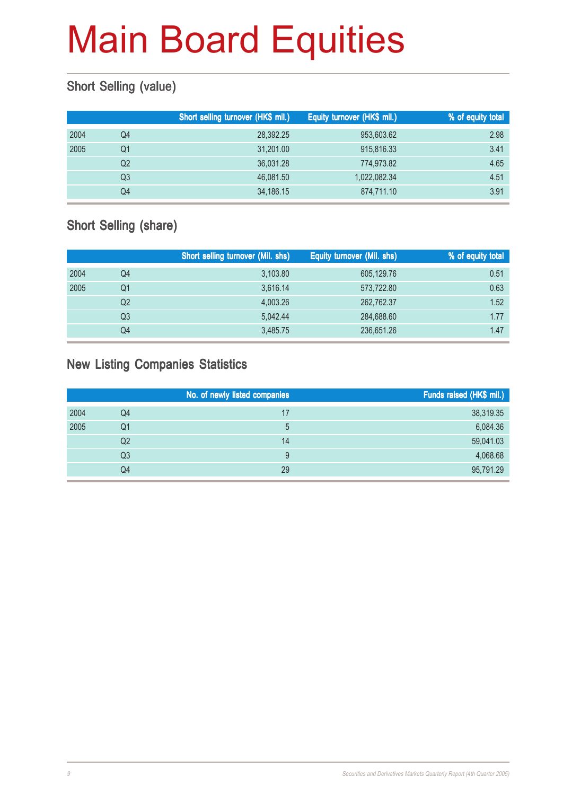## Short Selling (value)

|      |                | Short selling turnover (HK\$ mil.) | Equity turnover (HK\$ mil.) | % of equity total |
|------|----------------|------------------------------------|-----------------------------|-------------------|
| 2004 | Q4             | 28,392.25                          | 953,603.62                  | 2.98              |
| 2005 | Q1             | 31,201.00                          | 915,816.33                  | 3.41              |
|      | Q <sub>2</sub> | 36.031.28                          | 774.973.82                  | 4.65              |
|      | Q3             | 46.081.50                          | 1,022,082.34                | 4.51              |
|      | Q4             | 34,186.15                          | 874,711.10                  | 3.91              |

### Short Selling (share)

|      |                | Short selling turnover (Mil. shs) | Equity turnover (Mil. shs) | % of equity total |
|------|----------------|-----------------------------------|----------------------------|-------------------|
| 2004 | Q4             | 3,103.80                          | 605,129.76                 | 0.51              |
| 2005 | Q1             | 3,616.14                          | 573,722.80                 | 0.63              |
|      | Q <sub>2</sub> | 4,003.26                          | 262,762.37                 | 1.52              |
|      | Q3             | 5.042.44                          | 284,688.60                 | 1.77              |
|      | Q4             | 3,485.75                          | 236,651.26                 | 1.47              |

### New Listing Companies Statistics

|      |    | No. of newly listed companies | Funds raised (HK\$ mil.) |
|------|----|-------------------------------|--------------------------|
| 2004 | Q4 | 17                            | 38,319.35                |
| 2005 | Q1 |                               | 6,084.36                 |
|      | Q2 | 14                            | 59,041.03                |
|      | Q3 | 9                             | 4,068.68                 |
|      | Q4 | 29                            | 95,791.29                |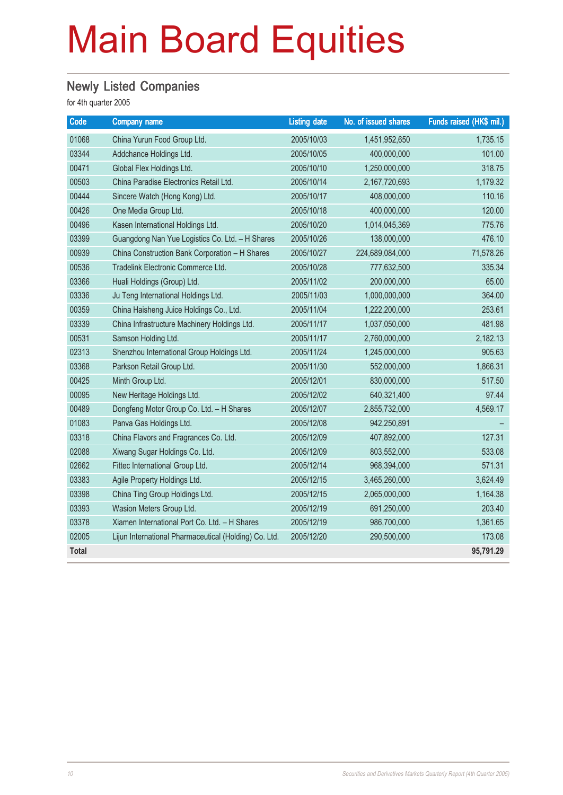## **Newly Listed Companies**

| Code         | <b>Company name</b>                                   | <b>Listing date</b> | No. of issued shares | Funds raised (HK\$ mil.) |
|--------------|-------------------------------------------------------|---------------------|----------------------|--------------------------|
| 01068        | China Yurun Food Group Ltd.                           | 2005/10/03          | 1,451,952,650        | 1,735.15                 |
| 03344        | Addchance Holdings Ltd.                               | 2005/10/05          | 400,000,000          | 101.00                   |
| 00471        | Global Flex Holdings Ltd.                             | 2005/10/10          | 1,250,000,000        | 318.75                   |
| 00503        | China Paradise Electronics Retail Ltd.                | 2005/10/14          | 2,167,720,693        | 1,179.32                 |
| 00444        | Sincere Watch (Hong Kong) Ltd.                        | 2005/10/17          | 408,000,000          | 110.16                   |
| 00426        | One Media Group Ltd.                                  | 2005/10/18          | 400,000,000          | 120.00                   |
| 00496        | Kasen International Holdings Ltd.                     | 2005/10/20          | 1,014,045,369        | 775.76                   |
| 03399        | Guangdong Nan Yue Logistics Co. Ltd. - H Shares       | 2005/10/26          | 138,000,000          | 476.10                   |
| 00939        | China Construction Bank Corporation - H Shares        | 2005/10/27          | 224,689,084,000      | 71,578.26                |
| 00536        | Tradelink Electronic Commerce Ltd.                    | 2005/10/28          | 777,632,500          | 335.34                   |
| 03366        | Huali Holdings (Group) Ltd.                           | 2005/11/02          | 200,000,000          | 65.00                    |
| 03336        | Ju Teng International Holdings Ltd.                   | 2005/11/03          | 1,000,000,000        | 364.00                   |
| 00359        | China Haisheng Juice Holdings Co., Ltd.               | 2005/11/04          | 1,222,200,000        | 253.61                   |
| 03339        | China Infrastructure Machinery Holdings Ltd.          | 2005/11/17          | 1,037,050,000        | 481.98                   |
| 00531        | Samson Holding Ltd.                                   | 2005/11/17          | 2,760,000,000        | 2,182.13                 |
| 02313        | Shenzhou International Group Holdings Ltd.            | 2005/11/24          | 1,245,000,000        | 905.63                   |
| 03368        | Parkson Retail Group Ltd.                             | 2005/11/30          | 552,000,000          | 1,866.31                 |
| 00425        | Minth Group Ltd.                                      | 2005/12/01          | 830,000,000          | 517.50                   |
| 00095        | New Heritage Holdings Ltd.                            | 2005/12/02          | 640,321,400          | 97.44                    |
| 00489        | Dongfeng Motor Group Co. Ltd. - H Shares              | 2005/12/07          | 2,855,732,000        | 4,569.17                 |
| 01083        | Panva Gas Holdings Ltd.                               | 2005/12/08          | 942,250,891          |                          |
| 03318        | China Flavors and Fragrances Co. Ltd.                 | 2005/12/09          | 407,892,000          | 127.31                   |
| 02088        | Xiwang Sugar Holdings Co. Ltd.                        | 2005/12/09          | 803,552,000          | 533.08                   |
| 02662        | Fittec International Group Ltd.                       | 2005/12/14          | 968,394,000          | 571.31                   |
| 03383        | Agile Property Holdings Ltd.                          | 2005/12/15          | 3,465,260,000        | 3,624.49                 |
| 03398        | China Ting Group Holdings Ltd.                        | 2005/12/15          | 2,065,000,000        | 1,164.38                 |
| 03393        | Wasion Meters Group Ltd.                              | 2005/12/19          | 691,250,000          | 203.40                   |
| 03378        | Xiamen International Port Co. Ltd. - H Shares         | 2005/12/19          | 986,700,000          | 1,361.65                 |
| 02005        | Lijun International Pharmaceutical (Holding) Co. Ltd. | 2005/12/20          | 290,500,000          | 173.08                   |
| <b>Total</b> |                                                       |                     |                      | 95,791.29                |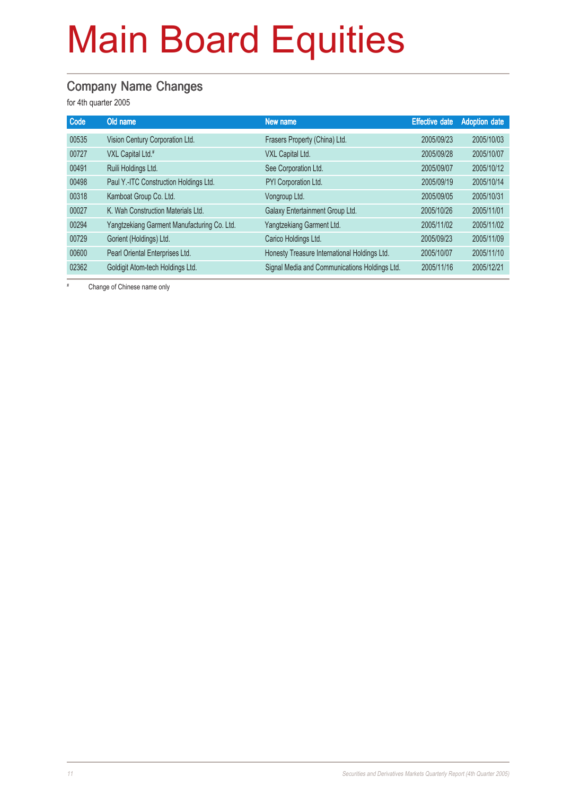#### Company Name Changes

for 4th quarter 2005

| Code  | Old name                                    | New name                                      | <b>Effective date</b> | <b>Adoption date</b> |
|-------|---------------------------------------------|-----------------------------------------------|-----------------------|----------------------|
| 00535 | Vision Century Corporation Ltd.             | Frasers Property (China) Ltd.                 | 2005/09/23            | 2005/10/03           |
| 00727 | VXL Capital Ltd.#                           | VXL Capital Ltd.                              | 2005/09/28            | 2005/10/07           |
| 00491 | Ruili Holdings Ltd.                         | See Corporation Ltd.                          | 2005/09/07            | 2005/10/12           |
| 00498 | Paul Y.-ITC Construction Holdings Ltd.      | PYI Corporation Ltd.                          | 2005/09/19            | 2005/10/14           |
| 00318 | Kamboat Group Co. Ltd.                      | Vongroup Ltd.                                 | 2005/09/05            | 2005/10/31           |
| 00027 | K. Wah Construction Materials Ltd.          | Galaxy Entertainment Group Ltd.               | 2005/10/26            | 2005/11/01           |
| 00294 | Yangtzekiang Garment Manufacturing Co. Ltd. | Yangtzekiang Garment Ltd.                     | 2005/11/02            | 2005/11/02           |
| 00729 | Gorient (Holdings) Ltd.                     | Carico Holdings Ltd.                          | 2005/09/23            | 2005/11/09           |
| 00600 | Pearl Oriental Enterprises Ltd.             | Honesty Treasure International Holdings Ltd.  | 2005/10/07            | 2005/11/10           |
| 02362 | Goldigit Atom-tech Holdings Ltd.            | Signal Media and Communications Holdings Ltd. | 2005/11/16            | 2005/12/21           |

# Change of Chinese name only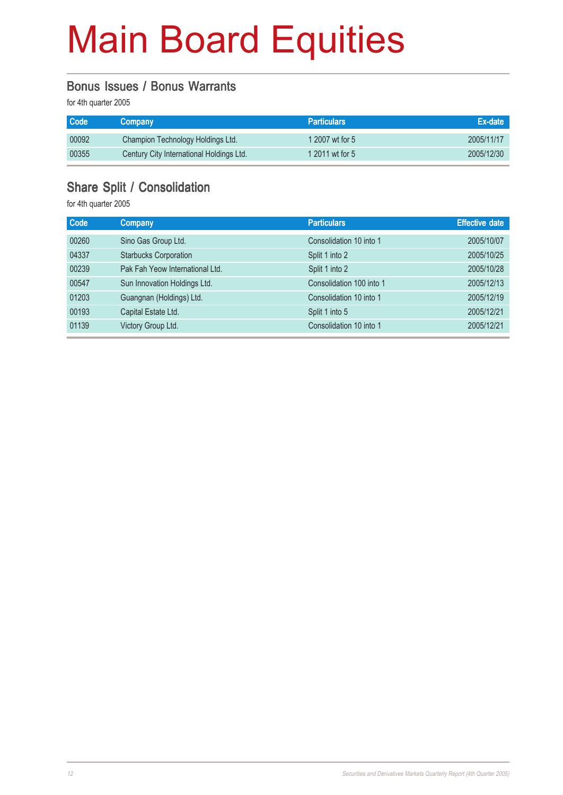#### Bonus Issues / Bonus Warrants

for 4th quarter 2005

| <b>Code</b> | <b>Company</b>                           | <b>Particulars</b> | Ex-date    |
|-------------|------------------------------------------|--------------------|------------|
| 00092       | Champion Technology Holdings Ltd.        | 1 2007 wt for 5    | 2005/11/17 |
| 00355       | Century City International Holdings Ltd. | 1 2011 wt for 5    | 2005/12/30 |

#### Share Split / Consolidation

| <b>Code</b> | <b>Company</b>                  | <b>Particulars</b>       | <b>Effective date</b> |
|-------------|---------------------------------|--------------------------|-----------------------|
| 00260       | Sino Gas Group Ltd.             | Consolidation 10 into 1  | 2005/10/07            |
| 04337       | <b>Starbucks Corporation</b>    | Split 1 into 2           | 2005/10/25            |
| 00239       | Pak Fah Yeow International Ltd. | Split 1 into 2           | 2005/10/28            |
| 00547       | Sun Innovation Holdings Ltd.    | Consolidation 100 into 1 | 2005/12/13            |
| 01203       | Guangnan (Holdings) Ltd.        | Consolidation 10 into 1  | 2005/12/19            |
| 00193       | Capital Estate Ltd.             | Split 1 into 5           | 2005/12/21            |
| 01139       | Victory Group Ltd.              | Consolidation 10 into 1  | 2005/12/21            |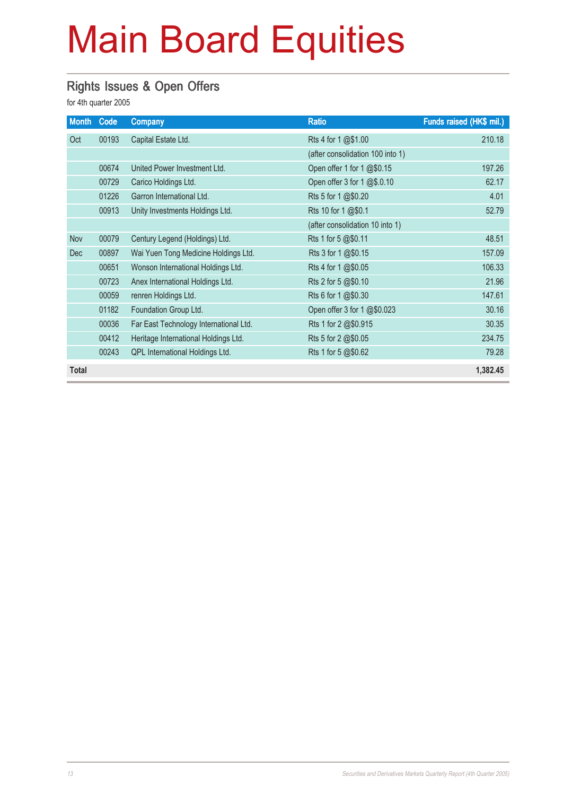### Rights Issues & Open Offers

| <b>Month</b> | Code  | Company                                | <b>Ratio</b>                     | Funds raised (HK\$ mil.) |
|--------------|-------|----------------------------------------|----------------------------------|--------------------------|
| Oct          | 00193 | Capital Estate Ltd.                    | Rts 4 for 1 @\$1.00              | 210.18                   |
|              |       |                                        | (after consolidation 100 into 1) |                          |
|              | 00674 | United Power Investment Ltd.           | Open offer 1 for 1 @\$0.15       | 197.26                   |
|              | 00729 | Carico Holdings Ltd.                   | Open offer 3 for 1 @\$.0.10      | 62.17                    |
|              | 01226 | Garron International Ltd.              | Rts 5 for 1 @\$0.20              | 4.01                     |
|              | 00913 | Unity Investments Holdings Ltd.        | Rts 10 for 1 @\$0.1              | 52.79                    |
|              |       |                                        | (after consolidation 10 into 1)  |                          |
| Nov          | 00079 | Century Legend (Holdings) Ltd.         | Rts 1 for 5 @\$0.11              | 48.51                    |
| <b>Dec</b>   | 00897 | Wai Yuen Tong Medicine Holdings Ltd.   | Rts 3 for 1 @\$0.15              | 157.09                   |
|              | 00651 | Wonson International Holdings Ltd.     | Rts 4 for 1 @\$0.05              | 106.33                   |
|              | 00723 | Anex International Holdings Ltd.       | Rts 2 for 5 @\$0.10              | 21.96                    |
|              | 00059 | renren Holdings Ltd.                   | Rts 6 for 1 @\$0.30              | 147.61                   |
|              | 01182 | Foundation Group Ltd.                  | Open offer 3 for 1 @\$0.023      | 30.16                    |
|              | 00036 | Far East Technology International Ltd. | Rts 1 for 2 @\$0.915             | 30.35                    |
|              | 00412 | Heritage International Holdings Ltd.   | Rts 5 for 2 @\$0.05              | 234.75                   |
|              | 00243 | QPL International Holdings Ltd.        | Rts 1 for 5 @\$0.62              | 79.28                    |
| <b>Total</b> |       |                                        |                                  | 1,382.45                 |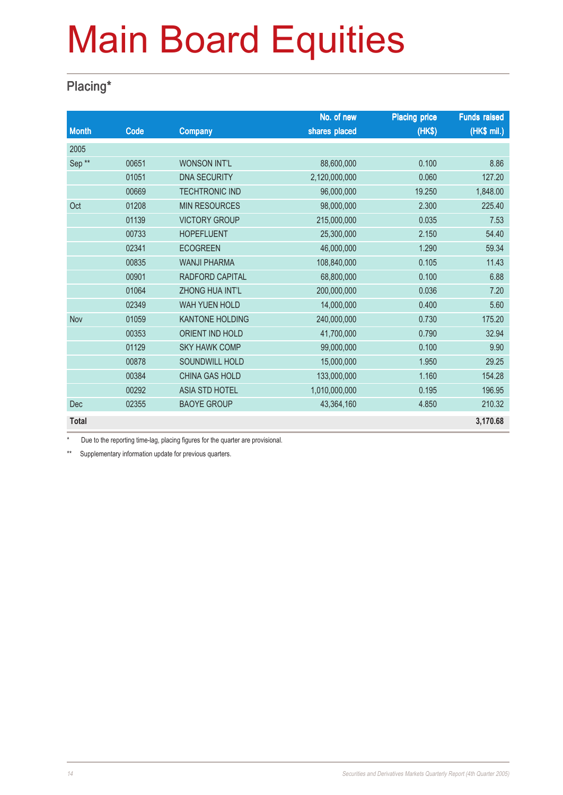## Placing\*

|                   |       |                        | No. of new    | <b>Placing price</b> | <b>Funds raised</b> |
|-------------------|-------|------------------------|---------------|----------------------|---------------------|
| <b>Month</b>      | Code  | <b>Company</b>         | shares placed | (HK\$)               | (HK\$ mil.)         |
| 2005              |       |                        |               |                      |                     |
| Sep <sup>**</sup> | 00651 | <b>WONSON INT'L</b>    | 88,600,000    | 0.100                | 8.86                |
|                   | 01051 | <b>DNA SECURITY</b>    | 2,120,000,000 | 0.060                | 127.20              |
|                   | 00669 | <b>TECHTRONIC IND</b>  | 96,000,000    | 19.250               | 1,848.00            |
| Oct               | 01208 | <b>MIN RESOURCES</b>   | 98,000,000    | 2.300                | 225.40              |
|                   | 01139 | <b>VICTORY GROUP</b>   | 215,000,000   | 0.035                | 7.53                |
|                   | 00733 | <b>HOPEFLUENT</b>      | 25,300,000    | 2.150                | 54.40               |
|                   | 02341 | <b>ECOGREEN</b>        | 46,000,000    | 1.290                | 59.34               |
|                   | 00835 | <b>WANJI PHARMA</b>    | 108,840,000   | 0.105                | 11.43               |
|                   | 00901 | RADFORD CAPITAL        | 68,800,000    | 0.100                | 6.88                |
|                   | 01064 | <b>ZHONG HUA INT'L</b> | 200,000,000   | 0.036                | 7.20                |
|                   | 02349 | WAH YUEN HOLD          | 14,000,000    | 0.400                | 5.60                |
| Nov               | 01059 | <b>KANTONE HOLDING</b> | 240,000,000   | 0.730                | 175.20              |
|                   | 00353 | <b>ORIENT IND HOLD</b> | 41,700,000    | 0.790                | 32.94               |
|                   | 01129 | <b>SKY HAWK COMP</b>   | 99,000,000    | 0.100                | 9.90                |
|                   | 00878 | SOUNDWILL HOLD         | 15,000,000    | 1.950                | 29.25               |
|                   | 00384 | <b>CHINA GAS HOLD</b>  | 133,000,000   | 1.160                | 154.28              |
|                   | 00292 | <b>ASIA STD HOTEL</b>  | 1,010,000,000 | 0.195                | 196.95              |
| Dec               | 02355 | <b>BAOYE GROUP</b>     | 43,364,160    | 4.850                | 210.32              |
| <b>Total</b>      |       |                        |               |                      | 3,170.68            |

Due to the reporting time-lag, placing figures for the quarter are provisional.

\*\* Supplementary information update for previous quarters.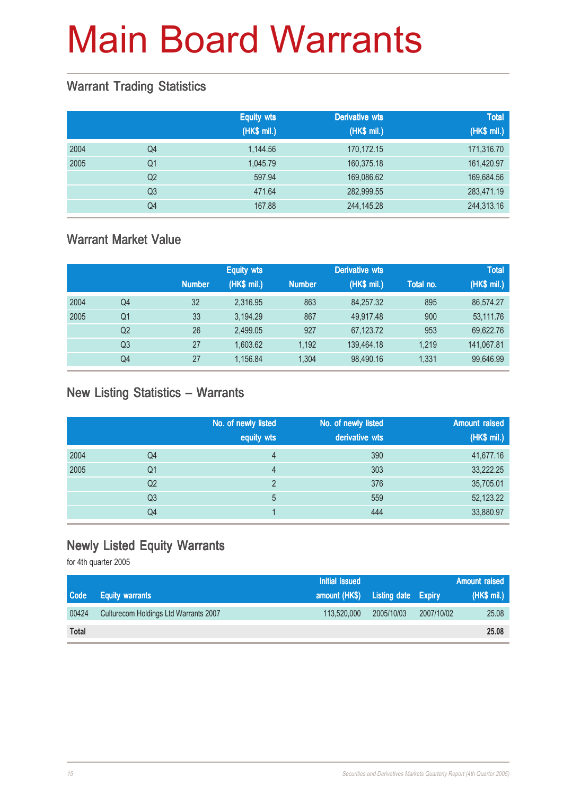#### Warrant Trading Statistics

|      |                | <b>Equity wts</b><br>(HK\$ mil.) | <b>Derivative wts</b><br>(HK\$ mil.) | <b>Total</b><br>(HK\$ mil.) |
|------|----------------|----------------------------------|--------------------------------------|-----------------------------|
| 2004 | Q4             | 1,144.56                         | 170,172.15                           | 171,316.70                  |
| 2005 | Q1             | 1,045.79                         | 160,375.18                           | 161,420.97                  |
|      | Q <sub>2</sub> | 597.94                           | 169,086.62                           | 169,684.56                  |
|      | Q <sub>3</sub> | 471.64                           | 282,999.55                           | 283,471.19                  |
|      | Q4             | 167.88                           | 244, 145. 28                         | 244,313.16                  |

#### Warrant Market Value

|      |                |               | <b>Equity wts</b> | <b>Derivative wts</b> |             |           | <b>Total</b> |
|------|----------------|---------------|-------------------|-----------------------|-------------|-----------|--------------|
|      |                | <b>Number</b> | (HK\$ mil.)       | <b>Number</b>         | (HK\$ mil.) | Total no. | (HK\$ mil.)  |
| 2004 | Q4             | 32            | 2,316.95          | 863                   | 84,257.32   | 895       | 86,574.27    |
| 2005 | Q1             | 33            | 3.194.29          | 867                   | 49.917.48   | 900       | 53,111.76    |
|      | Q <sub>2</sub> | 26            | 2.499.05          | 927                   | 67,123.72   | 953       | 69,622.76    |
|      | Q3             | 27            | 1.603.62          | 1.192                 | 139,464.18  | 1.219     | 141,067.81   |
|      | Q4             | 27            | 1.156.84          | 1.304                 | 98,490.16   | 1.331     | 99,646.99    |

#### New Listing Statistics – Warrants

|      |                | No. of newly listed<br>equity wts | No. of newly listed<br>derivative wts | <b>Amount raised</b><br>(HK\$ mil.) |
|------|----------------|-----------------------------------|---------------------------------------|-------------------------------------|
| 2004 | Q4             | 4                                 | 390                                   | 41,677.16                           |
| 2005 | Q1             | 4                                 | 303                                   | 33,222.25                           |
|      | Q <sub>2</sub> | っ                                 | 376                                   | 35,705.01                           |
|      | Q <sub>3</sub> | 5                                 | 559                                   | 52,123.22                           |
|      | Q4             |                                   | 444                                   | 33,880.97                           |

### Newly Listed Equity Warrants

|              |                                       | <b>Initial issued</b>             |            |            | Amount raised |
|--------------|---------------------------------------|-----------------------------------|------------|------------|---------------|
| Code         | <b>Equity warrants</b>                | amount (HK\$) Listing date Expiry |            |            | (HK\$ mil.)   |
| 00424        | Culturecom Holdings Ltd Warrants 2007 | 113,520,000                       | 2005/10/03 | 2007/10/02 | 25.08         |
| <b>Total</b> |                                       |                                   |            |            | 25.08         |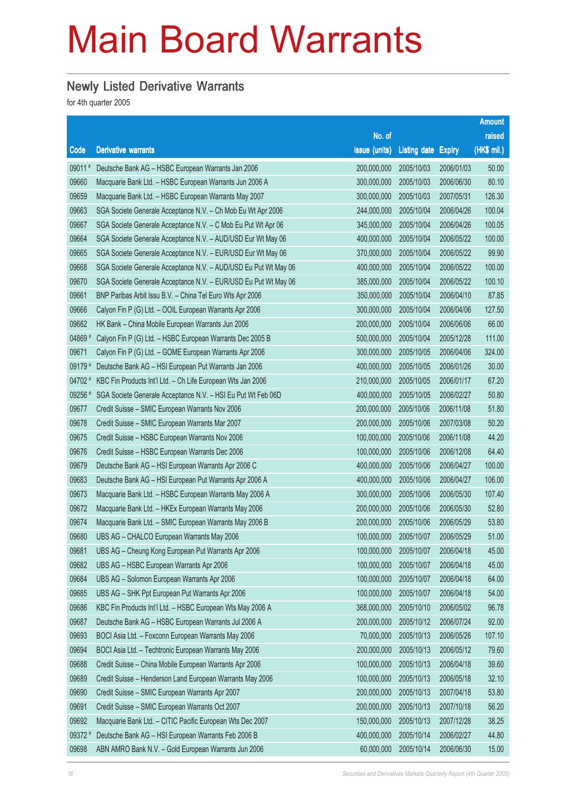### Newly Listed Derivative Warrants

|         |                                                                 |               |                            |            | <b>Amount</b> |
|---------|-----------------------------------------------------------------|---------------|----------------------------|------------|---------------|
|         |                                                                 | No. of        |                            |            | raised        |
| Code    | <b>Derivative warrants</b>                                      | issue (units) | <b>Listing date Expiry</b> |            | (HK\$ mil.)   |
| 09011#  | Deutsche Bank AG - HSBC European Warrants Jan 2006              | 200,000,000   | 2005/10/03                 | 2006/01/03 | 50.00         |
| 09660   | Macquarie Bank Ltd. - HSBC European Warrants Jun 2006 A         | 300,000,000   | 2005/10/03                 | 2006/06/30 | 80.10         |
| 09659   | Macquarie Bank Ltd. - HSBC European Warrants May 2007           | 300,000,000   | 2005/10/03                 | 2007/05/31 | 126.30        |
| 09663   | SGA Societe Generale Acceptance N.V. - Ch Mob Eu Wt Apr 2006    | 244,000,000   | 2005/10/04                 | 2006/04/26 | 100.04        |
| 09667   | SGA Societe Generale Acceptance N.V. - C Mob Eu Put Wt Apr 06   | 345,000,000   | 2005/10/04                 | 2006/04/26 | 100.05        |
| 09664   | SGA Societe Generale Acceptance N.V. - AUD/USD Eur Wt May 06    | 400,000,000   | 2005/10/04                 | 2006/05/22 | 100.00        |
| 09665   | SGA Societe Generale Acceptance N.V. - EUR/USD Eur Wt May 06    | 370,000,000   | 2005/10/04                 | 2006/05/22 | 99.90         |
| 09668   | SGA Societe Generale Acceptance N.V. - AUD/USD Eu Put Wt May 06 | 400,000,000   | 2005/10/04                 | 2006/05/22 | 100.00        |
| 09670   | SGA Societe Generale Acceptance N.V. - EUR/USD Eu Put Wt May 06 | 385,000,000   | 2005/10/04                 | 2006/05/22 | 100.10        |
| 09661   | BNP Paribas Arbit Issu B.V. - China Tel Euro Wts Apr 2006       | 350,000,000   | 2005/10/04                 | 2006/04/10 | 87.85         |
| 09666   | Calyon Fin P (G) Ltd. - OOIL European Warrants Apr 2006         | 300,000,000   | 2005/10/04                 | 2006/04/06 | 127.50        |
| 09662   | HK Bank - China Mobile European Warrants Jun 2006               | 200,000,000   | 2005/10/04                 | 2006/06/06 | 66.00         |
| 04869 # | Calyon Fin P (G) Ltd. - HSBC European Warrants Dec 2005 B       | 500,000,000   | 2005/10/04                 | 2005/12/28 | 111.00        |
| 09671   | Calyon Fin P (G) Ltd. - GOME European Warrants Apr 2006         | 300,000,000   | 2005/10/05                 | 2006/04/06 | 324.00        |
| 09179 # | Deutsche Bank AG - HSI European Put Warrants Jan 2006           | 400,000,000   | 2005/10/05                 | 2006/01/26 | 30.00         |
| 04702 # | KBC Fin Products Int'l Ltd. - Ch Life European Wts Jan 2006     | 210,000,000   | 2005/10/05                 | 2006/01/17 | 67.20         |
| 09256 # | SGA Societe Generale Acceptance N.V. - HSI Eu Put Wt Feb 06D    | 400,000,000   | 2005/10/05                 | 2006/02/27 | 50.80         |
| 09677   | Credit Suisse - SMIC European Warrants Nov 2006                 | 200,000,000   | 2005/10/06                 | 2006/11/08 | 51.80         |
| 09678   | Credit Suisse - SMIC European Warrants Mar 2007                 | 200,000,000   | 2005/10/06                 | 2007/03/08 | 50.20         |
| 09675   | Credit Suisse - HSBC European Warrants Nov 2006                 | 100,000,000   | 2005/10/06                 | 2006/11/08 | 44.20         |
| 09676   | Credit Suisse - HSBC European Warrants Dec 2006                 | 100,000,000   | 2005/10/06                 | 2006/12/08 | 64.40         |
| 09679   | Deutsche Bank AG - HSI European Warrants Apr 2006 C             | 400,000,000   | 2005/10/06                 | 2006/04/27 | 100.00        |
| 09683   | Deutsche Bank AG - HSI European Put Warrants Apr 2006 A         | 400,000,000   | 2005/10/06                 | 2006/04/27 | 106.00        |
| 09673   | Macquarie Bank Ltd. - HSBC European Warrants May 2006 A         | 300,000,000   | 2005/10/06                 | 2006/05/30 | 107.40        |
| 09672   | Macquarie Bank Ltd. - HKEx European Warrants May 2006           | 200,000,000   | 2005/10/06                 | 2006/05/30 | 52.80         |
| 09674   | Macquarie Bank Ltd. - SMIC European Warrants May 2006 B         | 200,000,000   | 2005/10/06                 | 2006/05/29 | 53.80         |
| 09680   | UBS AG - CHALCO European Warrants May 2006                      | 100,000,000   | 2005/10/07                 | 2006/05/29 | 51.00         |
| 09681   | UBS AG - Cheung Kong European Put Warrants Apr 2006             | 100,000,000   | 2005/10/07                 | 2006/04/18 | 45.00         |
| 09682   | UBS AG - HSBC European Warrants Apr 2006                        | 100,000,000   | 2005/10/07                 | 2006/04/18 | 45.00         |
| 09684   | UBS AG - Solomon European Warrants Apr 2006                     | 100,000,000   | 2005/10/07                 | 2006/04/18 | 64.00         |
| 09685   | UBS AG - SHK Ppt European Put Warrants Apr 2006                 | 100,000,000   | 2005/10/07                 | 2006/04/18 | 54.00         |
| 09686   | KBC Fin Products Int'l Ltd. - HSBC European Wts May 2006 A      | 368,000,000   | 2005/10/10                 | 2006/05/02 | 96.78         |
| 09687   | Deutsche Bank AG - HSBC European Warrants Jul 2006 A            | 200,000,000   | 2005/10/12                 | 2006/07/24 | 92.00         |
| 09693   | BOCI Asia Ltd. - Foxconn European Warrants May 2006             | 70,000,000    | 2005/10/13                 | 2006/05/26 | 107.10        |
| 09694   | BOCI Asia Ltd. - Techtronic European Warrants May 2006          | 200,000,000   | 2005/10/13                 | 2006/05/12 | 79.60         |
| 09688   | Credit Suisse - China Mobile European Warrants Apr 2006         | 100,000,000   | 2005/10/13                 | 2006/04/18 | 39.60         |
| 09689   | Credit Suisse - Henderson Land European Warrants May 2006       | 100,000,000   | 2005/10/13                 | 2006/05/18 | 32.10         |
| 09690   | Credit Suisse - SMIC European Warrants Apr 2007                 | 200,000,000   | 2005/10/13                 | 2007/04/18 | 53.80         |
| 09691   | Credit Suisse - SMIC European Warrants Oct 2007                 | 200,000,000   | 2005/10/13                 | 2007/10/18 | 56.20         |
| 09692   | Macquarie Bank Ltd. - CITIC Pacific European Wts Dec 2007       | 150,000,000   | 2005/10/13                 | 2007/12/28 | 38.25         |
| 09372 # | Deutsche Bank AG - HSI European Warrants Feb 2006 B             | 400,000,000   | 2005/10/14                 | 2006/02/27 | 44.80         |
| 09698   | ABN AMRO Bank N.V. - Gold European Warrants Jun 2006            | 60,000,000    | 2005/10/14                 | 2006/06/30 | 15.00         |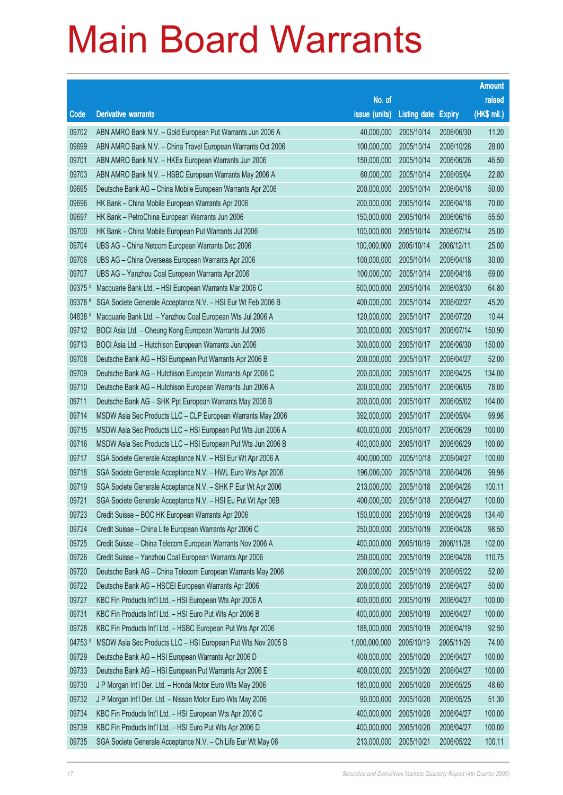|         |                                                              |                        |                            |            | <b>Amount</b> |
|---------|--------------------------------------------------------------|------------------------|----------------------------|------------|---------------|
|         |                                                              | No. of                 |                            |            | raised        |
| Code    | <b>Derivative warrants</b>                                   | issue (units)          | <b>Listing date Expiry</b> |            | (HK\$ mil.)   |
| 09702   | ABN AMRO Bank N.V. - Gold European Put Warrants Jun 2006 A   | 40,000,000             | 2005/10/14                 | 2006/06/30 | 11.20         |
| 09699   | ABN AMRO Bank N.V. - China Travel European Warrants Oct 2006 | 100,000,000            | 2005/10/14                 | 2006/10/26 | 28.00         |
| 09701   | ABN AMRO Bank N.V. - HKEx European Warrants Jun 2006         | 150,000,000            | 2005/10/14                 | 2006/06/26 | 46.50         |
| 09703   | ABN AMRO Bank N.V. - HSBC European Warrants May 2006 A       | 60,000,000             | 2005/10/14                 | 2006/05/04 | 22.80         |
| 09695   | Deutsche Bank AG - China Mobile European Warrants Apr 2006   | 200,000,000            | 2005/10/14                 | 2006/04/18 | 50.00         |
| 09696   | HK Bank - China Mobile European Warrants Apr 2006            | 200,000,000            | 2005/10/14                 | 2006/04/18 | 70.00         |
| 09697   | HK Bank - PetroChina European Warrants Jun 2006              | 150,000,000            | 2005/10/14                 | 2006/06/16 | 55.50         |
| 09700   | HK Bank - China Mobile European Put Warrants Jul 2006        | 100,000,000            | 2005/10/14                 | 2006/07/14 | 25.00         |
| 09704   | UBS AG - China Netcom European Warrants Dec 2006             | 100,000,000            | 2005/10/14                 | 2006/12/11 | 25.00         |
| 09706   | UBS AG - China Overseas European Warrants Apr 2006           | 100,000,000            | 2005/10/14                 | 2006/04/18 | 30.00         |
| 09707   | UBS AG - Yanzhou Coal European Warrants Apr 2006             | 100,000,000            | 2005/10/14                 | 2006/04/18 | 69.00         |
| 09375 # | Macquarie Bank Ltd. - HSI European Warrants Mar 2006 C       | 600,000,000            | 2005/10/14                 | 2006/03/30 | 64.80         |
| 09378 # | SGA Societe Generale Acceptance N.V. - HSI Eur Wt Feb 2006 B | 400,000,000            | 2005/10/14                 | 2006/02/27 | 45.20         |
| 04838 # | Macquarie Bank Ltd. - Yanzhou Coal European Wts Jul 2006 A   | 120,000,000            | 2005/10/17                 | 2006/07/20 | 10.44         |
| 09712   | BOCI Asia Ltd. - Cheung Kong European Warrants Jul 2006      | 300,000,000            | 2005/10/17                 | 2006/07/14 | 150.90        |
| 09713   | BOCI Asia Ltd. - Hutchison European Warrants Jun 2006        | 300,000,000            | 2005/10/17                 | 2006/06/30 | 150.00        |
| 09708   | Deutsche Bank AG - HSI European Put Warrants Apr 2006 B      | 200,000,000            | 2005/10/17                 | 2006/04/27 | 52.00         |
| 09709   | Deutsche Bank AG - Hutchison European Warrants Apr 2006 C    | 200,000,000            | 2005/10/17                 | 2006/04/25 | 134.00        |
| 09710   | Deutsche Bank AG - Hutchison European Warrants Jun 2006 A    | 200,000,000            | 2005/10/17                 | 2006/06/05 | 78.00         |
| 09711   | Deutsche Bank AG - SHK Ppt European Warrants May 2006 B      | 200,000,000            | 2005/10/17                 | 2006/05/02 | 104.00        |
| 09714   | MSDW Asia Sec Products LLC - CLP European Warrants May 2006  | 392,000,000            | 2005/10/17                 | 2006/05/04 | 99.96         |
| 09715   | MSDW Asia Sec Products LLC - HSI European Put Wts Jun 2006 A | 400,000,000            | 2005/10/17                 | 2006/06/29 | 100.00        |
| 09716   | MSDW Asia Sec Products LLC - HSI European Put Wts Jun 2006 B | 400,000,000            | 2005/10/17                 | 2006/06/29 | 100.00        |
| 09717   | SGA Societe Generale Acceptance N.V. - HSI Eur Wt Apr 2006 A | 400,000,000            | 2005/10/18                 | 2006/04/27 | 100.00        |
| 09718   | SGA Societe Generale Acceptance N.V. - HWL Euro Wts Apr 2006 | 196,000,000            | 2005/10/18                 | 2006/04/26 | 99.96         |
| 09719   | SGA Societe Generale Acceptance N.V. - SHK P Eur Wt Apr 2006 | 213,000,000            | 2005/10/18                 | 2006/04/26 | 100.11        |
| 09721   | SGA Societe Generale Acceptance N.V. - HSI Eu Put Wt Apr 06B | 400,000,000 2005/10/18 |                            | 2006/04/27 | 100.00        |
| 09723   | Credit Suisse - BOC HK European Warrants Apr 2006            | 150,000,000            | 2005/10/19                 | 2006/04/28 | 134.40        |
| 09724   | Credit Suisse - China Life European Warrants Apr 2006 C      | 250,000,000            | 2005/10/19                 | 2006/04/28 | 98.50         |
| 09725   | Credit Suisse - China Telecom European Warrants Nov 2006 A   | 400,000,000            | 2005/10/19                 | 2006/11/28 | 102.00        |
| 09726   | Credit Suisse - Yanzhou Coal European Warrants Apr 2006      | 250,000,000            | 2005/10/19                 | 2006/04/28 | 110.75        |
| 09720   | Deutsche Bank AG - China Telecom European Warrants May 2006  | 200,000,000            | 2005/10/19                 | 2006/05/22 | 52.00         |
| 09722   | Deutsche Bank AG - HSCEI European Warrants Apr 2006          | 200,000,000            | 2005/10/19                 | 2006/04/27 | 50.00         |
| 09727   | KBC Fin Products Int'l Ltd. - HSI European Wts Apr 2006 A    | 400,000,000            | 2005/10/19                 | 2006/04/27 | 100.00        |
| 09731   | KBC Fin Products Int'l Ltd. - HSI Euro Put Wts Apr 2006 B    | 400,000,000            | 2005/10/19                 | 2006/04/27 | 100.00        |
| 09728   | KBC Fin Products Int'l Ltd. - HSBC European Put Wts Apr 2006 | 188,000,000            | 2005/10/19                 | 2006/04/19 | 92.50         |
| 04753 # | MSDW Asia Sec Products LLC - HSI European Put Wts Nov 2005 B | 1,000,000,000          | 2005/10/19                 | 2005/11/29 | 74.00         |
| 09729   | Deutsche Bank AG - HSI European Warrants Apr 2006 D          | 400,000,000            | 2005/10/20                 | 2006/04/27 | 100.00        |
| 09733   | Deutsche Bank AG - HSI European Put Warrants Apr 2006 E      | 400,000,000            | 2005/10/20                 | 2006/04/27 | 100.00        |
| 09730   | J P Morgan Int'l Der. Ltd. - Honda Motor Euro Wts May 2006   | 180,000,000            | 2005/10/20                 | 2006/05/25 | 48.60         |
| 09732   | J P Morgan Int'l Der. Ltd. - Nissan Motor Euro Wts May 2006  | 90,000,000             | 2005/10/20                 | 2006/05/25 | 51.30         |
| 09734   | KBC Fin Products Int'l Ltd. - HSI European Wts Apr 2006 C    | 400,000,000            | 2005/10/20                 | 2006/04/27 | 100.00        |
| 09739   | KBC Fin Products Int'l Ltd. - HSI Euro Put Wts Apr 2006 D    | 400,000,000            | 2005/10/20                 | 2006/04/27 | 100.00        |
| 09735   | SGA Societe Generale Acceptance N.V. - Ch Life Eur Wt May 06 | 213,000,000            | 2005/10/21                 | 2006/05/22 | 100.11        |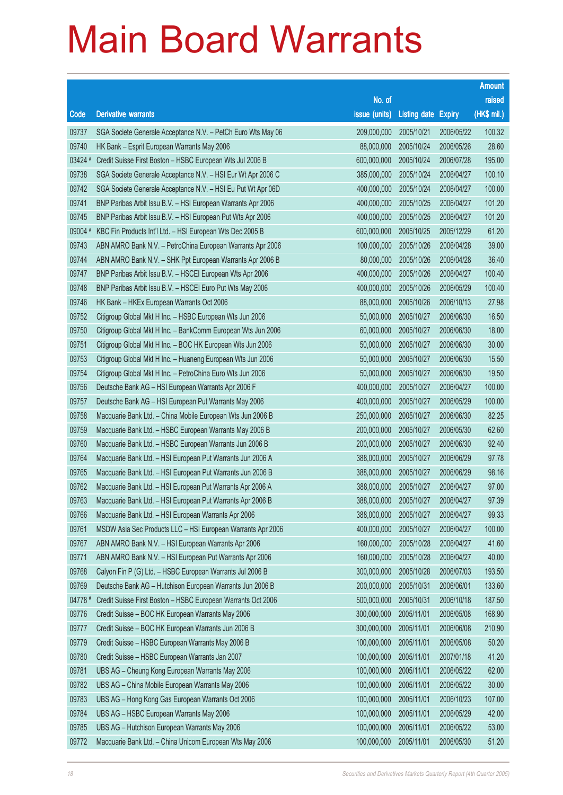|         |                                                              |                        |                            |            | <b>Amount</b> |
|---------|--------------------------------------------------------------|------------------------|----------------------------|------------|---------------|
|         |                                                              | No. of                 |                            |            | raised        |
| Code    | <b>Derivative warrants</b>                                   | issue (units)          | <b>Listing date Expiry</b> |            | (HK\$ mil.)   |
| 09737   | SGA Societe Generale Acceptance N.V. - PetCh Euro Wts May 06 | 209,000,000            | 2005/10/21                 | 2006/05/22 | 100.32        |
| 09740   | HK Bank - Esprit European Warrants May 2006                  | 88,000,000             | 2005/10/24                 | 2006/05/26 | 28.60         |
| 03424 # | Credit Suisse First Boston - HSBC European Wts Jul 2006 B    | 600,000,000            | 2005/10/24                 | 2006/07/28 | 195.00        |
| 09738   | SGA Societe Generale Acceptance N.V. - HSI Eur Wt Apr 2006 C | 385,000,000            | 2005/10/24                 | 2006/04/27 | 100.10        |
| 09742   | SGA Societe Generale Acceptance N.V. - HSI Eu Put Wt Apr 06D | 400,000,000            | 2005/10/24                 | 2006/04/27 | 100.00        |
| 09741   | BNP Paribas Arbit Issu B.V. - HSI European Warrants Apr 2006 | 400,000,000            | 2005/10/25                 | 2006/04/27 | 101.20        |
| 09745   | BNP Paribas Arbit Issu B.V. - HSI European Put Wts Apr 2006  | 400,000,000            | 2005/10/25                 | 2006/04/27 | 101.20        |
| 09004 # | KBC Fin Products Int'l Ltd. - HSI European Wts Dec 2005 B    | 600,000,000            | 2005/10/25                 | 2005/12/29 | 61.20         |
| 09743   | ABN AMRO Bank N.V. - PetroChina European Warrants Apr 2006   | 100,000,000            | 2005/10/26                 | 2006/04/28 | 39.00         |
| 09744   | ABN AMRO Bank N.V. - SHK Ppt European Warrants Apr 2006 B    | 80,000,000             | 2005/10/26                 | 2006/04/28 | 36.40         |
| 09747   | BNP Paribas Arbit Issu B.V. - HSCEI European Wts Apr 2006    | 400,000,000            | 2005/10/26                 | 2006/04/27 | 100.40        |
| 09748   | BNP Paribas Arbit Issu B.V. - HSCEI Euro Put Wts May 2006    | 400,000,000            | 2005/10/26                 | 2006/05/29 | 100.40        |
| 09746   | HK Bank - HKEx European Warrants Oct 2006                    | 88,000,000             | 2005/10/26                 | 2006/10/13 | 27.98         |
| 09752   | Citigroup Global Mkt H Inc. - HSBC European Wts Jun 2006     | 50,000,000             | 2005/10/27                 | 2006/06/30 | 16.50         |
| 09750   | Citigroup Global Mkt H Inc. - BankComm European Wts Jun 2006 | 60,000,000             | 2005/10/27                 | 2006/06/30 | 18.00         |
| 09751   | Citigroup Global Mkt H Inc. - BOC HK European Wts Jun 2006   | 50,000,000             | 2005/10/27                 | 2006/06/30 | 30.00         |
| 09753   | Citigroup Global Mkt H Inc. - Huaneng European Wts Jun 2006  | 50,000,000             | 2005/10/27                 | 2006/06/30 | 15.50         |
| 09754   | Citigroup Global Mkt H Inc. - PetroChina Euro Wts Jun 2006   | 50,000,000             | 2005/10/27                 | 2006/06/30 | 19.50         |
| 09756   | Deutsche Bank AG - HSI European Warrants Apr 2006 F          | 400,000,000            | 2005/10/27                 | 2006/04/27 | 100.00        |
| 09757   | Deutsche Bank AG - HSI European Put Warrants May 2006        | 400,000,000            | 2005/10/27                 | 2006/05/29 | 100.00        |
| 09758   | Macquarie Bank Ltd. - China Mobile European Wts Jun 2006 B   | 250,000,000            | 2005/10/27                 | 2006/06/30 | 82.25         |
| 09759   | Macquarie Bank Ltd. - HSBC European Warrants May 2006 B      | 200,000,000            | 2005/10/27                 | 2006/05/30 | 62.60         |
| 09760   | Macquarie Bank Ltd. - HSBC European Warrants Jun 2006 B      | 200,000,000            | 2005/10/27                 | 2006/06/30 | 92.40         |
| 09764   | Macquarie Bank Ltd. - HSI European Put Warrants Jun 2006 A   | 388,000,000            | 2005/10/27                 | 2006/06/29 | 97.78         |
| 09765   | Macquarie Bank Ltd. - HSI European Put Warrants Jun 2006 B   | 388,000,000            | 2005/10/27                 | 2006/06/29 | 98.16         |
| 09762   | Macquarie Bank Ltd. - HSI European Put Warrants Apr 2006 A   | 388,000,000            | 2005/10/27                 | 2006/04/27 | 97.00         |
| 09763   | Macquarie Bank Ltd. - HSI European Put Warrants Apr 2006 B   | 388,000,000 2005/10/27 |                            | 2006/04/27 | 97.39         |
| 09766   | Macquarie Bank Ltd. - HSI European Warrants Apr 2006         | 388,000,000            | 2005/10/27                 | 2006/04/27 | 99.33         |
| 09761   | MSDW Asia Sec Products LLC - HSI European Warrants Apr 2006  | 400,000,000            | 2005/10/27                 | 2006/04/27 | 100.00        |
| 09767   | ABN AMRO Bank N.V. - HSI European Warrants Apr 2006          | 160,000,000            | 2005/10/28                 | 2006/04/27 | 41.60         |
| 09771   | ABN AMRO Bank N.V. - HSI European Put Warrants Apr 2006      | 160,000,000            | 2005/10/28                 | 2006/04/27 | 40.00         |
| 09768   | Calyon Fin P (G) Ltd. - HSBC European Warrants Jul 2006 B    | 300,000,000            | 2005/10/28                 | 2006/07/03 | 193.50        |
| 09769   | Deutsche Bank AG - Hutchison European Warrants Jun 2006 B    | 200,000,000            | 2005/10/31                 | 2006/06/01 | 133.60        |
| 04778 # | Credit Suisse First Boston - HSBC European Warrants Oct 2006 | 500,000,000            | 2005/10/31                 | 2006/10/18 | 187.50        |
| 09776   | Credit Suisse - BOC HK European Warrants May 2006            | 300,000,000            | 2005/11/01                 | 2006/05/08 | 168.90        |
| 09777   | Credit Suisse - BOC HK European Warrants Jun 2006 B          | 300,000,000            | 2005/11/01                 | 2006/06/08 | 210.90        |
| 09779   | Credit Suisse - HSBC European Warrants May 2006 B            | 100,000,000            | 2005/11/01                 | 2006/05/08 | 50.20         |
| 09780   | Credit Suisse - HSBC European Warrants Jan 2007              | 100,000,000            | 2005/11/01                 | 2007/01/18 | 41.20         |
| 09781   | UBS AG - Cheung Kong European Warrants May 2006              | 100,000,000            | 2005/11/01                 | 2006/05/22 | 62.00         |
| 09782   | UBS AG - China Mobile European Warrants May 2006             | 100,000,000            | 2005/11/01                 | 2006/05/22 | 30.00         |
| 09783   | UBS AG - Hong Kong Gas European Warrants Oct 2006            | 100,000,000            | 2005/11/01                 | 2006/10/23 | 107.00        |
| 09784   | UBS AG - HSBC European Warrants May 2006                     | 100,000,000            | 2005/11/01                 | 2006/05/29 | 42.00         |
| 09785   | UBS AG - Hutchison European Warrants May 2006                | 100,000,000            | 2005/11/01                 | 2006/05/22 | 53.00         |
| 09772   | Macquarie Bank Ltd. - China Unicom European Wts May 2006     | 100,000,000            | 2005/11/01                 | 2006/05/30 | 51.20         |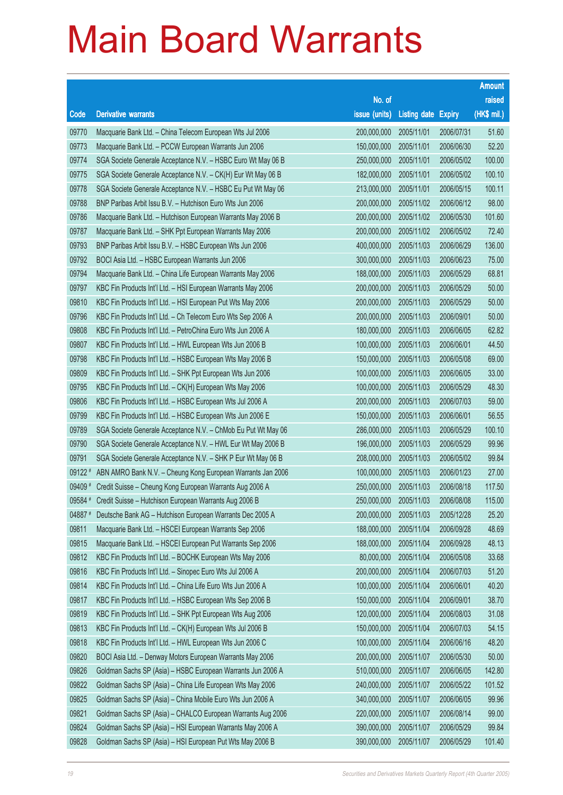|        |                                                                |                        |                     |               | <b>Amount</b> |
|--------|----------------------------------------------------------------|------------------------|---------------------|---------------|---------------|
|        |                                                                | No. of                 |                     |               | raised        |
| Code   | <b>Derivative warrants</b>                                     | issue (units)          | <b>Listing date</b> | <b>Expiry</b> | (HK\$ mil.)   |
| 09770  | Macquarie Bank Ltd. - China Telecom European Wts Jul 2006      | 200,000,000            | 2005/11/01          | 2006/07/31    | 51.60         |
| 09773  | Macquarie Bank Ltd. - PCCW European Warrants Jun 2006          | 150,000,000            | 2005/11/01          | 2006/06/30    | 52.20         |
| 09774  | SGA Societe Generale Acceptance N.V. - HSBC Euro Wt May 06 B   | 250,000,000            | 2005/11/01          | 2006/05/02    | 100.00        |
| 09775  | SGA Societe Generale Acceptance N.V. - CK(H) Eur Wt May 06 B   | 182,000,000            | 2005/11/01          | 2006/05/02    | 100.10        |
| 09778  | SGA Societe Generale Acceptance N.V. - HSBC Eu Put Wt May 06   | 213,000,000            | 2005/11/01          | 2006/05/15    | 100.11        |
| 09788  | BNP Paribas Arbit Issu B.V. - Hutchison Euro Wts Jun 2006      | 200,000,000            | 2005/11/02          | 2006/06/12    | 98.00         |
| 09786  | Macquarie Bank Ltd. - Hutchison European Warrants May 2006 B   | 200,000,000            | 2005/11/02          | 2006/05/30    | 101.60        |
| 09787  | Macquarie Bank Ltd. - SHK Ppt European Warrants May 2006       | 200,000,000            | 2005/11/02          | 2006/05/02    | 72.40         |
| 09793  | BNP Paribas Arbit Issu B.V. - HSBC European Wts Jun 2006       | 400,000,000            | 2005/11/03          | 2006/06/29    | 136.00        |
| 09792  | BOCI Asia Ltd. - HSBC European Warrants Jun 2006               | 300,000,000            | 2005/11/03          | 2006/06/23    | 75.00         |
| 09794  | Macquarie Bank Ltd. - China Life European Warrants May 2006    | 188,000,000            | 2005/11/03          | 2006/05/29    | 68.81         |
| 09797  | KBC Fin Products Int'l Ltd. - HSI European Warrants May 2006   | 200,000,000            | 2005/11/03          | 2006/05/29    | 50.00         |
| 09810  | KBC Fin Products Int'l Ltd. - HSI European Put Wts May 2006    | 200,000,000            | 2005/11/03          | 2006/05/29    | 50.00         |
| 09796  | KBC Fin Products Int'l Ltd. - Ch Telecom Euro Wts Sep 2006 A   | 200,000,000            | 2005/11/03          | 2006/09/01    | 50.00         |
| 09808  | KBC Fin Products Int'l Ltd. - PetroChina Euro Wts Jun 2006 A   | 180,000,000            | 2005/11/03          | 2006/06/05    | 62.82         |
| 09807  | KBC Fin Products Int'l Ltd. - HWL European Wts Jun 2006 B      | 100,000,000            | 2005/11/03          | 2006/06/01    | 44.50         |
| 09798  | KBC Fin Products Int'l Ltd. - HSBC European Wts May 2006 B     | 150,000,000            | 2005/11/03          | 2006/05/08    | 69.00         |
| 09809  | KBC Fin Products Int'l Ltd. - SHK Ppt European Wts Jun 2006    | 100,000,000            | 2005/11/03          | 2006/06/05    | 33.00         |
| 09795  | KBC Fin Products Int'l Ltd. - CK(H) European Wts May 2006      | 100,000,000            | 2005/11/03          | 2006/05/29    | 48.30         |
| 09806  | KBC Fin Products Int'l Ltd. - HSBC European Wts Jul 2006 A     | 200,000,000            | 2005/11/03          | 2006/07/03    | 59.00         |
| 09799  | KBC Fin Products Int'l Ltd. - HSBC European Wts Jun 2006 E     | 150,000,000            | 2005/11/03          | 2006/06/01    | 56.55         |
| 09789  | SGA Societe Generale Acceptance N.V. - ChMob Eu Put Wt May 06  | 286,000,000            | 2005/11/03          | 2006/05/29    | 100.10        |
| 09790  | SGA Societe Generale Acceptance N.V. - HWL Eur Wt May 2006 B   | 196,000,000            | 2005/11/03          | 2006/05/29    | 99.96         |
| 09791  | SGA Societe Generale Acceptance N.V. - SHK P Eur Wt May 06 B   | 208,000,000            | 2005/11/03          | 2006/05/02    | 99.84         |
| 09122# | ABN AMRO Bank N.V. - Cheung Kong European Warrants Jan 2006    | 100,000,000            | 2005/11/03          | 2006/01/23    | 27.00         |
| 09409# | Credit Suisse - Cheung Kong European Warrants Aug 2006 A       | 250,000,000            | 2005/11/03          | 2006/08/18    | 117.50        |
|        | 09584 # Credit Suisse - Hutchison European Warrants Aug 2006 B | 250,000,000 2005/11/03 |                     | 2006/08/08    | 115.00        |
| 04887# | Deutsche Bank AG - Hutchison European Warrants Dec 2005 A      | 200,000,000            | 2005/11/03          | 2005/12/28    | 25.20         |
| 09811  | Macquarie Bank Ltd. - HSCEI European Warrants Sep 2006         | 188,000,000            | 2005/11/04          | 2006/09/28    | 48.69         |
| 09815  | Macquarie Bank Ltd. - HSCEI European Put Warrants Sep 2006     | 188,000,000            | 2005/11/04          | 2006/09/28    | 48.13         |
| 09812  | KBC Fin Products Int'l Ltd. - BOCHK European Wts May 2006      | 80,000,000             | 2005/11/04          | 2006/05/08    | 33.68         |
| 09816  | KBC Fin Products Int'l Ltd. - Sinopec Euro Wts Jul 2006 A      | 200,000,000            | 2005/11/04          | 2006/07/03    | 51.20         |
| 09814  | KBC Fin Products Int'l Ltd. - China Life Euro Wts Jun 2006 A   | 100,000,000            | 2005/11/04          | 2006/06/01    | 40.20         |
| 09817  | KBC Fin Products Int'l Ltd. - HSBC European Wts Sep 2006 B     | 150,000,000            | 2005/11/04          | 2006/09/01    | 38.70         |
| 09819  | KBC Fin Products Int'l Ltd. - SHK Ppt European Wts Aug 2006    | 120,000,000            | 2005/11/04          | 2006/08/03    | 31.08         |
| 09813  | KBC Fin Products Int'l Ltd. - CK(H) European Wts Jul 2006 B    | 150,000,000            | 2005/11/04          | 2006/07/03    | 54.15         |
| 09818  | KBC Fin Products Int'l Ltd. - HWL European Wts Jun 2006 C      | 100,000,000            | 2005/11/04          | 2006/06/16    | 48.20         |
| 09820  | BOCI Asia Ltd. - Denway Motors European Warrants May 2006      | 200,000,000            | 2005/11/07          | 2006/05/30    | 50.00         |
| 09826  | Goldman Sachs SP (Asia) - HSBC European Warrants Jun 2006 A    | 510,000,000            | 2005/11/07          | 2006/06/05    | 142.80        |
| 09822  | Goldman Sachs SP (Asia) - China Life European Wts May 2006     | 240,000,000            | 2005/11/07          | 2006/05/22    | 101.52        |
| 09825  | Goldman Sachs SP (Asia) - China Mobile Euro Wts Jun 2006 A     | 340,000,000            | 2005/11/07          | 2006/06/05    | 99.96         |
| 09821  | Goldman Sachs SP (Asia) - CHALCO European Warrants Aug 2006    | 220,000,000            | 2005/11/07          | 2006/08/14    | 99.00         |
| 09824  | Goldman Sachs SP (Asia) - HSI European Warrants May 2006 A     | 390,000,000            | 2005/11/07          | 2006/05/29    | 99.84         |
| 09828  | Goldman Sachs SP (Asia) - HSI European Put Wts May 2006 B      | 390,000,000            | 2005/11/07          | 2006/05/29    | 101.40        |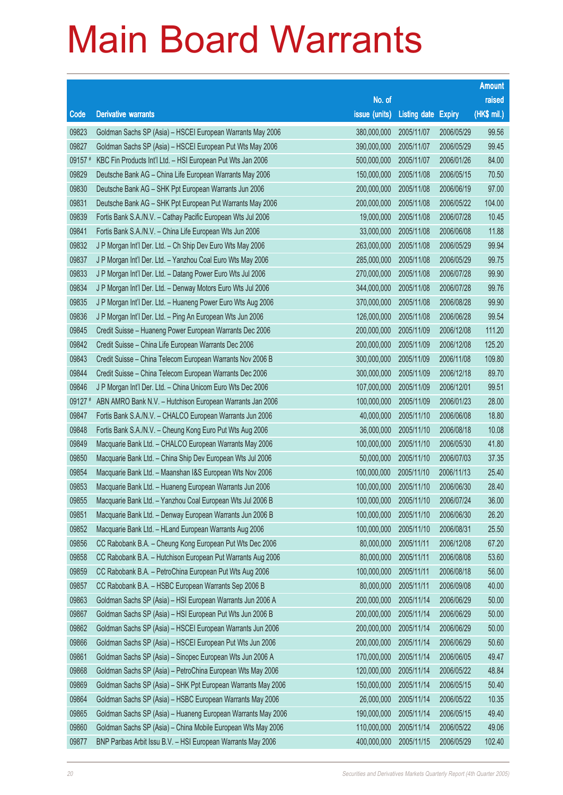|         |                                                              |                        |                            |            | <b>Amount</b> |
|---------|--------------------------------------------------------------|------------------------|----------------------------|------------|---------------|
|         |                                                              | No. of                 |                            |            | raised        |
| Code    | <b>Derivative warrants</b>                                   | issue (units)          | <b>Listing date Expiry</b> |            | (HK\$ mil.)   |
| 09823   | Goldman Sachs SP (Asia) - HSCEI European Warrants May 2006   | 380,000,000            | 2005/11/07                 | 2006/05/29 | 99.56         |
| 09827   | Goldman Sachs SP (Asia) - HSCEI European Put Wts May 2006    | 390,000,000            | 2005/11/07                 | 2006/05/29 | 99.45         |
| 09157 # | KBC Fin Products Int'l Ltd. - HSI European Put Wts Jan 2006  | 500,000,000            | 2005/11/07                 | 2006/01/26 | 84.00         |
| 09829   | Deutsche Bank AG - China Life European Warrants May 2006     | 150,000,000            | 2005/11/08                 | 2006/05/15 | 70.50         |
| 09830   | Deutsche Bank AG - SHK Ppt European Warrants Jun 2006        | 200,000,000            | 2005/11/08                 | 2006/06/19 | 97.00         |
| 09831   | Deutsche Bank AG - SHK Ppt European Put Warrants May 2006    | 200,000,000            | 2005/11/08                 | 2006/05/22 | 104.00        |
| 09839   | Fortis Bank S.A./N.V. - Cathay Pacific European Wts Jul 2006 | 19,000,000             | 2005/11/08                 | 2006/07/28 | 10.45         |
| 09841   | Fortis Bank S.A./N.V. - China Life European Wts Jun 2006     | 33,000,000             | 2005/11/08                 | 2006/06/08 | 11.88         |
| 09832   | J P Morgan Int'l Der. Ltd. - Ch Ship Dev Euro Wts May 2006   | 263,000,000            | 2005/11/08                 | 2006/05/29 | 99.94         |
| 09837   | J P Morgan Int'l Der. Ltd. - Yanzhou Coal Euro Wts May 2006  | 285,000,000            | 2005/11/08                 | 2006/05/29 | 99.75         |
| 09833   | J P Morgan Int'l Der. Ltd. - Datang Power Euro Wts Jul 2006  | 270,000,000            | 2005/11/08                 | 2006/07/28 | 99.90         |
| 09834   | J P Morgan Int'l Der. Ltd. - Denway Motors Euro Wts Jul 2006 | 344,000,000            | 2005/11/08                 | 2006/07/28 | 99.76         |
| 09835   | J P Morgan Int'l Der. Ltd. - Huaneng Power Euro Wts Aug 2006 | 370,000,000            | 2005/11/08                 | 2006/08/28 | 99.90         |
| 09836   | J P Morgan Int'l Der. Ltd. - Ping An European Wts Jun 2006   | 126,000,000            | 2005/11/08                 | 2006/06/28 | 99.54         |
| 09845   | Credit Suisse - Huaneng Power European Warrants Dec 2006     | 200,000,000            | 2005/11/09                 | 2006/12/08 | 111.20        |
| 09842   | Credit Suisse - China Life European Warrants Dec 2006        | 200,000,000            | 2005/11/09                 | 2006/12/08 | 125.20        |
| 09843   | Credit Suisse - China Telecom European Warrants Nov 2006 B   | 300,000,000            | 2005/11/09                 | 2006/11/08 | 109.80        |
| 09844   | Credit Suisse – China Telecom European Warrants Dec 2006     | 300,000,000            | 2005/11/09                 | 2006/12/18 | 89.70         |
| 09846   | J P Morgan Int'l Der. Ltd. - China Unicom Euro Wts Dec 2006  | 107,000,000            | 2005/11/09                 | 2006/12/01 | 99.51         |
| 09127 # | ABN AMRO Bank N.V. - Hutchison European Warrants Jan 2006    | 100,000,000            | 2005/11/09                 | 2006/01/23 | 28.00         |
| 09847   | Fortis Bank S.A./N.V. - CHALCO European Warrants Jun 2006    | 40,000,000             | 2005/11/10                 | 2006/06/08 | 18.80         |
| 09848   | Fortis Bank S.A./N.V. - Cheung Kong Euro Put Wts Aug 2006    | 36,000,000             | 2005/11/10                 | 2006/08/18 | 10.08         |
| 09849   | Macquarie Bank Ltd. - CHALCO European Warrants May 2006      | 100,000,000            | 2005/11/10                 | 2006/05/30 | 41.80         |
| 09850   | Macquarie Bank Ltd. - China Ship Dev European Wts Jul 2006   | 50,000,000             | 2005/11/10                 | 2006/07/03 | 37.35         |
| 09854   | Macquarie Bank Ltd. - Maanshan I&S European Wts Nov 2006     | 100,000,000            | 2005/11/10                 | 2006/11/13 | 25.40         |
| 09853   | Macquarie Bank Ltd. - Huaneng European Warrants Jun 2006     | 100,000,000            | 2005/11/10                 | 2006/06/30 | 28.40         |
| 09855   | Macquarie Bank Ltd. - Yanzhou Coal European Wts Jul 2006 B   | 100,000,000 2005/11/10 |                            | 2006/07/24 | 36.00         |
| 09851   | Macquarie Bank Ltd. - Denway European Warrants Jun 2006 B    | 100,000,000            | 2005/11/10                 | 2006/06/30 | 26.20         |
| 09852   | Macquarie Bank Ltd. - HLand European Warrants Aug 2006       | 100,000,000            | 2005/11/10                 | 2006/08/31 | 25.50         |
| 09856   | CC Rabobank B.A. - Cheung Kong European Put Wts Dec 2006     | 80,000,000             | 2005/11/11                 | 2006/12/08 | 67.20         |
| 09858   | CC Rabobank B.A. - Hutchison European Put Warrants Aug 2006  | 80,000,000             | 2005/11/11                 | 2006/08/08 | 53.60         |
| 09859   | CC Rabobank B.A. - PetroChina European Put Wts Aug 2006      | 100,000,000            | 2005/11/11                 | 2006/08/18 | 56.00         |
| 09857   | CC Rabobank B.A. - HSBC European Warrants Sep 2006 B         | 80,000,000             | 2005/11/11                 | 2006/09/08 | 40.00         |
| 09863   | Goldman Sachs SP (Asia) - HSI European Warrants Jun 2006 A   | 200,000,000            | 2005/11/14                 | 2006/06/29 | 50.00         |
| 09867   | Goldman Sachs SP (Asia) - HSI European Put Wts Jun 2006 B    | 200,000,000            | 2005/11/14                 | 2006/06/29 | 50.00         |
| 09862   | Goldman Sachs SP (Asia) - HSCEI European Warrants Jun 2006   | 200,000,000            | 2005/11/14                 | 2006/06/29 | 50.00         |
| 09866   | Goldman Sachs SP (Asia) - HSCEI European Put Wts Jun 2006    | 200,000,000            | 2005/11/14                 | 2006/06/29 | 50.60         |
| 09861   | Goldman Sachs SP (Asia) - Sinopec European Wts Jun 2006 A    | 170,000,000            | 2005/11/14                 | 2006/06/05 | 49.47         |
| 09868   | Goldman Sachs SP (Asia) - PetroChina European Wts May 2006   | 120,000,000            | 2005/11/14                 | 2006/05/22 | 48.84         |
| 09869   | Goldman Sachs SP (Asia) - SHK Ppt European Warrants May 2006 | 150,000,000            | 2005/11/14                 | 2006/05/15 | 50.40         |
| 09864   | Goldman Sachs SP (Asia) - HSBC European Warrants May 2006    | 26,000,000             | 2005/11/14                 | 2006/05/22 | 10.35         |
| 09865   | Goldman Sachs SP (Asia) - Huaneng European Warrants May 2006 | 190,000,000            | 2005/11/14                 | 2006/05/15 | 49.40         |
| 09860   | Goldman Sachs SP (Asia) - China Mobile European Wts May 2006 | 110,000,000            | 2005/11/14                 | 2006/05/22 | 49.06         |
| 09877   | BNP Paribas Arbit Issu B.V. - HSI European Warrants May 2006 | 400,000,000            | 2005/11/15                 | 2006/05/29 | 102.40        |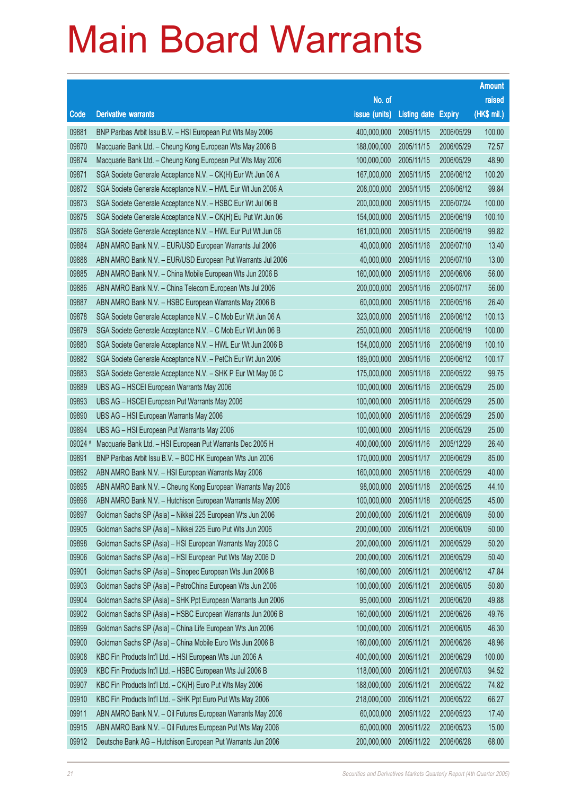|         |                                                               |                        |                     |               | <b>Amount</b> |
|---------|---------------------------------------------------------------|------------------------|---------------------|---------------|---------------|
|         |                                                               | No. of                 |                     |               | raised        |
| Code    | <b>Derivative warrants</b>                                    | issue (units)          | <b>Listing date</b> | <b>Expiry</b> | (HK\$ mil.)   |
| 09881   | BNP Paribas Arbit Issu B.V. - HSI European Put Wts May 2006   | 400,000,000            | 2005/11/15          | 2006/05/29    | 100.00        |
| 09870   | Macquarie Bank Ltd. - Cheung Kong European Wts May 2006 B     | 188,000,000            | 2005/11/15          | 2006/05/29    | 72.57         |
| 09874   | Macquarie Bank Ltd. - Cheung Kong European Put Wts May 2006   | 100,000,000            | 2005/11/15          | 2006/05/29    | 48.90         |
| 09871   | SGA Societe Generale Acceptance N.V. - CK(H) Eur Wt Jun 06 A  | 167,000,000            | 2005/11/15          | 2006/06/12    | 100.20        |
| 09872   | SGA Societe Generale Acceptance N.V. - HWL Eur Wt Jun 2006 A  | 208,000,000            | 2005/11/15          | 2006/06/12    | 99.84         |
| 09873   | SGA Societe Generale Acceptance N.V. - HSBC Eur Wt Jul 06 B   | 200,000,000            | 2005/11/15          | 2006/07/24    | 100.00        |
| 09875   | SGA Societe Generale Acceptance N.V. - CK(H) Eu Put Wt Jun 06 | 154,000,000            | 2005/11/15          | 2006/06/19    | 100.10        |
| 09876   | SGA Societe Generale Acceptance N.V. - HWL Eur Put Wt Jun 06  | 161,000,000            | 2005/11/15          | 2006/06/19    | 99.82         |
| 09884   | ABN AMRO Bank N.V. - EUR/USD European Warrants Jul 2006       | 40,000,000             | 2005/11/16          | 2006/07/10    | 13.40         |
| 09888   | ABN AMRO Bank N.V. - EUR/USD European Put Warrants Jul 2006   | 40,000,000             | 2005/11/16          | 2006/07/10    | 13.00         |
| 09885   | ABN AMRO Bank N.V. - China Mobile European Wts Jun 2006 B     | 160,000,000            | 2005/11/16          | 2006/06/06    | 56.00         |
| 09886   | ABN AMRO Bank N.V. - China Telecom European Wts Jul 2006      | 200,000,000            | 2005/11/16          | 2006/07/17    | 56.00         |
| 09887   | ABN AMRO Bank N.V. - HSBC European Warrants May 2006 B        | 60,000,000             | 2005/11/16          | 2006/05/16    | 26.40         |
| 09878   | SGA Societe Generale Acceptance N.V. - C Mob Eur Wt Jun 06 A  | 323,000,000            | 2005/11/16          | 2006/06/12    | 100.13        |
| 09879   | SGA Societe Generale Acceptance N.V. - C Mob Eur Wt Jun 06 B  | 250,000,000            | 2005/11/16          | 2006/06/19    | 100.00        |
| 09880   | SGA Societe Generale Acceptance N.V. - HWL Eur Wt Jun 2006 B  | 154,000,000            | 2005/11/16          | 2006/06/19    | 100.10        |
| 09882   | SGA Societe Generale Acceptance N.V. - PetCh Eur Wt Jun 2006  | 189,000,000            | 2005/11/16          | 2006/06/12    | 100.17        |
| 09883   | SGA Societe Generale Acceptance N.V. - SHK P Eur Wt May 06 C  | 175,000,000            | 2005/11/16          | 2006/05/22    | 99.75         |
| 09889   | UBS AG - HSCEI European Warrants May 2006                     | 100,000,000            | 2005/11/16          | 2006/05/29    | 25.00         |
| 09893   | UBS AG - HSCEI European Put Warrants May 2006                 | 100,000,000            | 2005/11/16          | 2006/05/29    | 25.00         |
| 09890   | UBS AG - HSI European Warrants May 2006                       | 100,000,000            | 2005/11/16          | 2006/05/29    | 25.00         |
| 09894   | UBS AG - HSI European Put Warrants May 2006                   | 100,000,000            | 2005/11/16          | 2006/05/29    | 25.00         |
| 09024 # | Macquarie Bank Ltd. - HSI European Put Warrants Dec 2005 H    | 400,000,000            | 2005/11/16          | 2005/12/29    | 26.40         |
| 09891   | BNP Paribas Arbit Issu B.V. - BOC HK European Wts Jun 2006    | 170,000,000            | 2005/11/17          | 2006/06/29    | 85.00         |
| 09892   | ABN AMRO Bank N.V. - HSI European Warrants May 2006           | 160,000,000            | 2005/11/18          | 2006/05/29    | 40.00         |
| 09895   | ABN AMRO Bank N.V. - Cheung Kong European Warrants May 2006   | 98,000,000             | 2005/11/18          | 2006/05/25    | 44.10         |
| 09896   | ABN AMRO Bank N.V. - Hutchison European Warrants May 2006     | 100,000,000 2005/11/18 |                     | 2006/05/25    | 45.00         |
| 09897   | Goldman Sachs SP (Asia) - Nikkei 225 European Wts Jun 2006    | 200,000,000            | 2005/11/21          | 2006/06/09    | 50.00         |
| 09905   | Goldman Sachs SP (Asia) - Nikkei 225 Euro Put Wts Jun 2006    | 200,000,000            | 2005/11/21          | 2006/06/09    | 50.00         |
| 09898   | Goldman Sachs SP (Asia) - HSI European Warrants May 2006 C    | 200,000,000            | 2005/11/21          | 2006/05/29    | 50.20         |
| 09906   | Goldman Sachs SP (Asia) - HSI European Put Wts May 2006 D     | 200,000,000            | 2005/11/21          | 2006/05/29    | 50.40         |
| 09901   | Goldman Sachs SP (Asia) - Sinopec European Wts Jun 2006 B     | 160,000,000            | 2005/11/21          | 2006/06/12    | 47.84         |
| 09903   | Goldman Sachs SP (Asia) - PetroChina European Wts Jun 2006    | 100,000,000            | 2005/11/21          | 2006/06/05    | 50.80         |
| 09904   | Goldman Sachs SP (Asia) - SHK Ppt European Warrants Jun 2006  | 95,000,000             | 2005/11/21          | 2006/06/20    | 49.88         |
| 09902   | Goldman Sachs SP (Asia) - HSBC European Warrants Jun 2006 B   | 160,000,000            | 2005/11/21          | 2006/06/26    | 49.76         |
| 09899   | Goldman Sachs SP (Asia) - China Life European Wts Jun 2006    | 100,000,000            | 2005/11/21          | 2006/06/05    | 46.30         |
| 09900   | Goldman Sachs SP (Asia) - China Mobile Euro Wts Jun 2006 B    | 160,000,000            | 2005/11/21          | 2006/06/26    | 48.96         |
| 09908   | KBC Fin Products Int'l Ltd. - HSI European Wts Jun 2006 A     | 400,000,000            | 2005/11/21          | 2006/06/29    | 100.00        |
| 09909   | KBC Fin Products Int'l Ltd. - HSBC European Wts Jul 2006 B    | 118,000,000            | 2005/11/21          | 2006/07/03    | 94.52         |
| 09907   | KBC Fin Products Int'l Ltd. - CK(H) Euro Put Wts May 2006     | 188,000,000            | 2005/11/21          | 2006/05/22    | 74.82         |
| 09910   | KBC Fin Products Int'l Ltd. - SHK Ppt Euro Put Wts May 2006   | 218,000,000            | 2005/11/21          | 2006/05/22    | 66.27         |
| 09911   | ABN AMRO Bank N.V. - Oil Futures European Warrants May 2006   | 60,000,000             | 2005/11/22          | 2006/05/23    | 17.40         |
| 09915   | ABN AMRO Bank N.V. - Oil Futures European Put Wts May 2006    | 60,000,000             | 2005/11/22          | 2006/05/23    | 15.00         |
| 09912   | Deutsche Bank AG - Hutchison European Put Warrants Jun 2006   | 200,000,000            | 2005/11/22          | 2006/06/28    | 68.00         |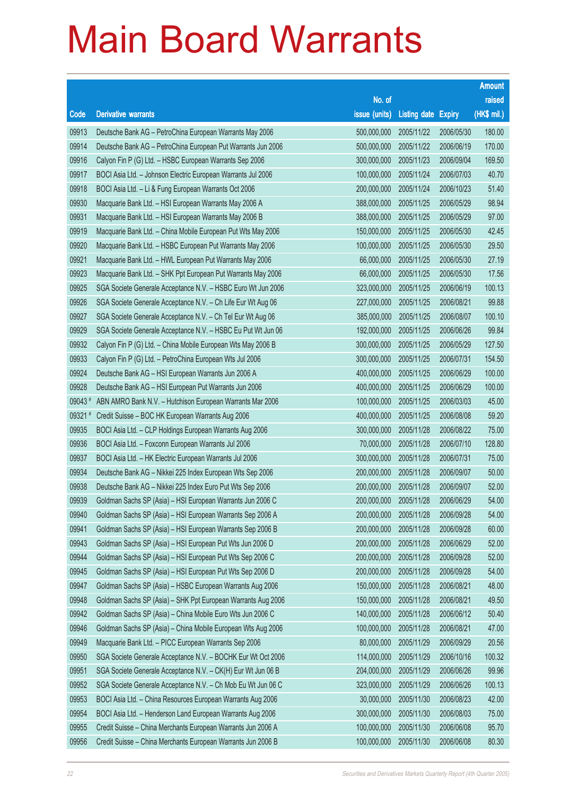|        |                                                              |                        |                            |            | <b>Amount</b> |
|--------|--------------------------------------------------------------|------------------------|----------------------------|------------|---------------|
|        |                                                              | No. of                 |                            |            | raised        |
| Code   | <b>Derivative warrants</b>                                   | issue (units)          | <b>Listing date Expiry</b> |            | (HK\$ mil.)   |
| 09913  | Deutsche Bank AG - PetroChina European Warrants May 2006     | 500,000,000            | 2005/11/22                 | 2006/05/30 | 180.00        |
| 09914  | Deutsche Bank AG - PetroChina European Put Warrants Jun 2006 | 500,000,000            | 2005/11/22                 | 2006/06/19 | 170.00        |
| 09916  | Calyon Fin P (G) Ltd. - HSBC European Warrants Sep 2006      | 300,000,000            | 2005/11/23                 | 2006/09/04 | 169.50        |
| 09917  | BOCI Asia Ltd. - Johnson Electric European Warrants Jul 2006 | 100,000,000            | 2005/11/24                 | 2006/07/03 | 40.70         |
| 09918  | BOCI Asia Ltd. - Li & Fung European Warrants Oct 2006        | 200,000,000            | 2005/11/24                 | 2006/10/23 | 51.40         |
| 09930  | Macquarie Bank Ltd. - HSI European Warrants May 2006 A       | 388,000,000            | 2005/11/25                 | 2006/05/29 | 98.94         |
| 09931  | Macquarie Bank Ltd. - HSI European Warrants May 2006 B       | 388,000,000            | 2005/11/25                 | 2006/05/29 | 97.00         |
| 09919  | Macquarie Bank Ltd. - China Mobile European Put Wts May 2006 | 150,000,000            | 2005/11/25                 | 2006/05/30 | 42.45         |
| 09920  | Macquarie Bank Ltd. - HSBC European Put Warrants May 2006    | 100,000,000            | 2005/11/25                 | 2006/05/30 | 29.50         |
| 09921  | Macquarie Bank Ltd. - HWL European Put Warrants May 2006     | 66,000,000             | 2005/11/25                 | 2006/05/30 | 27.19         |
| 09923  | Macquarie Bank Ltd. - SHK Ppt European Put Warrants May 2006 | 66,000,000             | 2005/11/25                 | 2006/05/30 | 17.56         |
| 09925  | SGA Societe Generale Acceptance N.V. - HSBC Euro Wt Jun 2006 | 323,000,000            | 2005/11/25                 | 2006/06/19 | 100.13        |
| 09926  | SGA Societe Generale Acceptance N.V. - Ch Life Eur Wt Aug 06 | 227,000,000            | 2005/11/25                 | 2006/08/21 | 99.88         |
| 09927  | SGA Societe Generale Acceptance N.V. - Ch Tel Eur Wt Aug 06  | 385,000,000            | 2005/11/25                 | 2006/08/07 | 100.10        |
| 09929  | SGA Societe Generale Acceptance N.V. - HSBC Eu Put Wt Jun 06 | 192,000,000            | 2005/11/25                 | 2006/06/26 | 99.84         |
| 09932  | Calyon Fin P (G) Ltd. - China Mobile European Wts May 2006 B | 300,000,000            | 2005/11/25                 | 2006/05/29 | 127.50        |
| 09933  | Calyon Fin P (G) Ltd. - PetroChina European Wts Jul 2006     | 300,000,000            | 2005/11/25                 | 2006/07/31 | 154.50        |
| 09924  | Deutsche Bank AG - HSI European Warrants Jun 2006 A          | 400,000,000            | 2005/11/25                 | 2006/06/29 | 100.00        |
| 09928  | Deutsche Bank AG - HSI European Put Warrants Jun 2006        | 400,000,000            | 2005/11/25                 | 2006/06/29 | 100.00        |
| 09043# | ABN AMRO Bank N.V. - Hutchison European Warrants Mar 2006    | 100,000,000            | 2005/11/25                 | 2006/03/03 | 45.00         |
| 09321# | Credit Suisse - BOC HK European Warrants Aug 2006            | 400,000,000            | 2005/11/25                 | 2006/08/08 | 59.20         |
| 09935  | BOCI Asia Ltd. - CLP Holdings European Warrants Aug 2006     | 300,000,000            | 2005/11/28                 | 2006/08/22 | 75.00         |
| 09936  | BOCI Asia Ltd. - Foxconn European Warrants Jul 2006          | 70,000,000             | 2005/11/28                 | 2006/07/10 | 128.80        |
| 09937  | BOCI Asia Ltd. - HK Electric European Warrants Jul 2006      | 300,000,000            | 2005/11/28                 | 2006/07/31 | 75.00         |
| 09934  | Deutsche Bank AG - Nikkei 225 Index European Wts Sep 2006    | 200,000,000            | 2005/11/28                 | 2006/09/07 | 50.00         |
| 09938  | Deutsche Bank AG - Nikkei 225 Index Euro Put Wts Sep 2006    | 200,000,000            | 2005/11/28                 | 2006/09/07 | 52.00         |
| 09939  | Goldman Sachs SP (Asia) - HSI European Warrants Jun 2006 C   | 200,000,000 2005/11/28 |                            | 2006/06/29 | 54.00         |
| 09940  | Goldman Sachs SP (Asia) - HSI European Warrants Sep 2006 A   | 200,000,000            | 2005/11/28                 | 2006/09/28 | 54.00         |
| 09941  | Goldman Sachs SP (Asia) - HSI European Warrants Sep 2006 B   | 200,000,000            | 2005/11/28                 | 2006/09/28 | 60.00         |
| 09943  | Goldman Sachs SP (Asia) - HSI European Put Wts Jun 2006 D    | 200,000,000            | 2005/11/28                 | 2006/06/29 | 52.00         |
| 09944  | Goldman Sachs SP (Asia) - HSI European Put Wts Sep 2006 C    | 200,000,000            | 2005/11/28                 | 2006/09/28 | 52.00         |
| 09945  | Goldman Sachs SP (Asia) - HSI European Put Wts Sep 2006 D    | 200,000,000            | 2005/11/28                 | 2006/09/28 | 54.00         |
| 09947  | Goldman Sachs SP (Asia) - HSBC European Warrants Aug 2006    | 150,000,000            | 2005/11/28                 | 2006/08/21 | 48.00         |
| 09948  | Goldman Sachs SP (Asia) - SHK Ppt European Warrants Aug 2006 | 150,000,000            | 2005/11/28                 | 2006/08/21 | 49.50         |
| 09942  | Goldman Sachs SP (Asia) - China Mobile Euro Wts Jun 2006 C   | 140,000,000            | 2005/11/28                 | 2006/06/12 | 50.40         |
| 09946  | Goldman Sachs SP (Asia) - China Mobile European Wts Aug 2006 | 100,000,000            | 2005/11/28                 | 2006/08/21 | 47.00         |
| 09949  | Macquarie Bank Ltd. - PICC European Warrants Sep 2006        | 80,000,000             | 2005/11/29                 | 2006/09/29 | 20.56         |
| 09950  | SGA Societe Generale Acceptance N.V. - BOCHK Eur Wt Oct 2006 | 114,000,000            | 2005/11/29                 | 2006/10/16 | 100.32        |
| 09951  | SGA Societe Generale Acceptance N.V. - CK(H) Eur Wt Jun 06 B | 204,000,000            | 2005/11/29                 | 2006/06/26 | 99.96         |
| 09952  | SGA Societe Generale Acceptance N.V. - Ch Mob Eu Wt Jun 06 C | 323,000,000            | 2005/11/29                 | 2006/06/26 | 100.13        |
| 09953  | BOCI Asia Ltd. - China Resources European Warrants Aug 2006  | 30,000,000             | 2005/11/30                 | 2006/08/23 | 42.00         |
| 09954  | BOCI Asia Ltd. - Henderson Land European Warrants Aug 2006   | 300,000,000            | 2005/11/30                 | 2006/08/03 | 75.00         |
| 09955  | Credit Suisse - China Merchants European Warrants Jun 2006 A | 100,000,000            | 2005/11/30                 | 2006/06/08 | 95.70         |
| 09956  | Credit Suisse - China Merchants European Warrants Jun 2006 B | 100,000,000            | 2005/11/30                 | 2006/06/08 | 80.30         |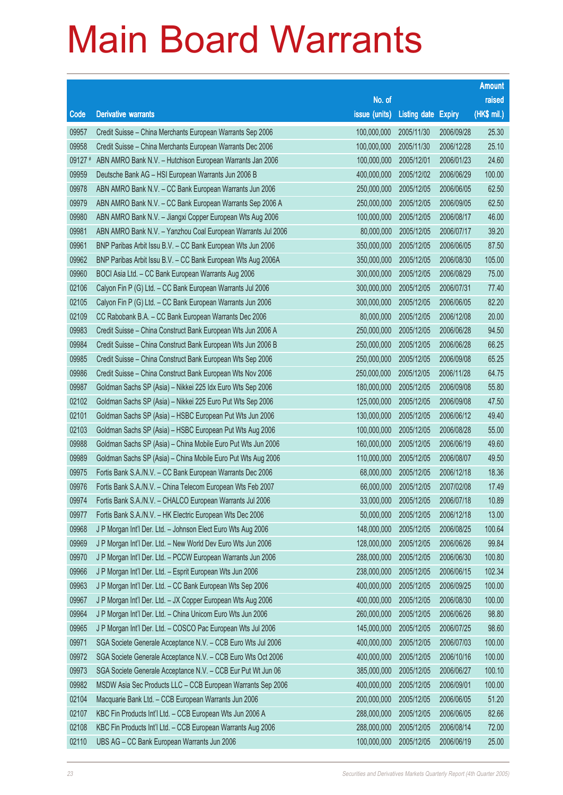|        |                                                              |               |                       |               | <b>Amount</b> |
|--------|--------------------------------------------------------------|---------------|-----------------------|---------------|---------------|
|        |                                                              | No. of        |                       |               | raised        |
| Code   | <b>Derivative warrants</b>                                   | issue (units) | <b>Listing date</b>   | <b>Expiry</b> | (HK\$ mil.)   |
| 09957  | Credit Suisse - China Merchants European Warrants Sep 2006   | 100,000,000   | 2005/11/30            | 2006/09/28    | 25.30         |
| 09958  | Credit Suisse - China Merchants European Warrants Dec 2006   | 100,000,000   | 2005/11/30            | 2006/12/28    | 25.10         |
| 09127# | ABN AMRO Bank N.V. - Hutchison European Warrants Jan 2006    | 100,000,000   | 2005/12/01            | 2006/01/23    | 24.60         |
| 09959  | Deutsche Bank AG - HSI European Warrants Jun 2006 B          | 400,000,000   | 2005/12/02            | 2006/06/29    | 100.00        |
| 09978  | ABN AMRO Bank N.V. - CC Bank European Warrants Jun 2006      | 250,000,000   | 2005/12/05            | 2006/06/05    | 62.50         |
| 09979  | ABN AMRO Bank N.V. - CC Bank European Warrants Sep 2006 A    | 250,000,000   | 2005/12/05            | 2006/09/05    | 62.50         |
| 09980  | ABN AMRO Bank N.V. - Jiangxi Copper European Wts Aug 2006    | 100,000,000   | 2005/12/05            | 2006/08/17    | 46.00         |
| 09981  | ABN AMRO Bank N.V. - Yanzhou Coal European Warrants Jul 2006 | 80,000,000    | 2005/12/05            | 2006/07/17    | 39.20         |
| 09961  | BNP Paribas Arbit Issu B.V. - CC Bank European Wts Jun 2006  | 350,000,000   | 2005/12/05            | 2006/06/05    | 87.50         |
| 09962  | BNP Paribas Arbit Issu B.V. - CC Bank European Wts Aug 2006A | 350,000,000   | 2005/12/05            | 2006/08/30    | 105.00        |
| 09960  | BOCI Asia Ltd. - CC Bank European Warrants Aug 2006          | 300,000,000   | 2005/12/05            | 2006/08/29    | 75.00         |
| 02106  | Calyon Fin P (G) Ltd. - CC Bank European Warrants Jul 2006   | 300,000,000   | 2005/12/05            | 2006/07/31    | 77.40         |
| 02105  | Calyon Fin P (G) Ltd. - CC Bank European Warrants Jun 2006   | 300,000,000   | 2005/12/05            | 2006/06/05    | 82.20         |
| 02109  | CC Rabobank B.A. - CC Bank European Warrants Dec 2006        | 80,000,000    | 2005/12/05            | 2006/12/08    | 20.00         |
| 09983  | Credit Suisse - China Construct Bank European Wts Jun 2006 A | 250,000,000   | 2005/12/05            | 2006/06/28    | 94.50         |
| 09984  | Credit Suisse - China Construct Bank European Wts Jun 2006 B | 250,000,000   | 2005/12/05            | 2006/06/28    | 66.25         |
| 09985  | Credit Suisse - China Construct Bank European Wts Sep 2006   | 250,000,000   | 2005/12/05            | 2006/09/08    | 65.25         |
| 09986  | Credit Suisse - China Construct Bank European Wts Nov 2006   | 250,000,000   | 2005/12/05            | 2006/11/28    | 64.75         |
| 09987  | Goldman Sachs SP (Asia) - Nikkei 225 ldx Euro Wts Sep 2006   | 180,000,000   | 2005/12/05            | 2006/09/08    | 55.80         |
| 02102  | Goldman Sachs SP (Asia) - Nikkei 225 Euro Put Wts Sep 2006   | 125,000,000   | 2005/12/05            | 2006/09/08    | 47.50         |
| 02101  | Goldman Sachs SP (Asia) - HSBC European Put Wts Jun 2006     | 130,000,000   | 2005/12/05            | 2006/06/12    | 49.40         |
| 02103  | Goldman Sachs SP (Asia) - HSBC European Put Wts Aug 2006     | 100,000,000   | 2005/12/05            | 2006/08/28    | 55.00         |
| 09988  | Goldman Sachs SP (Asia) - China Mobile Euro Put Wts Jun 2006 | 160,000,000   | 2005/12/05            | 2006/06/19    | 49.60         |
| 09989  | Goldman Sachs SP (Asia) - China Mobile Euro Put Wts Aug 2006 | 110,000,000   | 2005/12/05            | 2006/08/07    | 49.50         |
| 09975  | Fortis Bank S.A./N.V. - CC Bank European Warrants Dec 2006   | 68,000,000    | 2005/12/05            | 2006/12/18    | 18.36         |
| 09976  | Fortis Bank S.A./N.V. - China Telecom European Wts Feb 2007  | 66,000,000    | 2005/12/05            | 2007/02/08    | 17.49         |
| 09974  | Fortis Bank S.A./N.V. - CHALCO European Warrants Jul 2006    |               | 33,000,000 2005/12/05 | 2006/07/18    | 10.89         |
| 09977  | Fortis Bank S.A./N.V. - HK Electric European Wts Dec 2006    | 50,000,000    | 2005/12/05            | 2006/12/18    | 13.00         |
| 09968  | J P Morgan Int'l Der. Ltd. - Johnson Elect Euro Wts Aug 2006 | 148,000,000   | 2005/12/05            | 2006/08/25    | 100.64        |
| 09969  | J P Morgan Int'l Der. Ltd. - New World Dev Euro Wts Jun 2006 | 128,000,000   | 2005/12/05            | 2006/06/26    | 99.84         |
| 09970  | J P Morgan Int'l Der. Ltd. - PCCW European Warrants Jun 2006 | 288,000,000   | 2005/12/05            | 2006/06/30    | 100.80        |
| 09966  | J P Morgan Int'l Der. Ltd. - Esprit European Wts Jun 2006    | 238,000,000   | 2005/12/05            | 2006/06/15    | 102.34        |
| 09963  | J P Morgan Int'l Der. Ltd. - CC Bank European Wts Sep 2006   | 400,000,000   | 2005/12/05            | 2006/09/25    | 100.00        |
| 09967  | J P Morgan Int'l Der. Ltd. - JX Copper European Wts Aug 2006 | 400,000,000   | 2005/12/05            | 2006/08/30    | 100.00        |
| 09964  | J P Morgan Int'l Der. Ltd. - China Unicom Euro Wts Jun 2006  | 260,000,000   | 2005/12/05            | 2006/06/26    | 98.80         |
| 09965  | J P Morgan Int'l Der. Ltd. - COSCO Pac European Wts Jul 2006 | 145,000,000   | 2005/12/05            | 2006/07/25    | 98.60         |
| 09971  | SGA Societe Generale Acceptance N.V. - CCB Euro Wts Jul 2006 | 400,000,000   | 2005/12/05            | 2006/07/03    | 100.00        |
| 09972  | SGA Societe Generale Acceptance N.V. - CCB Euro Wts Oct 2006 | 400,000,000   | 2005/12/05            | 2006/10/16    | 100.00        |
| 09973  | SGA Societe Generale Acceptance N.V. - CCB Eur Put Wt Jun 06 | 385,000,000   | 2005/12/05            | 2006/06/27    | 100.10        |
| 09982  | MSDW Asia Sec Products LLC - CCB European Warrants Sep 2006  | 400,000,000   | 2005/12/05            | 2006/09/01    | 100.00        |
| 02104  | Macquarie Bank Ltd. - CCB European Warrants Jun 2006         | 200,000,000   | 2005/12/05            | 2006/06/05    | 51.20         |
| 02107  | KBC Fin Products Int'l Ltd. - CCB European Wts Jun 2006 A    | 288,000,000   | 2005/12/05            | 2006/06/05    | 82.66         |
| 02108  | KBC Fin Products Int'l Ltd. - CCB European Warrants Aug 2006 | 288,000,000   | 2005/12/05            | 2006/08/14    | 72.00         |
| 02110  | UBS AG - CC Bank European Warrants Jun 2006                  | 100,000,000   | 2005/12/05            | 2006/06/19    | 25.00         |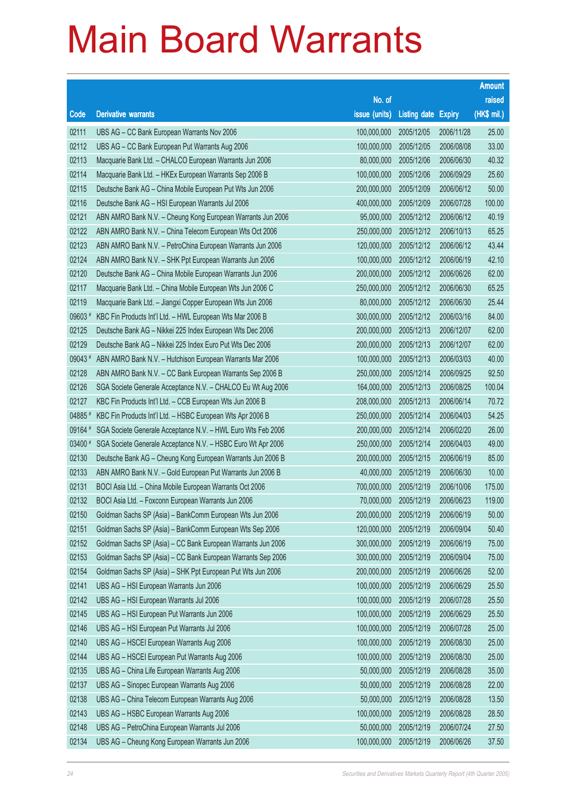|         |                                                              |               |                            |            | <b>Amount</b> |
|---------|--------------------------------------------------------------|---------------|----------------------------|------------|---------------|
|         |                                                              | No. of        |                            |            | raised        |
| Code    | <b>Derivative warrants</b>                                   | issue (units) | <b>Listing date Expiry</b> |            | (HK\$ mil.)   |
| 02111   | UBS AG - CC Bank European Warrants Nov 2006                  | 100,000,000   | 2005/12/05                 | 2006/11/28 | 25.00         |
| 02112   | UBS AG - CC Bank European Put Warrants Aug 2006              | 100,000,000   | 2005/12/05                 | 2006/08/08 | 33.00         |
| 02113   | Macquarie Bank Ltd. - CHALCO European Warrants Jun 2006      | 80,000,000    | 2005/12/06                 | 2006/06/30 | 40.32         |
| 02114   | Macquarie Bank Ltd. - HKEx European Warrants Sep 2006 B      | 100,000,000   | 2005/12/06                 | 2006/09/29 | 25.60         |
| 02115   | Deutsche Bank AG - China Mobile European Put Wts Jun 2006    | 200,000,000   | 2005/12/09                 | 2006/06/12 | 50.00         |
| 02116   | Deutsche Bank AG - HSI European Warrants Jul 2006            | 400,000,000   | 2005/12/09                 | 2006/07/28 | 100.00        |
| 02121   | ABN AMRO Bank N.V. - Cheung Kong European Warrants Jun 2006  | 95,000,000    | 2005/12/12                 | 2006/06/12 | 40.19         |
| 02122   | ABN AMRO Bank N.V. - China Telecom European Wts Oct 2006     | 250,000,000   | 2005/12/12                 | 2006/10/13 | 65.25         |
| 02123   | ABN AMRO Bank N.V. - PetroChina European Warrants Jun 2006   | 120,000,000   | 2005/12/12                 | 2006/06/12 | 43.44         |
| 02124   | ABN AMRO Bank N.V. - SHK Ppt European Warrants Jun 2006      | 100,000,000   | 2005/12/12                 | 2006/06/19 | 42.10         |
| 02120   | Deutsche Bank AG - China Mobile European Warrants Jun 2006   | 200,000,000   | 2005/12/12                 | 2006/06/26 | 62.00         |
| 02117   | Macquarie Bank Ltd. - China Mobile European Wts Jun 2006 C   | 250,000,000   | 2005/12/12                 | 2006/06/30 | 65.25         |
| 02119   | Macquarie Bank Ltd. - Jiangxi Copper European Wts Jun 2006   | 80,000,000    | 2005/12/12                 | 2006/06/30 | 25.44         |
| 09603 # | KBC Fin Products Int'l Ltd. - HWL European Wts Mar 2006 B    | 300,000,000   | 2005/12/12                 | 2006/03/16 | 84.00         |
| 02125   | Deutsche Bank AG - Nikkei 225 Index European Wts Dec 2006    | 200,000,000   | 2005/12/13                 | 2006/12/07 | 62.00         |
| 02129   | Deutsche Bank AG - Nikkei 225 Index Euro Put Wts Dec 2006    | 200,000,000   | 2005/12/13                 | 2006/12/07 | 62.00         |
| 09043#  | ABN AMRO Bank N.V. - Hutchison European Warrants Mar 2006    | 100,000,000   | 2005/12/13                 | 2006/03/03 | 40.00         |
| 02128   | ABN AMRO Bank N.V. - CC Bank European Warrants Sep 2006 B    | 250,000,000   | 2005/12/14                 | 2006/09/25 | 92.50         |
| 02126   | SGA Societe Generale Acceptance N.V. - CHALCO Eu Wt Aug 2006 | 164,000,000   | 2005/12/13                 | 2006/08/25 | 100.04        |
| 02127   | KBC Fin Products Int'l Ltd. - CCB European Wts Jun 2006 B    | 208,000,000   | 2005/12/13                 | 2006/06/14 | 70.72         |
| 04885   | KBC Fin Products Int'l Ltd. - HSBC European Wts Apr 2006 B   | 250,000,000   | 2005/12/14                 | 2006/04/03 | 54.25         |
| 09164 # | SGA Societe Generale Acceptance N.V. - HWL Euro Wts Feb 2006 | 200,000,000   | 2005/12/14                 | 2006/02/20 | 26.00         |
| 03400 # | SGA Societe Generale Acceptance N.V. - HSBC Euro Wt Apr 2006 | 250,000,000   | 2005/12/14                 | 2006/04/03 | 49.00         |
| 02130   | Deutsche Bank AG - Cheung Kong European Warrants Jun 2006 B  | 200,000,000   | 2005/12/15                 | 2006/06/19 | 85.00         |
| 02133   | ABN AMRO Bank N.V. - Gold European Put Warrants Jun 2006 B   | 40,000,000    | 2005/12/19                 | 2006/06/30 | 10.00         |
| 02131   | BOCI Asia Ltd. - China Mobile European Warrants Oct 2006     | 700,000,000   | 2005/12/19                 | 2006/10/06 | 175.00        |
| 02132   | BOCI Asia Ltd. - Foxconn European Warrants Jun 2006          |               | 70,000,000 2005/12/19      | 2006/06/23 | 119.00        |
| 02150   | Goldman Sachs SP (Asia) - BankComm European Wts Jun 2006     | 200,000,000   | 2005/12/19                 | 2006/06/19 | 50.00         |
| 02151   | Goldman Sachs SP (Asia) - BankComm European Wts Sep 2006     | 120,000,000   | 2005/12/19                 | 2006/09/04 | 50.40         |
| 02152   | Goldman Sachs SP (Asia) - CC Bank European Warrants Jun 2006 | 300,000,000   | 2005/12/19                 | 2006/06/19 | 75.00         |
| 02153   | Goldman Sachs SP (Asia) - CC Bank European Warrants Sep 2006 | 300,000,000   | 2005/12/19                 | 2006/09/04 | 75.00         |
| 02154   | Goldman Sachs SP (Asia) - SHK Ppt European Put Wts Jun 2006  | 200,000,000   | 2005/12/19                 | 2006/06/26 | 52.00         |
| 02141   | UBS AG - HSI European Warrants Jun 2006                      | 100,000,000   | 2005/12/19                 | 2006/06/29 | 25.50         |
| 02142   | UBS AG - HSI European Warrants Jul 2006                      | 100,000,000   | 2005/12/19                 | 2006/07/28 | 25.50         |
| 02145   | UBS AG - HSI European Put Warrants Jun 2006                  | 100,000,000   | 2005/12/19                 | 2006/06/29 | 25.50         |
| 02146   | UBS AG - HSI European Put Warrants Jul 2006                  | 100,000,000   | 2005/12/19                 | 2006/07/28 | 25.00         |
| 02140   | UBS AG - HSCEI European Warrants Aug 2006                    | 100,000,000   | 2005/12/19                 | 2006/08/30 | 25.00         |
| 02144   | UBS AG - HSCEI European Put Warrants Aug 2006                | 100,000,000   | 2005/12/19                 | 2006/08/30 | 25.00         |
| 02135   | UBS AG - China Life European Warrants Aug 2006               | 50,000,000    | 2005/12/19                 | 2006/08/28 | 35.00         |
| 02137   | UBS AG - Sinopec European Warrants Aug 2006                  | 50,000,000    | 2005/12/19                 | 2006/08/28 | 22.00         |
| 02138   | UBS AG - China Telecom European Warrants Aug 2006            | 50,000,000    | 2005/12/19                 | 2006/08/28 | 13.50         |
| 02143   | UBS AG - HSBC European Warrants Aug 2006                     | 100,000,000   | 2005/12/19                 | 2006/08/28 | 28.50         |
| 02148   | UBS AG - PetroChina European Warrants Jul 2006               | 50,000,000    | 2005/12/19                 | 2006/07/24 | 27.50         |
| 02134   | UBS AG - Cheung Kong European Warrants Jun 2006              | 100,000,000   | 2005/12/19                 | 2006/06/26 | 37.50         |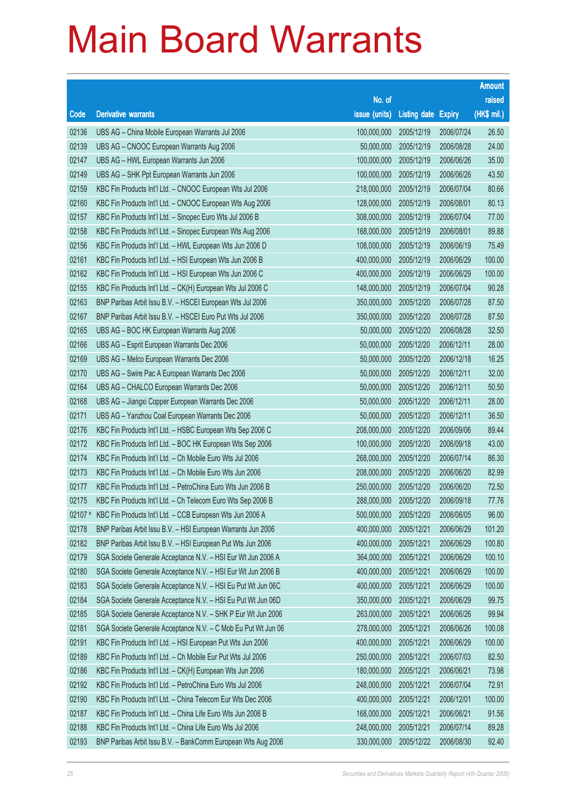|             |                                                               |                        |                            |            | <b>Amount</b> |
|-------------|---------------------------------------------------------------|------------------------|----------------------------|------------|---------------|
|             |                                                               | No. of                 |                            |            | raised        |
| Code        | <b>Derivative warrants</b>                                    | issue (units)          | <b>Listing date Expiry</b> |            | (HK\$ mil.)   |
| 02136       | UBS AG - China Mobile European Warrants Jul 2006              | 100,000,000            | 2005/12/19                 | 2006/07/24 | 26.50         |
| 02139       | UBS AG - CNOOC European Warrants Aug 2006                     | 50,000,000             | 2005/12/19                 | 2006/08/28 | 24.00         |
| 02147       | UBS AG - HWL European Warrants Jun 2006                       | 100,000,000            | 2005/12/19                 | 2006/06/26 | 35.00         |
| 02149       | UBS AG - SHK Ppt European Warrants Jun 2006                   | 100,000,000            | 2005/12/19                 | 2006/06/26 | 43.50         |
| 02159       | KBC Fin Products Int'l Ltd. - CNOOC European Wts Jul 2006     | 218,000,000            | 2005/12/19                 | 2006/07/04 | 80.66         |
| 02160       | KBC Fin Products Int'l Ltd. - CNOOC European Wts Aug 2006     | 128,000,000            | 2005/12/19                 | 2006/08/01 | 80.13         |
| 02157       | KBC Fin Products Int'l Ltd. - Sinopec Euro Wts Jul 2006 B     | 308,000,000            | 2005/12/19                 | 2006/07/04 | 77.00         |
| 02158       | KBC Fin Products Int'l Ltd. - Sinopec European Wts Aug 2006   | 168,000,000            | 2005/12/19                 | 2006/08/01 | 89.88         |
| 02156       | KBC Fin Products Int'l Ltd. - HWL European Wts Jun 2006 D     | 108,000,000            | 2005/12/19                 | 2006/06/19 | 75.49         |
| 02161       | KBC Fin Products Int'l Ltd. - HSI European Wts Jun 2006 B     | 400,000,000            | 2005/12/19                 | 2006/06/29 | 100.00        |
| 02162       | KBC Fin Products Int'l Ltd. - HSI European Wts Jun 2006 C     | 400,000,000            | 2005/12/19                 | 2006/06/29 | 100.00        |
| 02155       | KBC Fin Products Int'l Ltd. - CK(H) European Wts Jul 2006 C   | 148,000,000            | 2005/12/19                 | 2006/07/04 | 90.28         |
| 02163       | BNP Paribas Arbit Issu B.V. - HSCEI European Wts Jul 2006     | 350,000,000            | 2005/12/20                 | 2006/07/28 | 87.50         |
| 02167       | BNP Paribas Arbit Issu B.V. - HSCEI Euro Put Wts Jul 2006     | 350,000,000            | 2005/12/20                 | 2006/07/28 | 87.50         |
| 02165       | UBS AG - BOC HK European Warrants Aug 2006                    | 50,000,000             | 2005/12/20                 | 2006/08/28 | 32.50         |
| 02166       | UBS AG - Esprit European Warrants Dec 2006                    | 50,000,000             | 2005/12/20                 | 2006/12/11 | 28.00         |
| 02169       | UBS AG - Melco European Warrants Dec 2006                     | 50,000,000             | 2005/12/20                 | 2006/12/18 | 16.25         |
| 02170       | UBS AG - Swire Pac A European Warrants Dec 2006               | 50,000,000             | 2005/12/20                 | 2006/12/11 | 32.00         |
| 02164       | UBS AG - CHALCO European Warrants Dec 2006                    | 50,000,000             | 2005/12/20                 | 2006/12/11 | 50.50         |
| 02168       | UBS AG - Jiangxi Copper European Warrants Dec 2006            | 50,000,000             | 2005/12/20                 | 2006/12/11 | 28.00         |
| 02171       | UBS AG - Yanzhou Coal European Warrants Dec 2006              | 50,000,000             | 2005/12/20                 | 2006/12/11 | 36.50         |
| 02176       | KBC Fin Products Int'l Ltd. - HSBC European Wts Sep 2006 C    | 208,000,000            | 2005/12/20                 | 2006/09/06 | 89.44         |
| 02172       | KBC Fin Products Int'l Ltd. - BOC HK European Wts Sep 2006    | 100,000,000            | 2005/12/20                 | 2006/09/18 | 43.00         |
| 02174       | KBC Fin Products Int'l Ltd. - Ch Mobile Euro Wts Jul 2006     | 268,000,000            | 2005/12/20                 | 2006/07/14 | 86.30         |
| 02173       | KBC Fin Products Int'l Ltd. - Ch Mobile Euro Wts Jun 2006     | 208,000,000            | 2005/12/20                 | 2006/06/20 | 82.99         |
| 02177       | KBC Fin Products Int'l Ltd. - PetroChina Euro Wts Jun 2006 B  | 250,000,000            | 2005/12/20                 | 2006/06/20 | 72.50         |
| 02175       | KBC Fin Products Int'l Ltd. - Ch Telecom Euro Wts Sep 2006 B  | 288,000,000 2005/12/20 |                            | 2006/09/18 | 77.76         |
| $02107$ $*$ | KBC Fin Products Int'l Ltd. - CCB European Wts Jun 2006 A     | 500,000,000            | 2005/12/20                 | 2006/06/05 | 96.00         |
| 02178       | BNP Paribas Arbit Issu B.V. - HSI European Warrants Jun 2006  | 400,000,000            | 2005/12/21                 | 2006/06/29 | 101.20        |
| 02182       | BNP Paribas Arbit Issu B.V. - HSI European Put Wts Jun 2006   | 400,000,000            | 2005/12/21                 | 2006/06/29 | 100.80        |
| 02179       | SGA Societe Generale Acceptance N.V. - HSI Eur Wt Jun 2006 A  | 364,000,000            | 2005/12/21                 | 2006/06/29 | 100.10        |
| 02180       | SGA Societe Generale Acceptance N.V. - HSI Eur Wt Jun 2006 B  | 400,000,000            | 2005/12/21                 | 2006/06/29 | 100.00        |
| 02183       | SGA Societe Generale Acceptance N.V. - HSI Eu Put Wt Jun 06C  | 400,000,000            | 2005/12/21                 | 2006/06/29 | 100.00        |
| 02184       | SGA Societe Generale Acceptance N.V. - HSI Eu Put Wt Jun 06D  | 350,000,000            | 2005/12/21                 | 2006/06/29 | 99.75         |
| 02185       | SGA Societe Generale Acceptance N.V. - SHK P Eur Wt Jun 2006  | 263,000,000            | 2005/12/21                 | 2006/06/26 | 99.94         |
| 02181       | SGA Societe Generale Acceptance N.V. - C Mob Eu Put Wt Jun 06 | 278,000,000            | 2005/12/21                 | 2006/06/26 | 100.08        |
| 02191       | KBC Fin Products Int'l Ltd. - HSI European Put Wts Jun 2006   | 400,000,000            | 2005/12/21                 | 2006/06/29 | 100.00        |
| 02189       | KBC Fin Products Int'l Ltd. - Ch Mobile Eur Put Wts Jul 2006  | 250,000,000            | 2005/12/21                 | 2006/07/03 | 82.50         |
| 02186       | KBC Fin Products Int'l Ltd. - CK(H) European Wts Jun 2006     | 180,000,000            | 2005/12/21                 | 2006/06/21 | 73.98         |
| 02192       | KBC Fin Products Int'l Ltd. - PetroChina Euro Wts Jul 2006    | 248,000,000            | 2005/12/21                 | 2006/07/04 | 72.91         |
| 02190       | KBC Fin Products Int'l Ltd. - China Telecom Eur Wts Dec 2006  | 400,000,000            | 2005/12/21                 | 2006/12/01 | 100.00        |
| 02187       | KBC Fin Products Int'l Ltd. - China Life Euro Wts Jun 2006 B  | 168,000,000            | 2005/12/21                 | 2006/06/21 | 91.56         |
| 02188       | KBC Fin Products Int'l Ltd. - China Life Euro Wts Jul 2006    | 248,000,000            | 2005/12/21                 | 2006/07/14 | 89.28         |
| 02193       | BNP Paribas Arbit Issu B.V. - BankComm European Wts Aug 2006  | 330,000,000            | 2005/12/22                 | 2006/08/30 | 92.40         |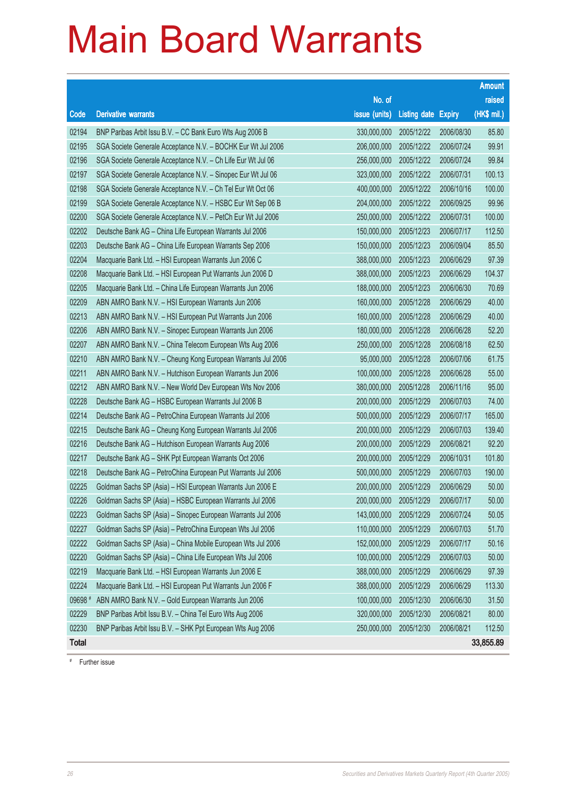|              |                                                              |               |                     |            | <b>Amount</b> |
|--------------|--------------------------------------------------------------|---------------|---------------------|------------|---------------|
|              |                                                              | No. of        |                     |            | raised        |
| Code         | <b>Derivative warrants</b>                                   | issue (units) | Listing date Expiry |            | $(HKS$ mil.)  |
| 02194        | BNP Paribas Arbit Issu B.V. - CC Bank Euro Wts Aug 2006 B    | 330,000,000   | 2005/12/22          | 2006/08/30 | 85.80         |
| 02195        | SGA Societe Generale Acceptance N.V. - BOCHK Eur Wt Jul 2006 | 206,000,000   | 2005/12/22          | 2006/07/24 | 99.91         |
| 02196        | SGA Societe Generale Acceptance N.V. - Ch Life Eur Wt Jul 06 | 256,000,000   | 2005/12/22          | 2006/07/24 | 99.84         |
| 02197        | SGA Societe Generale Acceptance N.V. - Sinopec Eur Wt Jul 06 | 323,000,000   | 2005/12/22          | 2006/07/31 | 100.13        |
| 02198        | SGA Societe Generale Acceptance N.V. - Ch Tel Eur Wt Oct 06  | 400,000,000   | 2005/12/22          | 2006/10/16 | 100.00        |
| 02199        | SGA Societe Generale Acceptance N.V. - HSBC Eur Wt Sep 06 B  | 204,000,000   | 2005/12/22          | 2006/09/25 | 99.96         |
| 02200        | SGA Societe Generale Acceptance N.V. - PetCh Eur Wt Jul 2006 | 250,000,000   | 2005/12/22          | 2006/07/31 | 100.00        |
| 02202        | Deutsche Bank AG - China Life European Warrants Jul 2006     | 150,000,000   | 2005/12/23          | 2006/07/17 | 112.50        |
| 02203        | Deutsche Bank AG - China Life European Warrants Sep 2006     | 150,000,000   | 2005/12/23          | 2006/09/04 | 85.50         |
| 02204        | Macquarie Bank Ltd. - HSI European Warrants Jun 2006 C       | 388,000,000   | 2005/12/23          | 2006/06/29 | 97.39         |
| 02208        | Macquarie Bank Ltd. - HSI European Put Warrants Jun 2006 D   | 388,000,000   | 2005/12/23          | 2006/06/29 | 104.37        |
| 02205        | Macquarie Bank Ltd. - China Life European Warrants Jun 2006  | 188,000,000   | 2005/12/23          | 2006/06/30 | 70.69         |
| 02209        | ABN AMRO Bank N.V. - HSI European Warrants Jun 2006          | 160,000,000   | 2005/12/28          | 2006/06/29 | 40.00         |
| 02213        | ABN AMRO Bank N.V. - HSI European Put Warrants Jun 2006      | 160,000,000   | 2005/12/28          | 2006/06/29 | 40.00         |
| 02206        | ABN AMRO Bank N.V. - Sinopec European Warrants Jun 2006      | 180,000,000   | 2005/12/28          | 2006/06/28 | 52.20         |
| 02207        | ABN AMRO Bank N.V. - China Telecom European Wts Aug 2006     | 250,000,000   | 2005/12/28          | 2006/08/18 | 62.50         |
| 02210        | ABN AMRO Bank N.V. - Cheung Kong European Warrants Jul 2006  | 95,000,000    | 2005/12/28          | 2006/07/06 | 61.75         |
| 02211        | ABN AMRO Bank N.V. - Hutchison European Warrants Jun 2006    | 100,000,000   | 2005/12/28          | 2006/06/28 | 55.00         |
| 02212        | ABN AMRO Bank N.V. - New World Dev European Wts Nov 2006     | 380,000,000   | 2005/12/28          | 2006/11/16 | 95.00         |
| 02228        | Deutsche Bank AG - HSBC European Warrants Jul 2006 B         | 200,000,000   | 2005/12/29          | 2006/07/03 | 74.00         |
| 02214        | Deutsche Bank AG - PetroChina European Warrants Jul 2006     | 500,000,000   | 2005/12/29          | 2006/07/17 | 165.00        |
| 02215        | Deutsche Bank AG - Cheung Kong European Warrants Jul 2006    | 200,000,000   | 2005/12/29          | 2006/07/03 | 139.40        |
| 02216        | Deutsche Bank AG - Hutchison European Warrants Aug 2006      | 200,000,000   | 2005/12/29          | 2006/08/21 | 92.20         |
| 02217        | Deutsche Bank AG - SHK Ppt European Warrants Oct 2006        | 200,000,000   | 2005/12/29          | 2006/10/31 | 101.80        |
| 02218        | Deutsche Bank AG - PetroChina European Put Warrants Jul 2006 | 500,000,000   | 2005/12/29          | 2006/07/03 | 190.00        |
| 02225        | Goldman Sachs SP (Asia) - HSI European Warrants Jun 2006 E   | 200,000,000   | 2005/12/29          | 2006/06/29 | 50.00         |
| 02226        | Goldman Sachs SP (Asia) - HSBC European Warrants Jul 2006    | 200,000,000   | 2005/12/29          | 2006/07/17 | 50.00         |
| 02223        | Goldman Sachs SP (Asia) - Sinopec European Warrants Jul 2006 | 143,000,000   | 2005/12/29          | 2006/07/24 | 50.05         |
| 02227        | Goldman Sachs SP (Asia) - PetroChina European Wts Jul 2006   | 110,000,000   | 2005/12/29          | 2006/07/03 | 51.70         |
| 02222        | Goldman Sachs SP (Asia) - China Mobile European Wts Jul 2006 | 152,000,000   | 2005/12/29          | 2006/07/17 | 50.16         |
| 02220        | Goldman Sachs SP (Asia) - China Life European Wts Jul 2006   | 100,000,000   | 2005/12/29          | 2006/07/03 | 50.00         |
| 02219        | Macquarie Bank Ltd. - HSI European Warrants Jun 2006 E       | 388,000,000   | 2005/12/29          | 2006/06/29 | 97.39         |
| 02224        | Macquarie Bank Ltd. - HSI European Put Warrants Jun 2006 F   | 388,000,000   | 2005/12/29          | 2006/06/29 | 113.30        |
| 09698 #      | ABN AMRO Bank N.V. - Gold European Warrants Jun 2006         | 100,000,000   | 2005/12/30          | 2006/06/30 | 31.50         |
| 02229        | BNP Paribas Arbit Issu B.V. - China Tel Euro Wts Aug 2006    | 320,000,000   | 2005/12/30          | 2006/08/21 | 80.00         |
| 02230        | BNP Paribas Arbit Issu B.V. - SHK Ppt European Wts Aug 2006  | 250,000,000   | 2005/12/30          | 2006/08/21 | 112.50        |
| <b>Total</b> |                                                              |               |                     |            | 33,855.89     |

# Further issue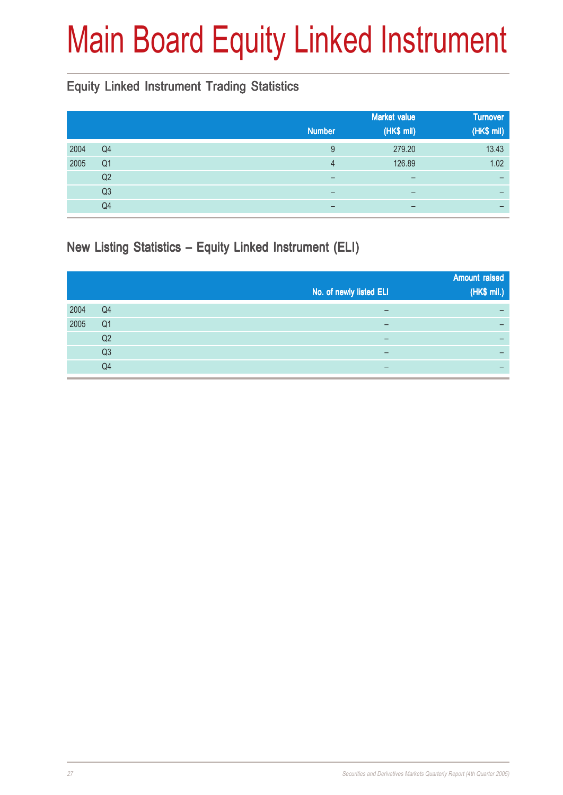# Main Board Equity Linked Instrument

### Equity Linked Instrument Trading Statistics

|      |                |                          | <b>Market value</b>          | <b>Turnover</b> |
|------|----------------|--------------------------|------------------------------|-----------------|
|      |                | <b>Number</b>            | (HK\$ mil)                   | (HK\$ mil)      |
| 2004 | Q4             | 9                        | 279.20                       | 13.43           |
| 2005 | Q <sub>1</sub> | 4                        | 126.89                       | 1.02            |
|      | Q2             | $\overline{\phantom{0}}$ | $\qquad \qquad \blacksquare$ |                 |
|      | Q <sub>3</sub> | $\overline{\phantom{0}}$ | $\qquad \qquad \blacksquare$ |                 |
|      | Q4             |                          |                              |                 |

New Listing Statistics – Equity Linked Instrument (ELI)

|      |                | No. of newly listed ELI | <b>Amount raised</b><br>(HK\$ mil.) |
|------|----------------|-------------------------|-------------------------------------|
| 2004 | Q4             |                         | -                                   |
| 2005 | Q <sub>1</sub> |                         | -                                   |
|      | Q <sub>2</sub> |                         | -                                   |
|      | Q <sub>3</sub> | -                       |                                     |
|      | Q4             | -                       | -                                   |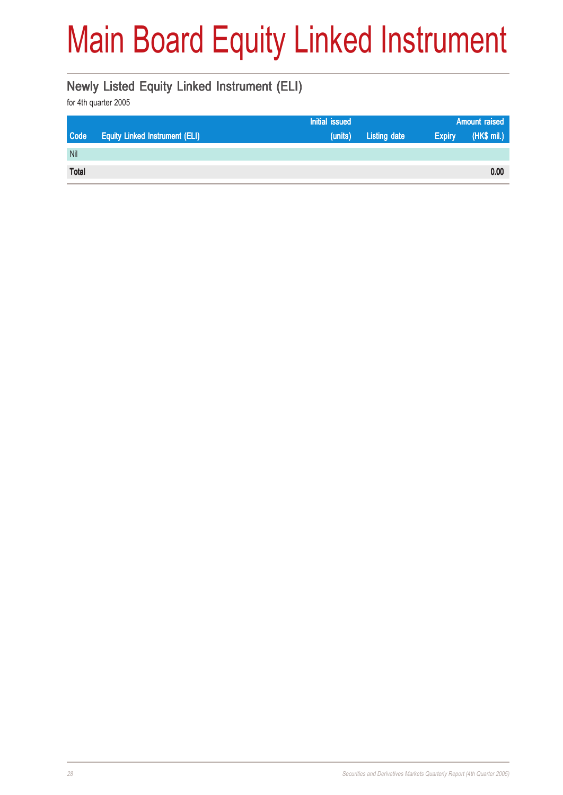# Main Board Equity Linked Instrument

#### Newly Listed Equity Linked Instrument (ELI)

|              |                                       | <b>Initial issued</b> |                     | <b>Amount raised</b> |             |
|--------------|---------------------------------------|-----------------------|---------------------|----------------------|-------------|
| Code         | <b>Equity Linked Instrument (ELI)</b> | (units)               | <b>Listing date</b> | <b>Expiry</b>        | (HK\$ mil.) |
| Nil          |                                       |                       |                     |                      |             |
| <b>Total</b> |                                       |                       |                     |                      | 0.00        |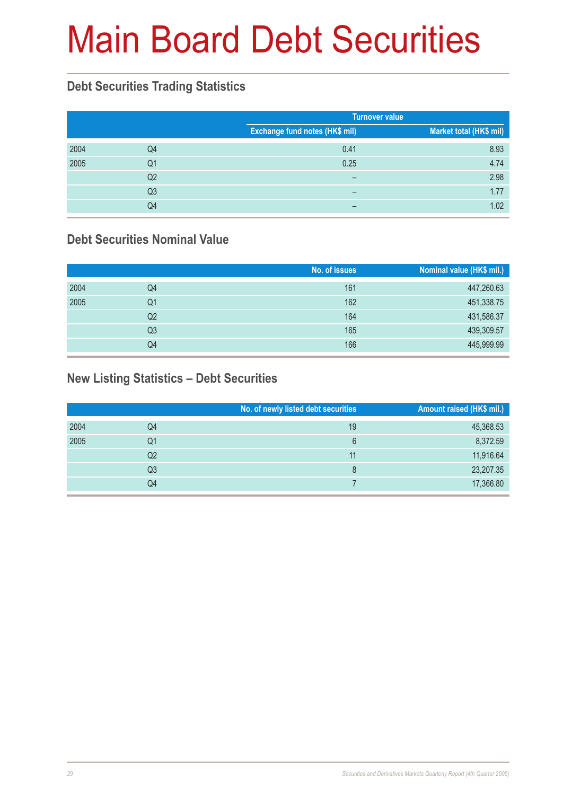# Main Board Debt Securities

#### **Debt Securities Trading Statistics**

|      |                |                                       | <b>Turnover value</b>   |
|------|----------------|---------------------------------------|-------------------------|
|      |                | <b>Exchange fund notes (HK\$ mil)</b> | Market total (HK\$ mil) |
| 2004 | Q4             | 0.41                                  | 8.93                    |
| 2005 | Q1             | 0.25                                  | 4.74                    |
|      | Q <sub>2</sub> |                                       | 2.98                    |
|      | Q <sub>3</sub> |                                       | 1.77                    |
|      | Q4             |                                       | 1.02                    |

### **Debt Securities Nominal Value**

|      |                | No. of issues | Nominal value (HK\$ mil.) |
|------|----------------|---------------|---------------------------|
| 2004 | Q4             | 161           | 447,260.63                |
| 2005 | Q1             | 162           | 451,338.75                |
|      | Q2             | 164           | 431,586.37                |
|      | Q <sub>3</sub> | 165           | 439,309.57                |
|      | Q4             | 166           | 445,999.99                |

### **New Listing Statistics – Debt Securities**

|      |                | No. of newly listed debt securities | Amount raised (HK\$ mil.) |
|------|----------------|-------------------------------------|---------------------------|
| 2004 | Q4             | 19                                  | 45,368.53                 |
| 2005 | Q1             | 6                                   | 8,372.59                  |
|      | Q <sub>2</sub> | 11                                  | 11,916.64                 |
|      | Q3             | 8                                   | 23,207.35                 |
|      | Q4             |                                     | 17,366.80                 |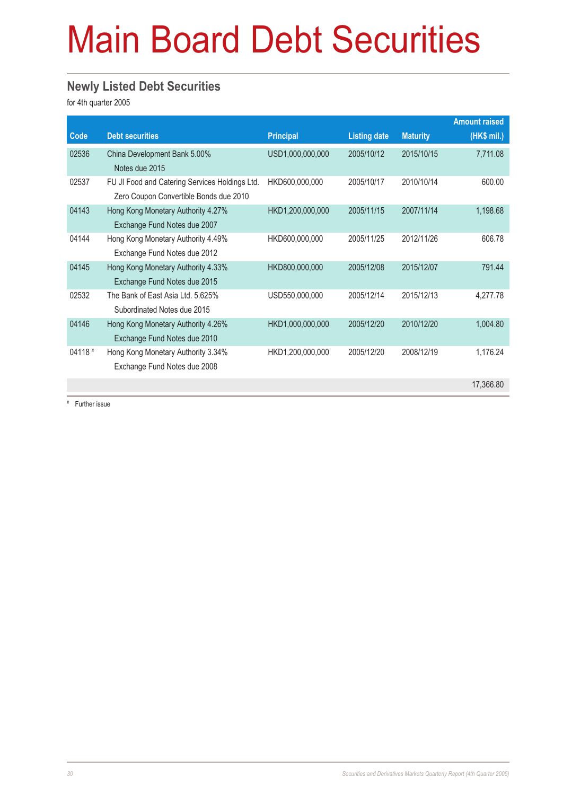# Main Board Debt Securities

#### **Newly Listed Debt Securities**

for 4th quarter 2005

|         |                                                |                  |                     |                 | <b>Amount raised</b> |
|---------|------------------------------------------------|------------------|---------------------|-----------------|----------------------|
| Code    | <b>Debt securities</b>                         | <b>Principal</b> | <b>Listing date</b> | <b>Maturity</b> | $(HK$$ mil.)         |
| 02536   | China Development Bank 5.00%                   | USD1,000,000,000 | 2005/10/12          | 2015/10/15      | 7,711.08             |
|         | Notes due 2015                                 |                  |                     |                 |                      |
| 02537   | FU JI Food and Catering Services Holdings Ltd. | HKD600,000,000   | 2005/10/17          | 2010/10/14      | 600.00               |
|         | Zero Coupon Convertible Bonds due 2010         |                  |                     |                 |                      |
| 04143   | Hong Kong Monetary Authority 4.27%             | HKD1,200,000,000 | 2005/11/15          | 2007/11/14      | 1,198.68             |
|         | Exchange Fund Notes due 2007                   |                  |                     |                 |                      |
| 04144   | Hong Kong Monetary Authority 4.49%             | HKD600,000,000   | 2005/11/25          | 2012/11/26      | 606.78               |
|         | Exchange Fund Notes due 2012                   |                  |                     |                 |                      |
| 04145   | Hong Kong Monetary Authority 4.33%             | HKD800,000,000   | 2005/12/08          | 2015/12/07      | 791.44               |
|         | Exchange Fund Notes due 2015                   |                  |                     |                 |                      |
| 02532   | The Bank of East Asia Ltd. 5.625%              | USD550,000,000   | 2005/12/14          | 2015/12/13      | 4,277.78             |
|         | Subordinated Notes due 2015                    |                  |                     |                 |                      |
| 04146   | Hong Kong Monetary Authority 4.26%             | HKD1,000,000,000 | 2005/12/20          | 2010/12/20      | 1,004.80             |
|         | Exchange Fund Notes due 2010                   |                  |                     |                 |                      |
| 04118 # | Hong Kong Monetary Authority 3.34%             | HKD1,200,000,000 | 2005/12/20          | 2008/12/19      | 1,176.24             |
|         | Exchange Fund Notes due 2008                   |                  |                     |                 |                      |
|         |                                                |                  |                     |                 | 17,366.80            |

# Further issue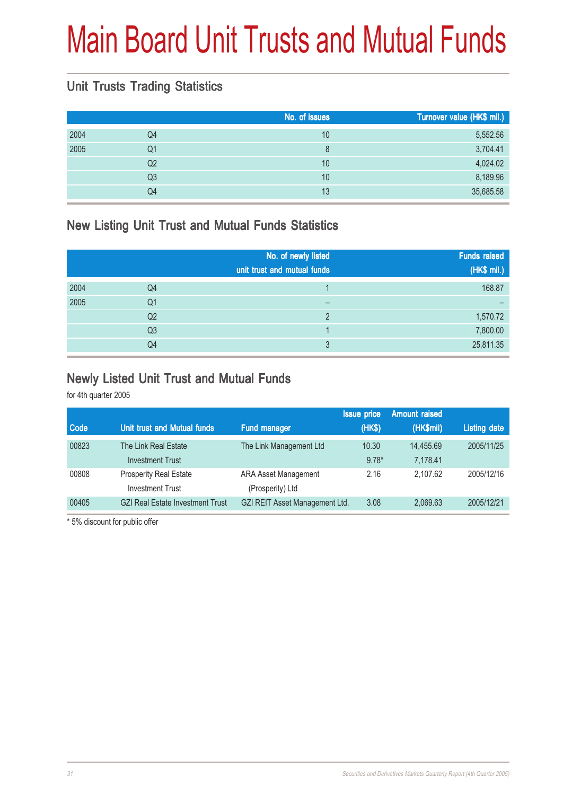# Main Board Unit Trusts and Mutual Funds

### Unit Trusts Trading Statistics

|      |                | No. of issues | Turnover value (HK\$ mil.) |
|------|----------------|---------------|----------------------------|
| 2004 | Q <sub>4</sub> | 10            | 5,552.56                   |
| 2005 | Q1             | 8             | 3,704.41                   |
|      | Q <sub>2</sub> | 10            | 4,024.02                   |
|      | Q <sub>3</sub> | 10            | 8,189.96                   |
|      | Q4             | 13            | 35,685.58                  |

### New Listing Unit Trust and Mutual Funds Statistics

|      |                | No. of newly listed<br>unit trust and mutual funds | <b>Funds raised</b><br>(HK\$ mil.) |
|------|----------------|----------------------------------------------------|------------------------------------|
| 2004 | Q4             |                                                    | 168.87                             |
| 2005 | Q1             |                                                    |                                    |
|      | Q <sub>2</sub> |                                                    | 1,570.72                           |
|      | Q <sub>3</sub> |                                                    | 7,800.00                           |
|      | Q <sub>4</sub> | 3                                                  | 25,811.35                          |

#### Newly Listed Unit Trust and Mutual Funds

for 4th quarter 2005

|             |                                         |                                | <b>Issue price</b> | <b>Amount raised</b> |                     |
|-------------|-----------------------------------------|--------------------------------|--------------------|----------------------|---------------------|
| <b>Code</b> | Unit trust and Mutual funds             | Fund manager                   | (HK\$)             | (HK\$mil)            | <b>Listing date</b> |
| 00823       | The Link Real Estate                    | The Link Management Ltd        | 10.30              | 14.455.69            | 2005/11/25          |
|             | <b>Investment Trust</b>                 |                                | $9.78*$            | 7.178.41             |                     |
| 00808       | Prosperity Real Estate                  | <b>ARA Asset Management</b>    | 2.16               | 2.107.62             | 2005/12/16          |
|             | <b>Investment Trust</b>                 | (Prosperity) Ltd               |                    |                      |                     |
| 00405       | <b>GZI Real Estate Investment Trust</b> | GZI REIT Asset Management Ltd. | 3.08               | 2.069.63             | 2005/12/21          |
|             |                                         |                                |                    |                      |                     |

\* 5% discount for public offer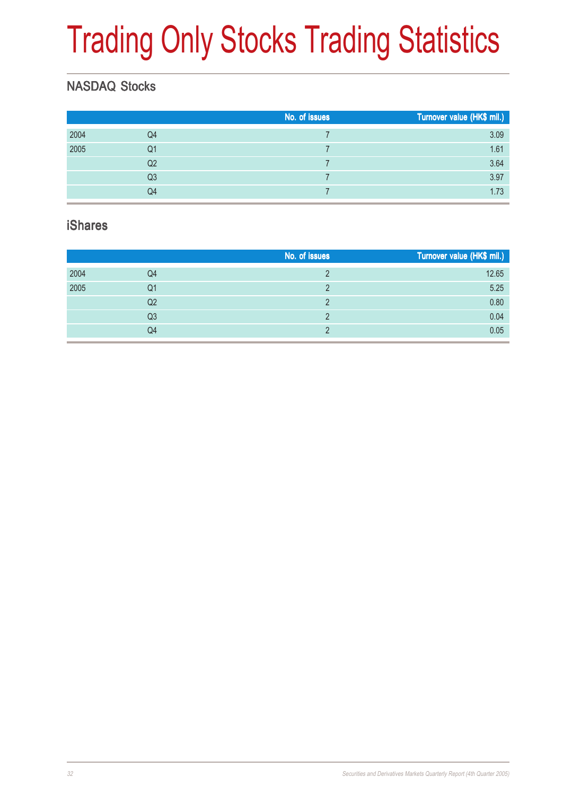# Trading Only Stocks Trading Statistics

### NASDAQ Stocks

|      |                | No. of issues | Turnover value (HK\$ mil.) |
|------|----------------|---------------|----------------------------|
| 2004 | Q4             |               | 3.09                       |
| 2005 | Q <sub>1</sub> |               | 1.61                       |
|      | Q2             |               | 3.64                       |
|      | Q3             |               | 3.97                       |
|      | Q4             |               | 1.73                       |
|      |                |               |                            |

#### iShares

|      |                | No. of issues | Turnover value (HK\$ mil.) |
|------|----------------|---------------|----------------------------|
| 2004 | Q4             |               | 12.65                      |
| 2005 | Q1             |               | 5.25                       |
|      | Q2             |               | 0.80                       |
|      | Q3             |               | 0.04                       |
|      | Q <sub>4</sub> |               | 0.05                       |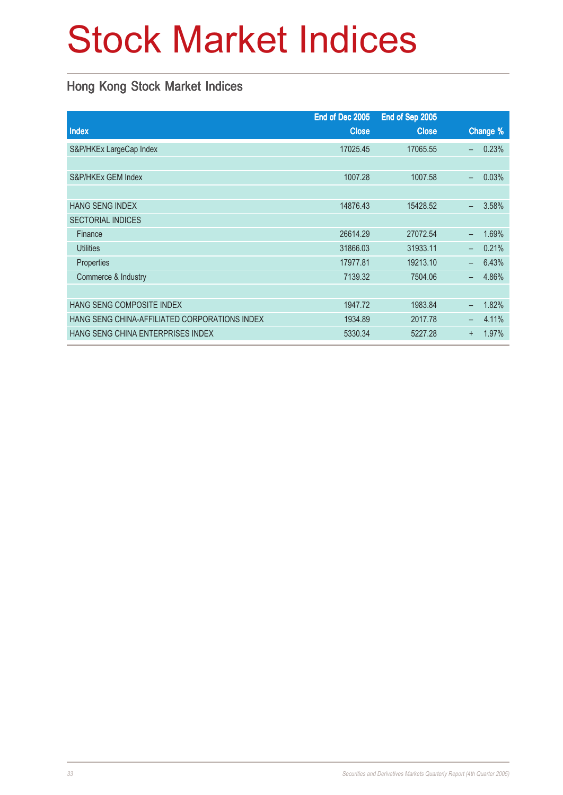# Stock Market Indices

### Hong Kong Stock Market Indices

|                                               | End of Dec 2005 | End of Sep 2005 |                          |          |
|-----------------------------------------------|-----------------|-----------------|--------------------------|----------|
| Index                                         | <b>Close</b>    | <b>Close</b>    |                          | Change % |
| S&P/HKEx LargeCap Index                       | 17025.45        | 17065.55        | $\overline{\phantom{0}}$ | 0.23%    |
|                                               |                 |                 |                          |          |
| S&P/HKEx GEM Index                            | 1007.28         | 1007.58         | $\overline{\phantom{0}}$ | 0.03%    |
|                                               |                 |                 |                          |          |
| <b>HANG SENG INDEX</b>                        | 14876.43        | 15428.52        | $\overline{\phantom{0}}$ | 3.58%    |
| <b>SECTORIAL INDICES</b>                      |                 |                 |                          |          |
| Finance                                       | 26614.29        | 27072.54        | $\overline{\phantom{0}}$ | 1.69%    |
| <b>Utilities</b>                              | 31866.03        | 31933.11        | $\overline{\phantom{0}}$ | 0.21%    |
| Properties                                    | 17977.81        | 19213.10        | $-$                      | 6.43%    |
| Commerce & Industry                           | 7139.32         | 7504.06         |                          | 4.86%    |
|                                               |                 |                 |                          |          |
| HANG SENG COMPOSITE INDEX                     | 1947.72         | 1983.84         | $\overline{\phantom{0}}$ | 1.82%    |
| HANG SENG CHINA-AFFILIATED CORPORATIONS INDEX | 1934.89         | 2017.78         | -                        | 4.11%    |
| HANG SENG CHINA ENTERPRISES INDEX             | 5330.34         | 5227.28         | $\ddot{}$                | 1.97%    |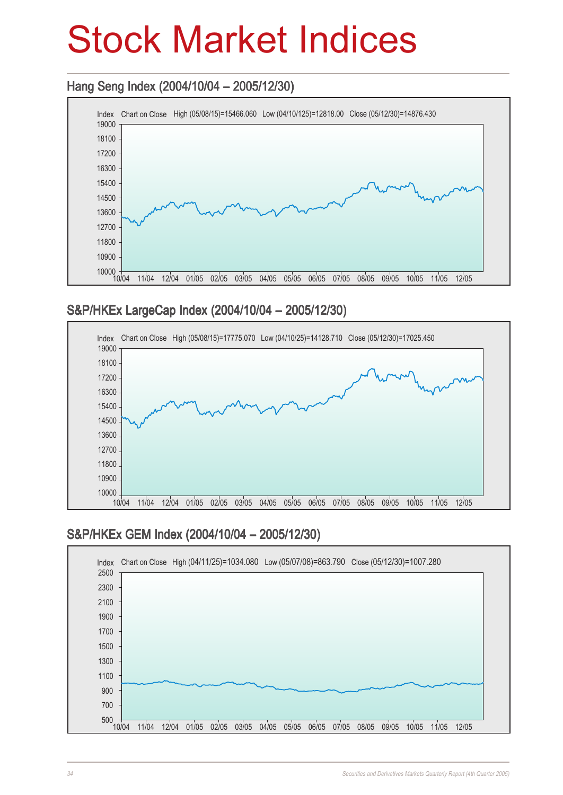## Stock Market Indices

### Hang Seng Index (2004/10/04 – 2005/12/30)



### S&P/HKEx LargeCap Index (2004/10/04 – 2005/12/30)



### S&P/HKEx GEM Index (2004/10/04 - 2005/12/30)

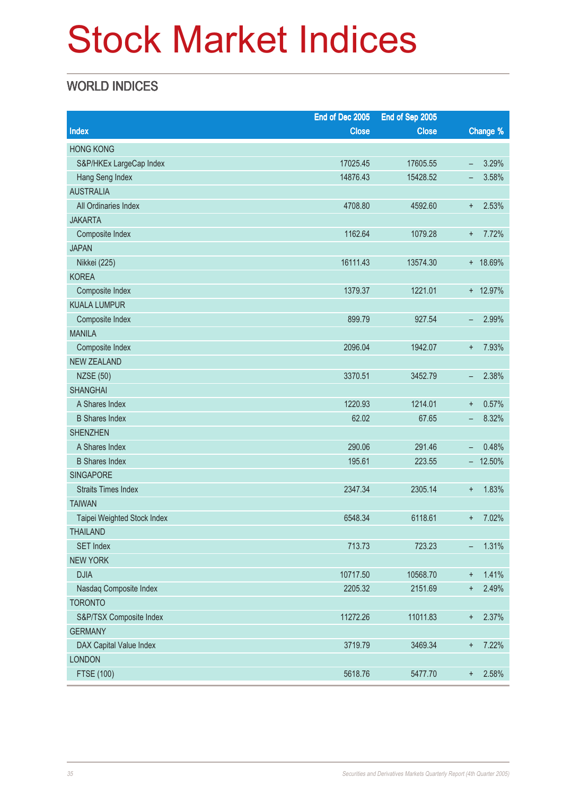# Stock Market Indices

### WORLD INDICES

|                             | End of Dec 2005 | End of Sep 2005 |                          |           |
|-----------------------------|-----------------|-----------------|--------------------------|-----------|
| Index                       | <b>Close</b>    | <b>Close</b>    |                          | Change %  |
| <b>HONG KONG</b>            |                 |                 |                          |           |
| S&P/HKEx LargeCap Index     | 17025.45        | 17605.55        | $\overline{\phantom{a}}$ | 3.29%     |
| Hang Seng Index             | 14876.43        | 15428.52        | -                        | 3.58%     |
| <b>AUSTRALIA</b>            |                 |                 |                          |           |
| All Ordinaries Index        | 4708.80         | 4592.60         | $\ddagger$               | 2.53%     |
| <b>JAKARTA</b>              |                 |                 |                          |           |
| Composite Index             | 1162.64         | 1079.28         | $\ddot{}$                | 7.72%     |
| <b>JAPAN</b>                |                 |                 |                          |           |
| Nikkei (225)                | 16111.43        | 13574.30        |                          | + 18.69%  |
| <b>KOREA</b>                |                 |                 |                          |           |
| Composite Index             | 1379.37         | 1221.01         |                          | + 12.97%  |
| <b>KUALA LUMPUR</b>         |                 |                 |                          |           |
| Composite Index             | 899.79          | 927.54          | -                        | 2.99%     |
| <b>MANILA</b>               |                 |                 |                          |           |
| Composite Index             | 2096.04         | 1942.07         | $\ddot{}$                | 7.93%     |
| <b>NEW ZEALAND</b>          |                 |                 |                          |           |
| <b>NZSE (50)</b>            | 3370.51         | 3452.79         | -                        | 2.38%     |
| <b>SHANGHAI</b>             |                 |                 |                          |           |
| A Shares Index              | 1220.93         | 1214.01         | $\ddagger$               | 0.57%     |
| <b>B</b> Shares Index       | 62.02           | 67.65           | $\overline{\phantom{m}}$ | 8.32%     |
| <b>SHENZHEN</b>             |                 |                 |                          |           |
| A Shares Index              | 290.06          | 291.46          | $\overline{\phantom{0}}$ | 0.48%     |
| <b>B</b> Shares Index       | 195.61          | 223.55          |                          | $-12.50%$ |
| <b>SINGAPORE</b>            |                 |                 |                          |           |
| <b>Straits Times Index</b>  | 2347.34         | 2305.14         | $\ddagger$               | 1.83%     |
| <b>TAIWAN</b>               |                 |                 |                          |           |
| Taipei Weighted Stock Index | 6548.34         | 6118.61         | $\ddot{}$                | 7.02%     |
| <b>THAILAND</b>             |                 |                 |                          |           |
| <b>SET Index</b>            | 713.73          | 723.23          | -                        | 1.31%     |
| <b>NEW YORK</b>             |                 |                 |                          |           |
| <b>DJIA</b>                 | 10717.50        | 10568.70        | $\ddagger$               | 1.41%     |
| Nasdaq Composite Index      | 2205.32         | 2151.69         | $\ddagger$               | 2.49%     |
| <b>TORONTO</b>              |                 |                 |                          |           |
| S&P/TSX Composite Index     | 11272.26        | 11011.83        | $^{\rm +}$               | 2.37%     |
| <b>GERMANY</b>              |                 |                 |                          |           |
| DAX Capital Value Index     | 3719.79         | 3469.34         | $\ddagger$               | 7.22%     |
| <b>LONDON</b>               |                 |                 |                          |           |
| <b>FTSE (100)</b>           | 5618.76         | 5477.70         | $^{\mathrm{+}}$          | 2.58%     |
|                             |                 |                 |                          |           |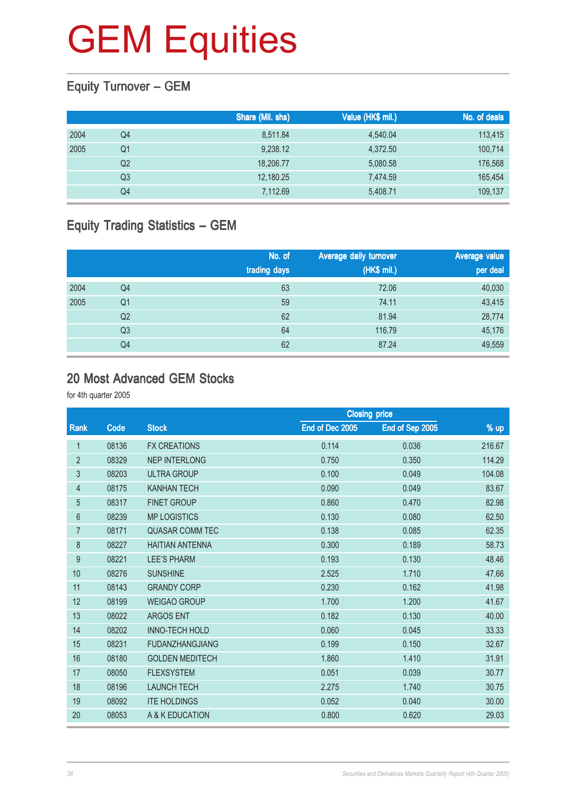## Equity Turnover – GEM

|      |    | Share (Mil. shs) | Value (HK\$ mil.) | No. of deals |
|------|----|------------------|-------------------|--------------|
| 2004 | Q4 | 8,511.84         | 4,540.04          | 113,415      |
| 2005 | Q1 | 9,238.12         | 4,372.50          | 100,714      |
|      | Q2 | 18,206.77        | 5,080.58          | 176,568      |
|      | Q3 | 12,180.25        | 7,474.59          | 165,454      |
|      | Q4 | 7,112.69         | 5,408.71          | 109,137      |

### Equity Trading Statistics – GEM

|      |                | No. of<br>trading days | Average daily turnover<br>(HK\$ mil.) | Average value<br>per deal |
|------|----------------|------------------------|---------------------------------------|---------------------------|
| 2004 | Q4             | 63                     | 72.06                                 | 40,030                    |
| 2005 | Q <sub>1</sub> | 59                     | 74.11                                 | 43,415                    |
|      | Q <sub>2</sub> | 62                     | 81.94                                 | 28,774                    |
|      | Q <sub>3</sub> | 64                     | 116.79                                | 45,176                    |
|      | Q4             | 62                     | 87.24                                 | 49,559                    |

#### 20 Most Advanced GEM Stocks

|                |       | <b>Closing price</b>   |                 |                 |        |
|----------------|-------|------------------------|-----------------|-----------------|--------|
| Rank           | Code  | <b>Stock</b>           | End of Dec 2005 | End of Sep 2005 | $%$ up |
| 1              | 08136 | <b>FX CREATIONS</b>    | 0.114           | 0.036           | 216.67 |
| $\overline{2}$ | 08329 | <b>NEP INTERLONG</b>   | 0.750           | 0.350           | 114.29 |
| 3              | 08203 | <b>ULTRA GROUP</b>     | 0.100           | 0.049           | 104.08 |
| $\overline{4}$ | 08175 | <b>KANHAN TECH</b>     | 0.090           | 0.049           | 83.67  |
| $\overline{5}$ | 08317 | <b>FINET GROUP</b>     | 0.860           | 0.470           | 82.98  |
| $6\phantom{a}$ | 08239 | <b>MP LOGISTICS</b>    | 0.130           | 0.080           | 62.50  |
| $\overline{7}$ | 08171 | <b>QUASAR COMM TEC</b> | 0.138           | 0.085           | 62.35  |
| 8              | 08227 | <b>HAITIAN ANTENNA</b> | 0.300           | 0.189           | 58.73  |
| 9              | 08221 | <b>LEE'S PHARM</b>     | 0.193           | 0.130           | 48.46  |
| 10             | 08276 | <b>SUNSHINE</b>        | 2.525           | 1.710           | 47.66  |
| 11             | 08143 | <b>GRANDY CORP</b>     | 0.230           | 0.162           | 41.98  |
| 12             | 08199 | <b>WEIGAO GROUP</b>    | 1.700           | 1.200           | 41.67  |
| 13             | 08022 | <b>ARGOS ENT</b>       | 0.182           | 0.130           | 40.00  |
| 14             | 08202 | <b>INNO-TECH HOLD</b>  | 0.060           | 0.045           | 33.33  |
| 15             | 08231 | <b>FUDANZHANGJIANG</b> | 0.199           | 0.150           | 32.67  |
| 16             | 08180 | <b>GOLDEN MEDITECH</b> | 1.860           | 1.410           | 31.91  |
| 17             | 08050 | <b>FLEXSYSTEM</b>      | 0.051           | 0.039           | 30.77  |
| 18             | 08196 | <b>LAUNCH TECH</b>     | 2.275           | 1.740           | 30.75  |
| 19             | 08092 | <b>ITE HOLDINGS</b>    | 0.052           | 0.040           | 30.00  |
| 20             | 08053 | A & K EDUCATION        | 0.800           | 0.620           | 29.03  |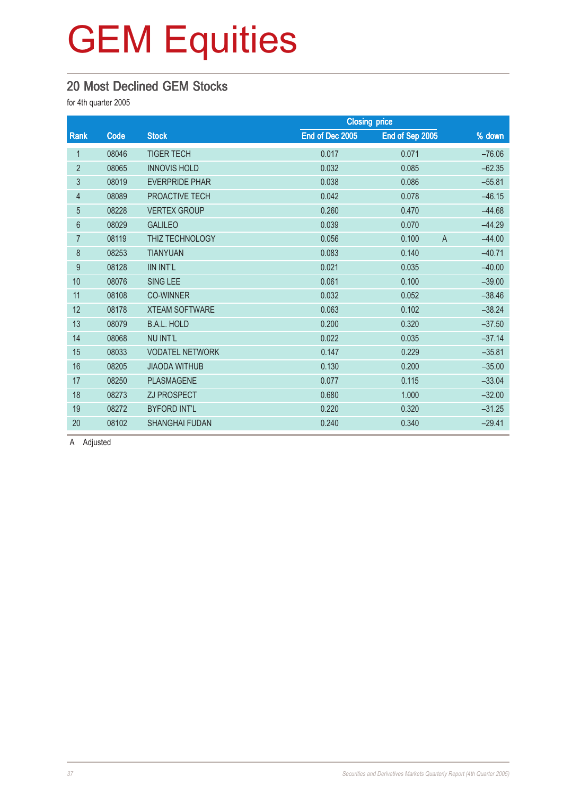#### 20 Most Declined GEM Stocks

for 4th quarter 2005

|                |       |                        | <b>Closing price</b> |                 |                            |
|----------------|-------|------------------------|----------------------|-----------------|----------------------------|
| Rank           | Code  | <b>Stock</b>           | End of Dec 2005      | End of Sep 2005 | % down                     |
| 1              | 08046 | <b>TIGER TECH</b>      | 0.017                | 0.071           | $-76.06$                   |
| $\overline{2}$ | 08065 | <b>INNOVIS HOLD</b>    | 0.032                | 0.085           | $-62.35$                   |
| $\mathfrak{Z}$ | 08019 | <b>EVERPRIDE PHAR</b>  | 0.038                | 0.086           | $-55.81$                   |
| $\overline{4}$ | 08089 | PROACTIVE TECH         | 0.042                | 0.078           | $-46.15$                   |
| $\overline{5}$ | 08228 | <b>VERTEX GROUP</b>    | 0.260                | 0.470           | $-44.68$                   |
| $6\phantom{.}$ | 08029 | <b>GALILEO</b>         | 0.039                | 0.070           | $-44.29$                   |
| $\overline{7}$ | 08119 | THIZ TECHNOLOGY        | 0.056                | 0.100           | $-44.00$<br>$\overline{A}$ |
| 8              | 08253 | <b>TIANYUAN</b>        | 0.083                | 0.140           | $-40.71$                   |
| 9              | 08128 | <b>IIN INT'L</b>       | 0.021                | 0.035           | $-40.00$                   |
| 10             | 08076 | <b>SING LEE</b>        | 0.061                | 0.100           | $-39.00$                   |
| 11             | 08108 | <b>CO-WINNER</b>       | 0.032                | 0.052           | $-38.46$                   |
| 12             | 08178 | <b>XTEAM SOFTWARE</b>  | 0.063                | 0.102           | $-38.24$                   |
| 13             | 08079 | <b>B.A.L. HOLD</b>     | 0.200                | 0.320           | $-37.50$                   |
| 14             | 08068 | <b>NU INT'L</b>        | 0.022                | 0.035           | $-37.14$                   |
| 15             | 08033 | <b>VODATEL NETWORK</b> | 0.147                | 0.229           | $-35.81$                   |
| 16             | 08205 | <b>JIAODA WITHUB</b>   | 0.130                | 0.200           | $-35.00$                   |
| 17             | 08250 | <b>PLASMAGENE</b>      | 0.077                | 0.115           | $-33.04$                   |
| 18             | 08273 | ZJ PROSPECT            | 0.680                | 1.000           | $-32.00$                   |
| 19             | 08272 | <b>BYFORD INT'L</b>    | 0.220                | 0.320           | $-31.25$                   |
| 20             | 08102 | <b>SHANGHAI FUDAN</b>  | 0.240                | 0.340           | $-29.41$                   |

A Adjusted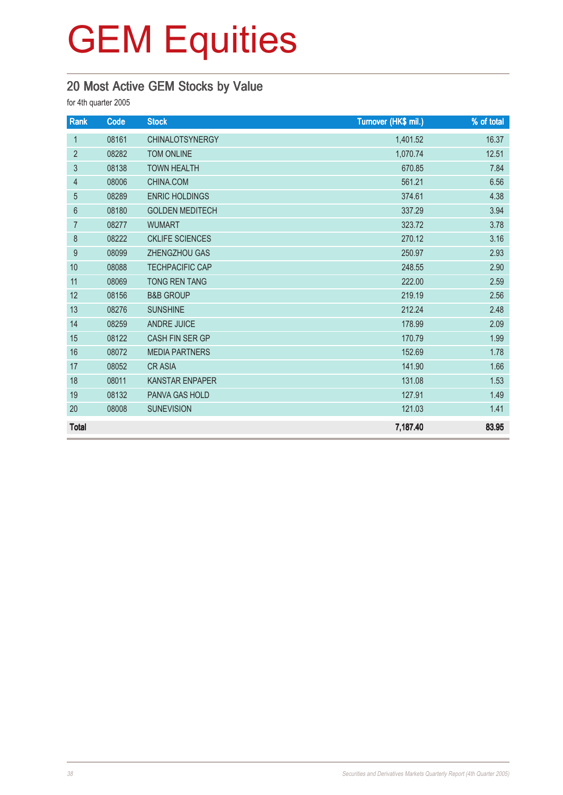## 20 Most Active GEM Stocks by Value

| Rank           | Code  | <b>Stock</b>           | Turnover (HK\$ mil.) | % of total |
|----------------|-------|------------------------|----------------------|------------|
| $\mathbf{1}$   | 08161 | <b>CHINALOTSYNERGY</b> | 1,401.52             | 16.37      |
| $\overline{2}$ | 08282 | <b>TOM ONLINE</b>      | 1,070.74             | 12.51      |
| 3              | 08138 | <b>TOWN HEALTH</b>     | 670.85               | 7.84       |
| $\overline{4}$ | 08006 | CHINA.COM              | 561.21               | 6.56       |
| 5              | 08289 | <b>ENRIC HOLDINGS</b>  | 374.61               | 4.38       |
| $6\,$          | 08180 | <b>GOLDEN MEDITECH</b> | 337.29               | 3.94       |
| 7              | 08277 | <b>WUMART</b>          | 323.72               | 3.78       |
| 8              | 08222 | <b>CKLIFE SCIENCES</b> | 270.12               | 3.16       |
| 9              | 08099 | ZHENGZHOU GAS          | 250.97               | 2.93       |
| 10             | 08088 | <b>TECHPACIFIC CAP</b> | 248.55               | 2.90       |
| 11             | 08069 | <b>TONG REN TANG</b>   | 222.00               | 2.59       |
| 12             | 08156 | <b>B&amp;B GROUP</b>   | 219.19               | 2.56       |
| 13             | 08276 | <b>SUNSHINE</b>        | 212.24               | 2.48       |
| 14             | 08259 | <b>ANDRE JUICE</b>     | 178.99               | 2.09       |
| 15             | 08122 | <b>CASH FIN SER GP</b> | 170.79               | 1.99       |
| 16             | 08072 | <b>MEDIA PARTNERS</b>  | 152.69               | 1.78       |
| 17             | 08052 | <b>CRASIA</b>          | 141.90               | 1.66       |
| 18             | 08011 | <b>KANSTAR ENPAPER</b> | 131.08               | 1.53       |
| 19             | 08132 | <b>PANVA GAS HOLD</b>  | 127.91               | 1.49       |
| 20             | 08008 | <b>SUNEVISION</b>      | 121.03               | 1.41       |
| <b>Total</b>   |       |                        | 7,187.40             | 83.95      |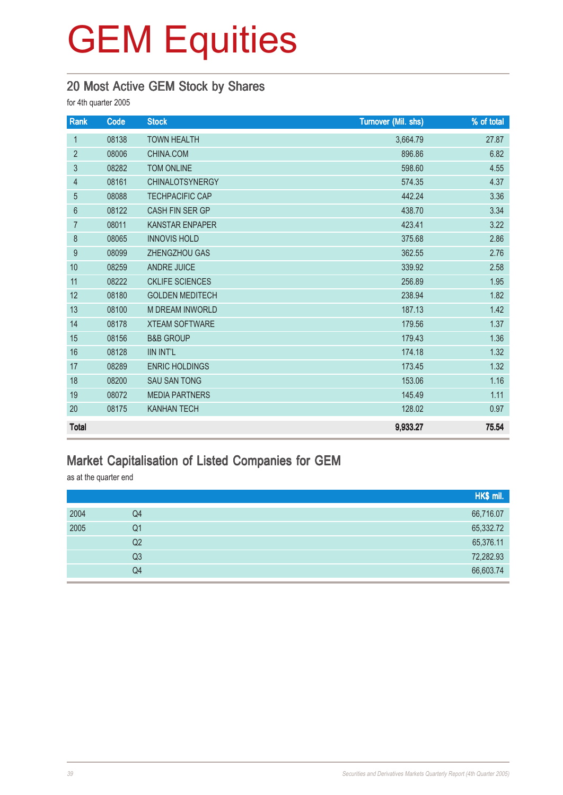## 20 Most Active GEM Stock by Shares

for 4th quarter 2005

| Rank            | Code  | <b>Stock</b>           | Turnover (Mil. shs) | % of total |
|-----------------|-------|------------------------|---------------------|------------|
| $\mathbf{1}$    | 08138 | <b>TOWN HEALTH</b>     | 3,664.79            | 27.87      |
| $\overline{2}$  | 08006 | CHINA.COM              | 896.86              | 6.82       |
| 3               | 08282 | <b>TOM ONLINE</b>      | 598.60              | 4.55       |
| $\overline{4}$  | 08161 | <b>CHINALOTSYNERGY</b> | 574.35              | 4.37       |
| 5               | 08088 | <b>TECHPACIFIC CAP</b> | 442.24              | 3.36       |
| $6\phantom{1}6$ | 08122 | CASH FIN SER GP        | 438.70              | 3.34       |
| $\overline{7}$  | 08011 | <b>KANSTAR ENPAPER</b> | 423.41              | 3.22       |
| $\,8\,$         | 08065 | <b>INNOVIS HOLD</b>    | 375.68              | 2.86       |
| 9               | 08099 | <b>ZHENGZHOU GAS</b>   | 362.55              | 2.76       |
| 10              | 08259 | <b>ANDRE JUICE</b>     | 339.92              | 2.58       |
| 11              | 08222 | <b>CKLIFE SCIENCES</b> | 256.89              | 1.95       |
| 12              | 08180 | <b>GOLDEN MEDITECH</b> | 238.94              | 1.82       |
| 13              | 08100 | <b>M DREAM INWORLD</b> | 187.13              | 1.42       |
| 14              | 08178 | <b>XTEAM SOFTWARE</b>  | 179.56              | 1.37       |
| 15              | 08156 | <b>B&amp;B GROUP</b>   | 179.43              | 1.36       |
| 16              | 08128 | <b>IIN INT'L</b>       | 174.18              | 1.32       |
| 17              | 08289 | <b>ENRIC HOLDINGS</b>  | 173.45              | 1.32       |
| 18              | 08200 | <b>SAU SAN TONG</b>    | 153.06              | 1.16       |
| 19              | 08072 | <b>MEDIA PARTNERS</b>  | 145.49              | 1.11       |
| 20              | 08175 | <b>KANHAN TECH</b>     | 128.02              | 0.97       |
| <b>Total</b>    |       |                        | 9,933.27            | 75.54      |

### Market Capitalisation of Listed Companies for GEM

as at the quarter end

|      |    | HK\$ mil. |
|------|----|-----------|
| 2004 | Q4 | 66,716.07 |
| 2005 | Q1 | 65,332.72 |
|      | Q2 | 65,376.11 |
|      | Q3 | 72,282.93 |
|      | Q4 | 66,603.74 |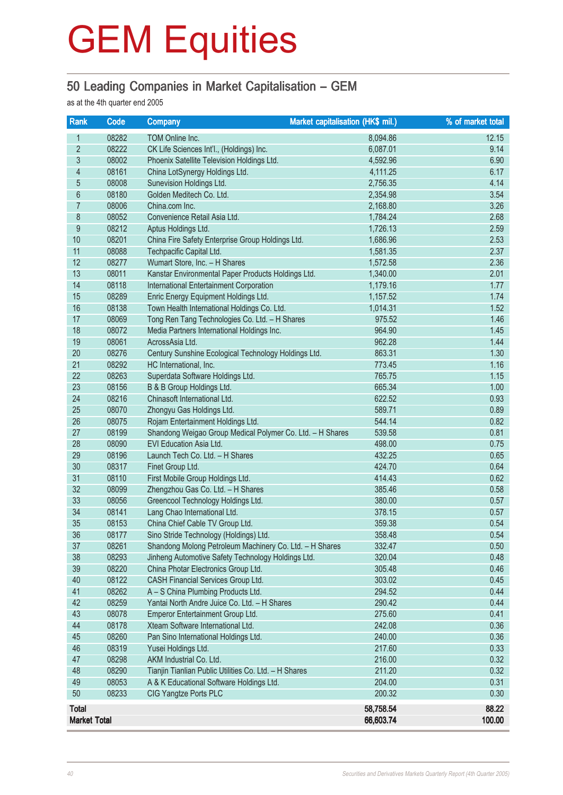### 50 Leading Companies in Market Capitalisation – GEM

as at the 4th quarter end 2005

| Rank                     | Code  | <b>Company</b>                                            | Market capitalisation (HK\$ mil.) | % of market total |
|--------------------------|-------|-----------------------------------------------------------|-----------------------------------|-------------------|
| 1                        | 08282 | TOM Online Inc.                                           | 8,094.86                          | 12.15             |
| $\overline{2}$           | 08222 | CK Life Sciences Int'l., (Holdings) Inc.                  | 6,087.01                          | 9.14              |
| $\overline{3}$           | 08002 | Phoenix Satellite Television Holdings Ltd.                | 4,592.96                          | 6.90              |
| $\overline{\mathcal{A}}$ | 08161 | China LotSynergy Holdings Ltd.                            | 4,111.25                          | 6.17              |
| $\overline{5}$           | 08008 | Sunevision Holdings Ltd.                                  | 2,756.35                          | 4.14              |
| 6                        | 08180 | Golden Meditech Co. Ltd.                                  | 2,354.98                          | 3.54              |
| $\overline{7}$           | 08006 | China.com Inc.                                            | 2,168.80                          | 3.26              |
| $8\,$                    | 08052 | Convenience Retail Asia Ltd.                              | 1,784.24                          | 2.68              |
| $\overline{9}$           | 08212 | Aptus Holdings Ltd.                                       | 1,726.13                          | 2.59              |
| 10                       | 08201 | China Fire Safety Enterprise Group Holdings Ltd.          | 1,686.96                          | 2.53              |
| 11                       | 08088 | Techpacific Capital Ltd.                                  | 1,581.35                          | 2.37              |
| 12                       | 08277 | Wumart Store, Inc. - H Shares                             | 1,572.58                          | 2.36              |
| 13                       | 08011 | Kanstar Environmental Paper Products Holdings Ltd.        | 1,340.00                          | 2.01              |
| 14                       | 08118 | <b>International Entertainment Corporation</b>            | 1,179.16                          | 1.77              |
| 15                       | 08289 | Enric Energy Equipment Holdings Ltd.                      | 1,157.52                          | 1.74              |
| 16                       | 08138 | Town Health International Holdings Co. Ltd.               | 1,014.31                          | 1.52              |
| 17                       | 08069 | Tong Ren Tang Technologies Co. Ltd. - H Shares            | 975.52                            | 1.46              |
| 18                       | 08072 | Media Partners International Holdings Inc.                | 964.90                            | 1.45              |
| 19                       | 08061 | AcrossAsia Ltd.                                           | 962.28                            | 1.44              |
| 20                       | 08276 | Century Sunshine Ecological Technology Holdings Ltd.      | 863.31                            | 1.30              |
| 21                       | 08292 | HC International, Inc.                                    | 773.45                            | 1.16              |
| 22                       | 08263 | Superdata Software Holdings Ltd.                          | 765.75                            | 1.15              |
| 23                       | 08156 | B & B Group Holdings Ltd.                                 | 665.34                            | 1.00              |
| 24                       | 08216 | Chinasoft International Ltd.                              | 622.52                            | 0.93              |
| 25                       | 08070 | Zhongyu Gas Holdings Ltd.                                 | 589.71                            | 0.89              |
| 26                       | 08075 | Rojam Entertainment Holdings Ltd.                         | 544.14                            | 0.82              |
| 27                       | 08199 | Shandong Weigao Group Medical Polymer Co. Ltd. - H Shares | 539.58                            | 0.81              |
| 28                       | 08090 | EVI Education Asia Ltd.                                   | 498.00                            | 0.75              |
| 29                       | 08196 | Launch Tech Co. Ltd. - H Shares                           | 432.25                            | 0.65              |
| 30                       | 08317 | Finet Group Ltd.                                          | 424.70                            | 0.64              |
| 31                       | 08110 | First Mobile Group Holdings Ltd.                          | 414.43                            | 0.62              |
| 32                       | 08099 | Zhengzhou Gas Co. Ltd. - H Shares                         | 385.46                            | 0.58              |
| 33                       | 08056 | Greencool Technology Holdings Ltd.                        | 380.00                            | 0.57              |
| 34                       | 08141 | Lang Chao International Ltd.                              | 378.15                            | 0.57              |
| 35                       | 08153 | China Chief Cable TV Group Ltd.                           | 359.38                            | 0.54              |
| 36                       | 08177 | Sino Stride Technology (Holdings) Ltd.                    | 358.48                            | 0.54              |
| 37                       | 08261 | Shandong Molong Petroleum Machinery Co. Ltd. - H Shares   | 332.47                            | 0.50              |
| 38                       | 08293 | Jinheng Automotive Safety Technology Holdings Ltd.        | 320.04                            | 0.48              |
| 39                       | 08220 | China Photar Electronics Group Ltd.                       | 305.48                            | 0.46              |
| 40                       | 08122 | CASH Financial Services Group Ltd.                        | 303.02                            | 0.45              |
| 41                       | 08262 | A - S China Plumbing Products Ltd.                        | 294.52                            | 0.44              |
| 42                       | 08259 | Yantai North Andre Juice Co. Ltd. - H Shares              | 290.42                            | 0.44              |
| 43                       | 08078 | Emperor Entertainment Group Ltd.                          | 275.60                            | 0.41              |
| 44                       | 08178 | Xteam Software International Ltd.                         | 242.08                            | 0.36              |
| 45                       | 08260 | Pan Sino International Holdings Ltd.                      | 240.00                            | 0.36              |
| 46                       | 08319 | Yusei Holdings Ltd.                                       | 217.60                            | 0.33              |
| 47                       | 08298 | AKM Industrial Co. Ltd.                                   | 216.00                            | 0.32              |
| 48                       | 08290 | Tianjin Tianlian Public Utilities Co. Ltd. - H Shares     | 211.20                            | 0.32              |
| 49                       | 08053 | A & K Educational Software Holdings Ltd.                  | 204.00                            | 0.31              |
| 50                       | 08233 | CIG Yangtze Ports PLC                                     | 200.32                            | 0.30              |
| <b>Total</b>             |       |                                                           | 58,758.54                         | 88.22             |
| <b>Market Total</b>      |       |                                                           | 66,603.74                         | 100.00            |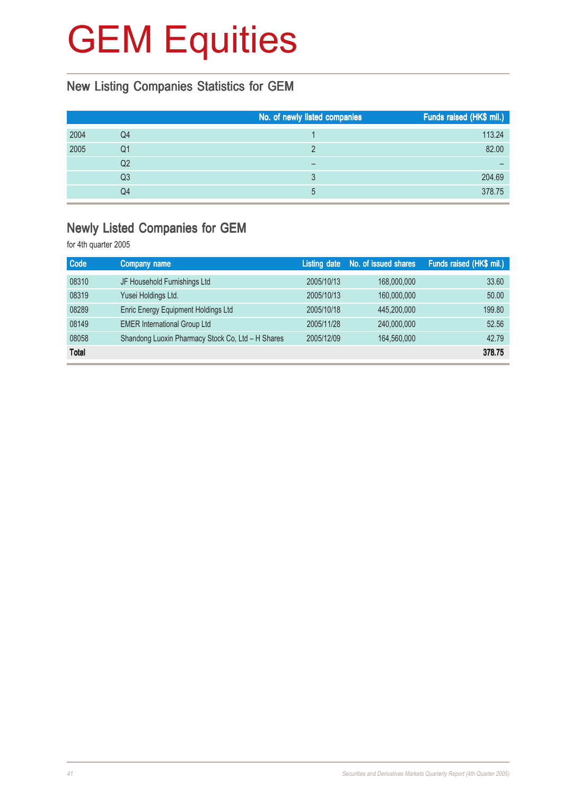## New Listing Companies Statistics for GEM

|      |                | No. of newly listed companies | Funds raised (HK\$ mil.) |
|------|----------------|-------------------------------|--------------------------|
| 2004 | Q4             |                               | 113.24                   |
| 2005 | Q1             |                               | 82.00                    |
|      | Q <sub>2</sub> |                               |                          |
|      | Q3             |                               | 204.69                   |
|      | Q4             | 5                             | 378.75                   |

### Newly Listed Companies for GEM

| <b>Code</b>  | Company name                                      |            | Listing date No. of issued shares | Funds raised (HK\$ mil.) |
|--------------|---------------------------------------------------|------------|-----------------------------------|--------------------------|
| 08310        | JF Household Furnishings Ltd                      | 2005/10/13 | 168,000,000                       | 33.60                    |
| 08319        | Yusei Holdings Ltd.                               | 2005/10/13 | 160,000,000                       | 50.00                    |
| 08289        | Enric Energy Equipment Holdings Ltd               | 2005/10/18 | 445,200,000                       | 199.80                   |
| 08149        | <b>EMER International Group Ltd</b>               | 2005/11/28 | 240,000,000                       | 52.56                    |
| 08058        | Shandong Luoxin Pharmacy Stock Co, Ltd - H Shares | 2005/12/09 | 164,560,000                       | 42.79                    |
| <b>Total</b> |                                                   |            |                                   | 378.75                   |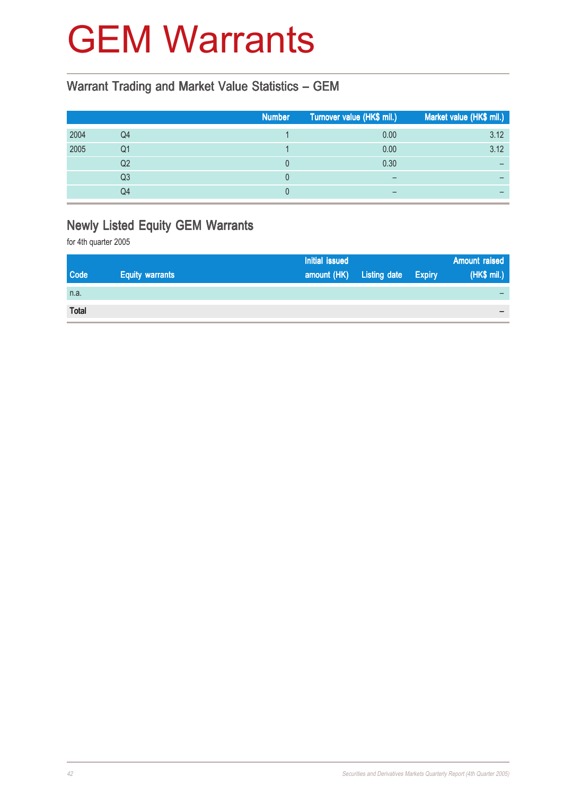## GEM Warrants

### Warrant Trading and Market Value Statistics – GEM

|      |                | <b>Number</b> | Turnover value (HK\$ mil.) | Market value (HK\$ mil.) |
|------|----------------|---------------|----------------------------|--------------------------|
| 2004 | Q4             |               | 0.00                       | 3.12                     |
| 2005 | Q1             |               | 0.00                       | 3.12                     |
|      | Q <sub>2</sub> |               | 0.30                       | -                        |
|      | Q <sub>3</sub> |               | $\overline{\phantom{0}}$   |                          |
|      | Q4             |               |                            |                          |

## Newly Listed Equity GEM Warrants

|              |                        | <b>Initial issued</b> |                            | Amount raised            |
|--------------|------------------------|-----------------------|----------------------------|--------------------------|
| <b>Code</b>  | <b>Equity warrants</b> | amount (HK)           | <b>Listing date Expiry</b> | (HK\$ mil.)              |
| n.a.         |                        |                       |                            |                          |
| <b>Total</b> |                        |                       |                            | $\overline{\phantom{a}}$ |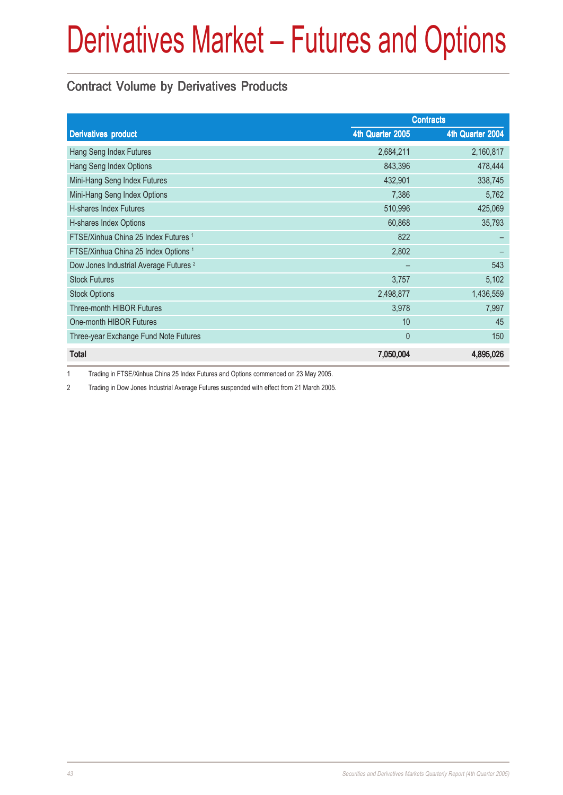### Contract Volume by Derivatives Products

|                                                   | <b>Contracts</b> |                  |
|---------------------------------------------------|------------------|------------------|
| <b>Derivatives product</b>                        | 4th Quarter 2005 | 4th Quarter 2004 |
| Hang Seng Index Futures                           | 2,684,211        | 2,160,817        |
| Hang Seng Index Options                           | 843,396          | 478,444          |
| Mini-Hang Seng Index Futures                      | 432,901          | 338,745          |
| Mini-Hang Seng Index Options                      | 7,386            | 5,762            |
| H-shares Index Futures                            | 510,996          | 425,069          |
| H-shares Index Options                            | 60,868           | 35,793           |
| FTSE/Xinhua China 25 Index Futures 1              | 822              |                  |
| FTSE/Xinhua China 25 Index Options <sup>1</sup>   | 2,802            |                  |
| Dow Jones Industrial Average Futures <sup>2</sup> |                  | 543              |
| <b>Stock Futures</b>                              | 3,757            | 5,102            |
| <b>Stock Options</b>                              | 2,498,877        | 1,436,559        |
| Three-month HIBOR Futures                         | 3,978            | 7,997            |
| One-month HIBOR Futures                           | 10               | 45               |
| Three-year Exchange Fund Note Futures             | $\theta$         | 150              |
| <b>Total</b>                                      | 7,050,004        | 4,895,026        |

1 Trading in FTSE/Xinhua China 25 Index Futures and Options commenced on 23 May 2005.

2 Trading in Dow Jones Industrial Average Futures suspended with effect from 21 March 2005.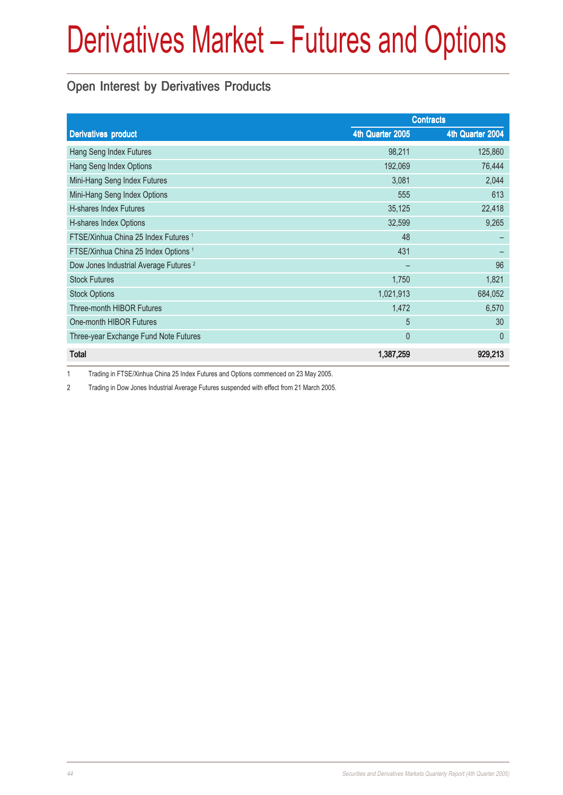### Open Interest by Derivatives Products

|                                                   | <b>Contracts</b> |                  |
|---------------------------------------------------|------------------|------------------|
| <b>Derivatives product</b>                        | 4th Quarter 2005 | 4th Quarter 2004 |
| Hang Seng Index Futures                           | 98,211           | 125,860          |
| Hang Seng Index Options                           | 192,069          | 76,444           |
| Mini-Hang Seng Index Futures                      | 3,081            | 2,044            |
| Mini-Hang Seng Index Options                      | 555              | 613              |
| <b>H-shares Index Futures</b>                     | 35,125           | 22,418           |
| H-shares Index Options                            | 32,599           | 9,265            |
| FTSE/Xinhua China 25 Index Futures 1              | 48               |                  |
| FTSE/Xinhua China 25 Index Options <sup>1</sup>   | 431              |                  |
| Dow Jones Industrial Average Futures <sup>2</sup> |                  | 96               |
| <b>Stock Futures</b>                              | 1,750            | 1,821            |
| <b>Stock Options</b>                              | 1,021,913        | 684,052          |
| <b>Three-month HIBOR Futures</b>                  | 1,472            | 6,570            |
| One-month HIBOR Futures                           | 5                | 30               |
| Three-year Exchange Fund Note Futures             | $\mathbf{0}$     | $\theta$         |
| <b>Total</b>                                      | 1,387,259        | 929,213          |

1 Trading in FTSE/Xinhua China 25 Index Futures and Options commenced on 23 May 2005.

2 Trading in Dow Jones Industrial Average Futures suspended with effect from 21 March 2005.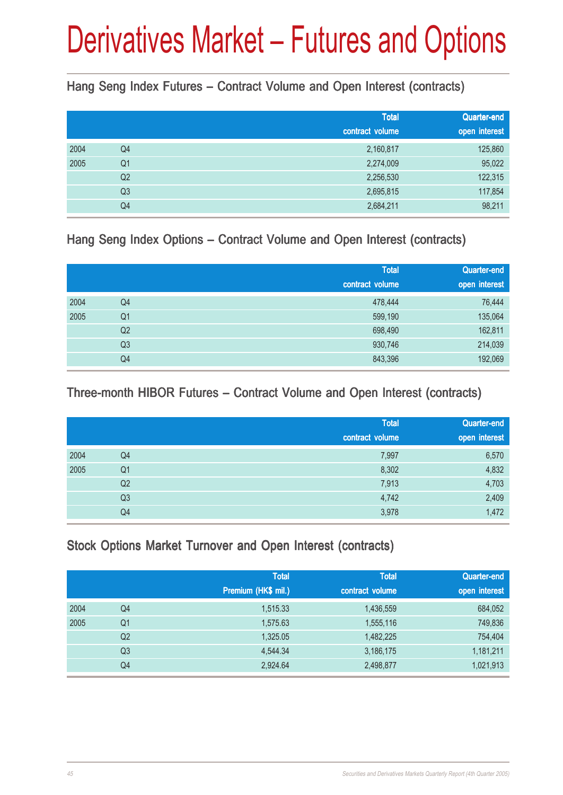Hang Seng Index Futures – Contract Volume and Open Interest (contracts)

|                | <b>Total</b>                           | Quarter-end<br>open interest                           |
|----------------|----------------------------------------|--------------------------------------------------------|
|                |                                        | 125,860                                                |
|                |                                        | 95,022                                                 |
|                |                                        | 122,315                                                |
| Q <sub>3</sub> | 2,695,815                              | 117,854                                                |
| Q4             | 2,684,211                              | 98,211                                                 |
|                | Q4<br>Q <sub>1</sub><br>Q <sub>2</sub> | contract volume<br>2,160,817<br>2,274,009<br>2,256,530 |

### Hang Seng Index Options – Contract Volume and Open Interest (contracts)

|      |                | <b>Total</b>    | Quarter-end   |
|------|----------------|-----------------|---------------|
|      |                | contract volume | open interest |
| 2004 | Q4             | 478,444         | 76,444        |
| 2005 | Q <sub>1</sub> | 599,190         | 135,064       |
|      | Q <sub>2</sub> | 698,490         | 162,811       |
|      | Q <sub>3</sub> | 930,746         | 214,039       |
|      | Q4             | 843,396         | 192,069       |

### Three-month HIBOR Futures – Contract Volume and Open Interest (contracts)

|      |                | <b>Total</b><br>contract volume | Quarter-end<br>open interest |
|------|----------------|---------------------------------|------------------------------|
| 2004 | Q4             | 7,997                           | 6,570                        |
| 2005 | Q <sub>1</sub> | 8,302                           | 4,832                        |
|      | Q <sub>2</sub> | 7,913                           | 4,703                        |
|      | Q <sub>3</sub> | 4,742                           | 2,409                        |
|      | Q4             | 3,978                           | 1,472                        |

### Stock Options Market Turnover and Open Interest (contracts)

|      |                | <b>Total</b><br>Premium (HK\$ mil.) | <b>Total</b><br>contract volume | <b>Quarter-end</b><br>open interest |
|------|----------------|-------------------------------------|---------------------------------|-------------------------------------|
| 2004 | Q4             | 1,515.33                            | 1,436,559                       | 684,052                             |
| 2005 | Q1             | 1,575.63                            | 1,555,116                       | 749,836                             |
|      | Q <sub>2</sub> | 1,325.05                            | 1,482,225                       | 754,404                             |
|      | Q <sub>3</sub> | 4,544.34                            | 3,186,175                       | 1,181,211                           |
|      | Q4             | 2,924.64                            | 2,498,877                       | 1,021,913                           |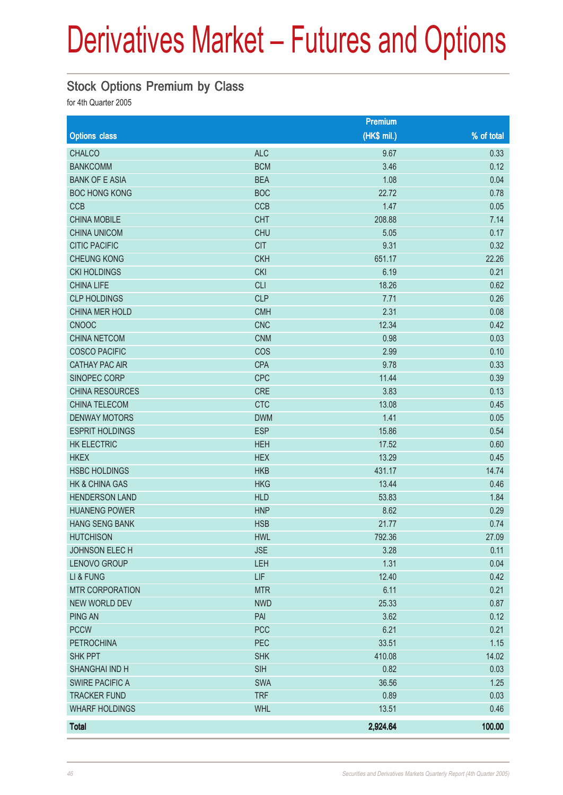#### Stock Options Premium by Class

|                        |            | <b>Premium</b> |            |
|------------------------|------------|----------------|------------|
| <b>Options class</b>   |            | (HK\$ mil.)    | % of total |
| <b>CHALCO</b>          | <b>ALC</b> | 9.67           | 0.33       |
| <b>BANKCOMM</b>        | <b>BCM</b> | 3.46           | 0.12       |
| <b>BANK OF E ASIA</b>  | <b>BEA</b> | 1.08           | 0.04       |
| <b>BOC HONG KONG</b>   | <b>BOC</b> | 22.72          | 0.78       |
| <b>CCB</b>             | CCB        | 1.47           | 0.05       |
| <b>CHINA MOBILE</b>    | <b>CHT</b> | 208.88         | 7.14       |
| <b>CHINA UNICOM</b>    | <b>CHU</b> | 5.05           | 0.17       |
| <b>CITIC PACIFIC</b>   | <b>CIT</b> | 9.31           | 0.32       |
| <b>CHEUNG KONG</b>     | <b>CKH</b> | 651.17         | 22.26      |
| <b>CKI HOLDINGS</b>    | <b>CKI</b> | 6.19           | 0.21       |
| <b>CHINA LIFE</b>      | <b>CLI</b> | 18.26          | 0.62       |
| <b>CLP HOLDINGS</b>    | <b>CLP</b> | 7.71           | 0.26       |
| CHINA MER HOLD         | <b>CMH</b> | 2.31           | 0.08       |
| <b>CNOOC</b>           | <b>CNC</b> | 12.34          | 0.42       |
| <b>CHINA NETCOM</b>    | <b>CNM</b> | 0.98           | 0.03       |
| <b>COSCO PACIFIC</b>   | COS        | 2.99           | 0.10       |
| <b>CATHAY PAC AIR</b>  | <b>CPA</b> | 9.78           | 0.33       |
| SINOPEC CORP           | <b>CPC</b> | 11.44          | 0.39       |
| <b>CHINA RESOURCES</b> | <b>CRE</b> | 3.83           | 0.13       |
| CHINA TELECOM          | <b>CTC</b> | 13.08          | 0.45       |
| <b>DENWAY MOTORS</b>   | <b>DWM</b> | 1.41           | 0.05       |
| <b>ESPRIT HOLDINGS</b> | <b>ESP</b> | 15.86          | 0.54       |
| <b>HK ELECTRIC</b>     | <b>HEH</b> | 17.52          | 0.60       |
| <b>HKEX</b>            | <b>HEX</b> | 13.29          | 0.45       |
| <b>HSBC HOLDINGS</b>   | <b>HKB</b> | 431.17         | 14.74      |
| HK & CHINA GAS         | <b>HKG</b> | 13.44          | 0.46       |
| <b>HENDERSON LAND</b>  | <b>HLD</b> | 53.83          | 1.84       |
| <b>HUANENG POWER</b>   | <b>HNP</b> | 8.62           | 0.29       |
| <b>HANG SENG BANK</b>  | <b>HSB</b> | 21.77          | 0.74       |
| <b>HUTCHISON</b>       | <b>HWL</b> | 792.36         | 27.09      |
| JOHNSON ELECH          | <b>JSE</b> | 3.28           | 0.11       |
| LENOVO GROUP           | LEH        | 1.31           | 0.04       |
| LI & FUNG              | LIF        | 12.40          | 0.42       |
| <b>MTR CORPORATION</b> | <b>MTR</b> | 6.11           | 0.21       |
| <b>NEW WORLD DEV</b>   | <b>NWD</b> | 25.33          | 0.87       |
| <b>PING AN</b>         | PAI        | 3.62           | 0.12       |
| <b>PCCW</b>            | <b>PCC</b> | 6.21           | 0.21       |
| <b>PETROCHINA</b>      | PEC        | 33.51          | 1.15       |
| <b>SHK PPT</b>         | <b>SHK</b> | 410.08         | 14.02      |
| <b>SHANGHAI IND H</b>  | <b>SIH</b> | 0.82           | 0.03       |
| <b>SWIRE PACIFIC A</b> | <b>SWA</b> | 36.56          | 1.25       |
| <b>TRACKER FUND</b>    | <b>TRF</b> | 0.89           | 0.03       |
| <b>WHARF HOLDINGS</b>  | <b>WHL</b> | 13.51          | 0.46       |
| <b>Total</b>           |            | 2,924.64       | 100.00     |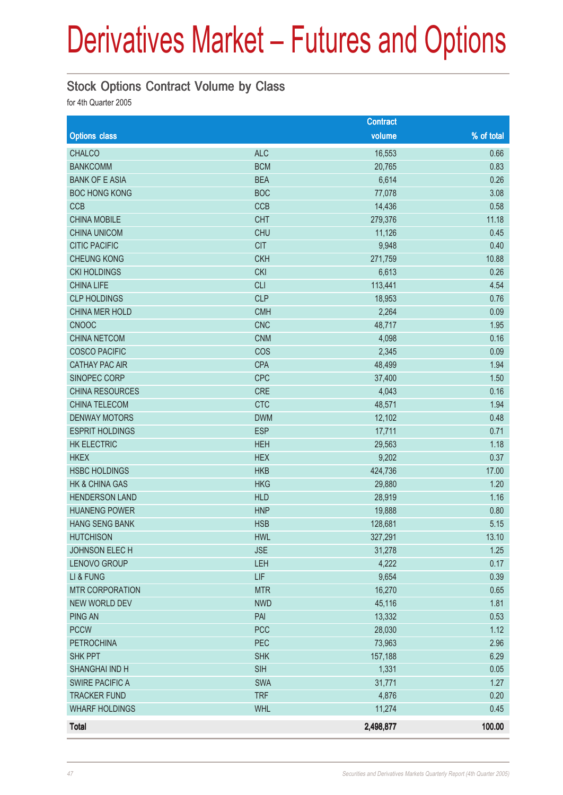### Stock Options Contract Volume by Class

|                        |            | <b>Contract</b> |            |
|------------------------|------------|-----------------|------------|
| <b>Options class</b>   |            | volume          | % of total |
| <b>CHALCO</b>          | <b>ALC</b> | 16,553          | 0.66       |
| <b>BANKCOMM</b>        | <b>BCM</b> | 20,765          | 0.83       |
| <b>BANK OF E ASIA</b>  | <b>BEA</b> | 6,614           | 0.26       |
| <b>BOC HONG KONG</b>   | <b>BOC</b> | 77,078          | 3.08       |
| <b>CCB</b>             | CCB        | 14,436          | 0.58       |
| <b>CHINA MOBILE</b>    | <b>CHT</b> | 279,376         | 11.18      |
| <b>CHINA UNICOM</b>    | <b>CHU</b> | 11,126          | 0.45       |
| <b>CITIC PACIFIC</b>   | <b>CIT</b> | 9,948           | 0.40       |
| <b>CHEUNG KONG</b>     | <b>CKH</b> | 271,759         | 10.88      |
| <b>CKI HOLDINGS</b>    | <b>CKI</b> | 6,613           | 0.26       |
| <b>CHINA LIFE</b>      | <b>CLI</b> | 113,441         | 4.54       |
| <b>CLP HOLDINGS</b>    | <b>CLP</b> | 18,953          | 0.76       |
| CHINA MER HOLD         | <b>CMH</b> | 2,264           | 0.09       |
| <b>CNOOC</b>           | <b>CNC</b> | 48,717          | 1.95       |
| <b>CHINA NETCOM</b>    | <b>CNM</b> | 4,098           | 0.16       |
| <b>COSCO PACIFIC</b>   | COS        | 2,345           | 0.09       |
| <b>CATHAY PAC AIR</b>  | <b>CPA</b> | 48,499          | 1.94       |
| SINOPEC CORP           | <b>CPC</b> | 37,400          | 1.50       |
| <b>CHINA RESOURCES</b> | CRE        | 4,043           | 0.16       |
| <b>CHINA TELECOM</b>   | <b>CTC</b> | 48,571          | 1.94       |
| <b>DENWAY MOTORS</b>   | <b>DWM</b> | 12,102          | 0.48       |
| <b>ESPRIT HOLDINGS</b> | <b>ESP</b> | 17,711          | 0.71       |
| <b>HK ELECTRIC</b>     | <b>HEH</b> | 29,563          | 1.18       |
| <b>HKEX</b>            | <b>HEX</b> | 9,202           | 0.37       |
| <b>HSBC HOLDINGS</b>   | <b>HKB</b> | 424,736         | 17.00      |
| HK & CHINA GAS         | <b>HKG</b> | 29,880          | 1.20       |
| <b>HENDERSON LAND</b>  | <b>HLD</b> | 28,919          | 1.16       |
| <b>HUANENG POWER</b>   | <b>HNP</b> | 19,888          | 0.80       |
| <b>HANG SENG BANK</b>  | <b>HSB</b> | 128,681         | 5.15       |
| <b>HUTCHISON</b>       | <b>HWL</b> | 327,291         | 13.10      |
| JOHNSON ELECH          | <b>JSE</b> | 31,278          | 1.25       |
| LENOVO GROUP           | LEH        | 4,222           | 0.17       |
| LI & FUNG              | LIF        | 9,654           | 0.39       |
| <b>MTR CORPORATION</b> | <b>MTR</b> | 16,270          | 0.65       |
| <b>NEW WORLD DEV</b>   | <b>NWD</b> | 45,116          | 1.81       |
| <b>PING AN</b>         | PAI        | 13,332          | 0.53       |
| <b>PCCW</b>            | PCC        | 28,030          | 1.12       |
| <b>PETROCHINA</b>      | PEC        | 73,963          | 2.96       |
| <b>SHK PPT</b>         | <b>SHK</b> | 157,188         | 6.29       |
| SHANGHAI IND H         | <b>SIH</b> | 1,331           | 0.05       |
| <b>SWIRE PACIFIC A</b> | SWA        | 31,771          | 1.27       |
| <b>TRACKER FUND</b>    | <b>TRF</b> | 4,876           | 0.20       |
| <b>WHARF HOLDINGS</b>  | <b>WHL</b> | 11,274          | 0.45       |
| <b>Total</b>           |            | 2,498,877       | 100.00     |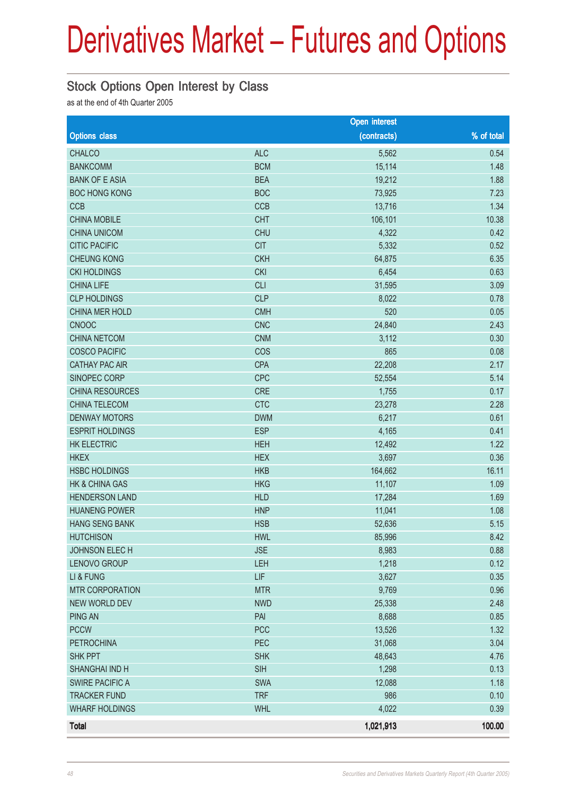### Stock Options Open Interest by Class

as at the end of 4th Quarter 2005

|                           |            | <b>Open interest</b> |            |
|---------------------------|------------|----------------------|------------|
| <b>Options class</b>      |            | (contracts)          | % of total |
| <b>CHALCO</b>             | <b>ALC</b> | 5,562                | 0.54       |
| <b>BANKCOMM</b>           | <b>BCM</b> | 15,114               | 1.48       |
| <b>BANK OF E ASIA</b>     | <b>BEA</b> | 19,212               | 1.88       |
| <b>BOC HONG KONG</b>      | <b>BOC</b> | 73,925               | 7.23       |
| <b>CCB</b>                | CCB        | 13,716               | 1.34       |
| <b>CHINA MOBILE</b>       | <b>CHT</b> | 106,101              | 10.38      |
| <b>CHINA UNICOM</b>       | <b>CHU</b> | 4,322                | 0.42       |
| <b>CITIC PACIFIC</b>      | <b>CIT</b> | 5,332                | 0.52       |
| <b>CHEUNG KONG</b>        | <b>CKH</b> | 64,875               | 6.35       |
| <b>CKI HOLDINGS</b>       | <b>CKI</b> | 6,454                | 0.63       |
| <b>CHINA LIFE</b>         | <b>CLI</b> | 31,595               | 3.09       |
| <b>CLP HOLDINGS</b>       | <b>CLP</b> | 8,022                | 0.78       |
| CHINA MER HOLD            | <b>CMH</b> | 520                  | 0.05       |
| <b>CNOOC</b>              | <b>CNC</b> | 24,840               | 2.43       |
| <b>CHINA NETCOM</b>       | <b>CNM</b> | 3,112                | 0.30       |
| <b>COSCO PACIFIC</b>      | COS        | 865                  | 0.08       |
| <b>CATHAY PAC AIR</b>     | <b>CPA</b> | 22,208               | 2.17       |
| SINOPEC CORP              | <b>CPC</b> | 52,554               | 5.14       |
| <b>CHINA RESOURCES</b>    | <b>CRE</b> | 1,755                | 0.17       |
| <b>CHINA TELECOM</b>      | <b>CTC</b> | 23,278               | 2.28       |
| <b>DENWAY MOTORS</b>      | <b>DWM</b> | 6,217                | 0.61       |
| <b>ESPRIT HOLDINGS</b>    | <b>ESP</b> | 4,165                | 0.41       |
| <b>HK ELECTRIC</b>        | <b>HEH</b> | 12,492               | 1.22       |
| <b>HKEX</b>               | <b>HEX</b> | 3,697                | 0.36       |
| <b>HSBC HOLDINGS</b>      | <b>HKB</b> | 164,662              | 16.11      |
| <b>HK &amp; CHINA GAS</b> | <b>HKG</b> | 11,107               | 1.09       |
| <b>HENDERSON LAND</b>     | <b>HLD</b> | 17,284               | 1.69       |
| <b>HUANENG POWER</b>      | <b>HNP</b> | 11,041               | 1.08       |
| <b>HANG SENG BANK</b>     | <b>HSB</b> | 52,636               | 5.15       |
| <b>HUTCHISON</b>          | <b>HWL</b> | 85,996               | 8.42       |
| JOHNSON ELECH             | <b>JSE</b> | 8,983                | 0.88       |
| LENOVO GROUP              | LEH        | 1,218                | 0.12       |
| LI & FUNG                 | LIF        | 3,627                | 0.35       |
| <b>MTR CORPORATION</b>    | <b>MTR</b> | 9,769                | 0.96       |
| <b>NEW WORLD DEV</b>      | <b>NWD</b> | 25,338               | 2.48       |
| <b>PING AN</b>            | PAI        | 8,688                | 0.85       |
| <b>PCCW</b>               | <b>PCC</b> | 13,526               | 1.32       |
| <b>PETROCHINA</b>         | PEC        | 31,068               | 3.04       |
| <b>SHK PPT</b>            | <b>SHK</b> | 48,643               | 4.76       |
| SHANGHAI IND H            | <b>SIH</b> | 1,298                | 0.13       |
| <b>SWIRE PACIFIC A</b>    | <b>SWA</b> | 12,088               | 1.18       |
| <b>TRACKER FUND</b>       | <b>TRF</b> | 986                  | 0.10       |
| <b>WHARF HOLDINGS</b>     | <b>WHL</b> | 4,022                | 0.39       |
| <b>Total</b>              |            | 1,021,913            | 100.00     |